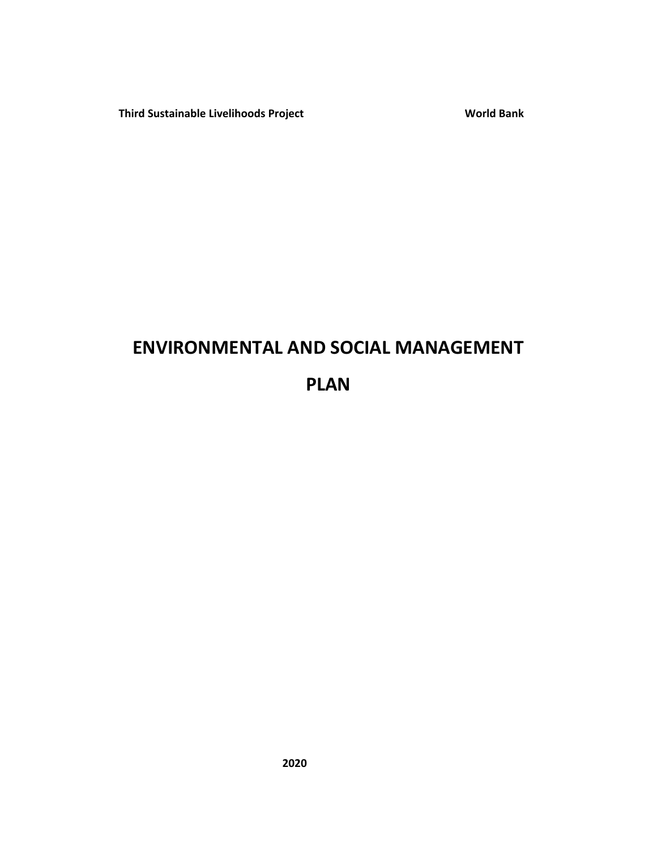**Third Sustainable Livelihoods Project World Bank** 

# **ENVIRONMENTAL AND SOCIAL MANAGEMENT**

# **PLAN**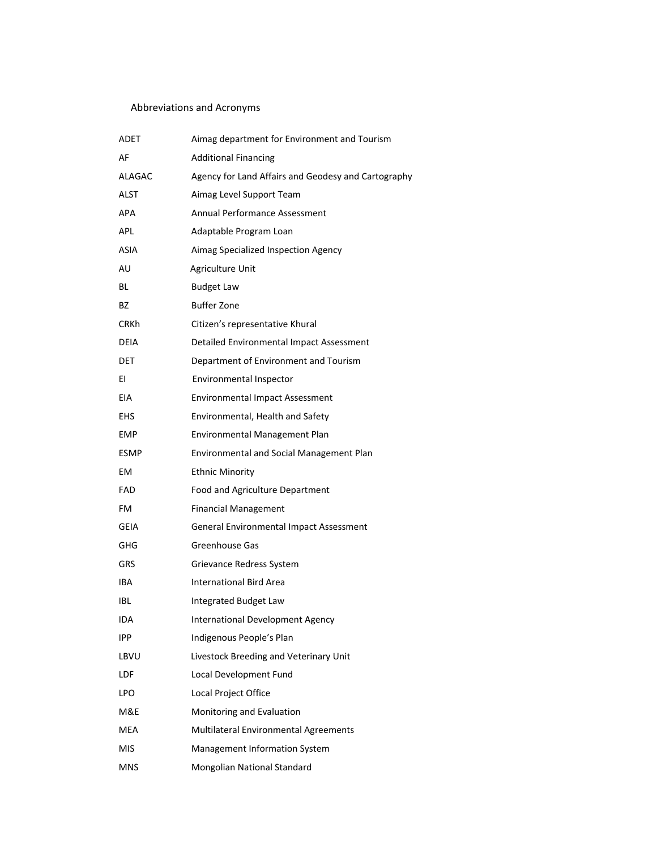# Abbreviations and Acronyms

| ADET        | Aimag department for Environment and Tourism        |
|-------------|-----------------------------------------------------|
| AF          | <b>Additional Financing</b>                         |
| ALAGAC      | Agency for Land Affairs and Geodesy and Cartography |
| <b>ALST</b> | Aimag Level Support Team                            |
| APA         | Annual Performance Assessment                       |
| APL         | Adaptable Program Loan                              |
| ASIA        | Aimag Specialized Inspection Agency                 |
| AU          | Agriculture Unit                                    |
| ВL          | <b>Budget Law</b>                                   |
| ВZ          | <b>Buffer Zone</b>                                  |
| <b>CRKh</b> | Citizen's representative Khural                     |
| DEIA        | Detailed Environmental Impact Assessment            |
| DET.        | Department of Environment and Tourism               |
| ΕI          | <b>Environmental Inspector</b>                      |
| EIA         | <b>Environmental Impact Assessment</b>              |
| EHS         | Environmental, Health and Safety                    |
| <b>EMP</b>  | Environmental Management Plan                       |
| <b>ESMP</b> | <b>Environmental and Social Management Plan</b>     |
| EM          | <b>Ethnic Minority</b>                              |
| FAD         | Food and Agriculture Department                     |
| FM          | <b>Financial Management</b>                         |
| <b>GEIA</b> | General Environmental Impact Assessment             |
| GHG         | Greenhouse Gas                                      |
| <b>GRS</b>  | Grievance Redress System                            |
| IBA         | <b>International Bird Area</b>                      |
| IBL         | Integrated Budget Law                               |
| IDA         | International Development Agency                    |
| IPP.        | Indigenous People's Plan                            |
| LBVU        | Livestock Breeding and Veterinary Unit              |
| LDF         | Local Development Fund                              |
| LPO         | Local Project Office                                |
| M&E         | Monitoring and Evaluation                           |
| MEA         | Multilateral Environmental Agreements               |
| <b>MIS</b>  | Management Information System                       |
| <b>MNS</b>  | Mongolian National Standard                         |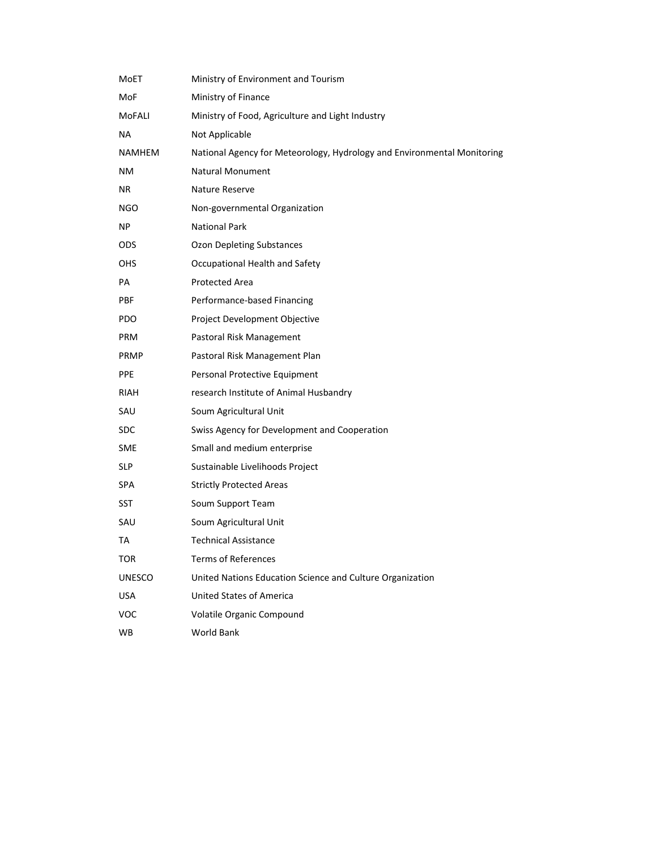| MoET          | Ministry of Environment and Tourism                                     |
|---------------|-------------------------------------------------------------------------|
| MoF           | Ministry of Finance                                                     |
| MoFALI        | Ministry of Food, Agriculture and Light Industry                        |
| NA            | Not Applicable                                                          |
| NAMHEM        | National Agency for Meteorology, Hydrology and Environmental Monitoring |
| NΜ            | <b>Natural Monument</b>                                                 |
| NR            | Nature Reserve                                                          |
| NGO           | Non-governmental Organization                                           |
| NP.           | <b>National Park</b>                                                    |
| <b>ODS</b>    | Ozon Depleting Substances                                               |
| <b>OHS</b>    | Occupational Health and Safety                                          |
| PA            | <b>Protected Area</b>                                                   |
| PBF           | Performance-based Financing                                             |
| PDO           | Project Development Objective                                           |
| <b>PRM</b>    | Pastoral Risk Management                                                |
| <b>PRMP</b>   | Pastoral Risk Management Plan                                           |
| PPE           | Personal Protective Equipment                                           |
| RIAH          | research Institute of Animal Husbandry                                  |
| SAU           | Soum Agricultural Unit                                                  |
| SDC.          | Swiss Agency for Development and Cooperation                            |
| SME           | Small and medium enterprise                                             |
| <b>SLP</b>    | Sustainable Livelihoods Project                                         |
| SPA           | <b>Strictly Protected Areas</b>                                         |
| SST           | Soum Support Team                                                       |
| SAU           | Soum Agricultural Unit                                                  |
| TA            | <b>Technical Assistance</b>                                             |
| TOR.          | <b>Terms of References</b>                                              |
| <b>UNESCO</b> | United Nations Education Science and Culture Organization               |
| <b>USA</b>    | United States of America                                                |
| <b>VOC</b>    | Volatile Organic Compound                                               |
| WB            | World Bank                                                              |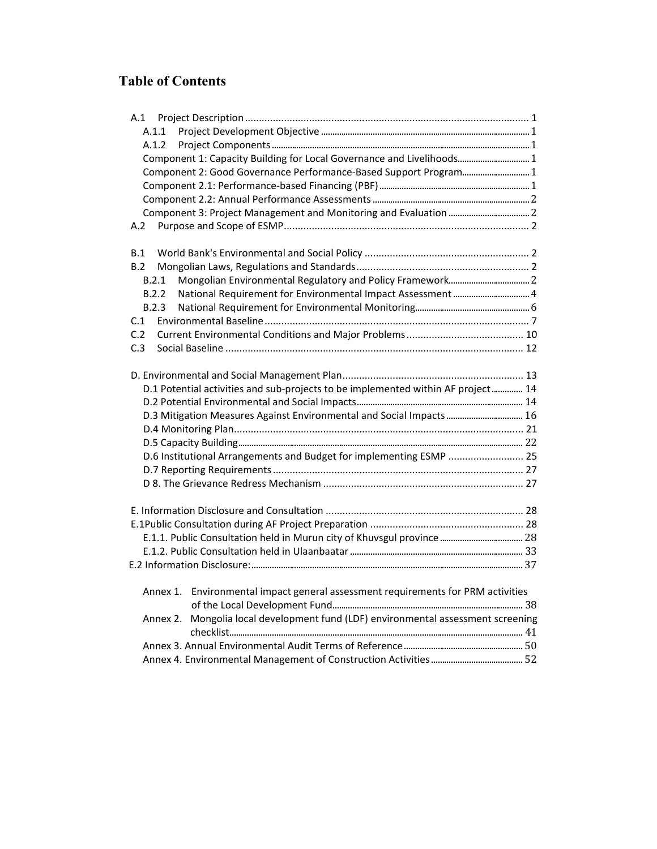# **Table of Contents**

| A.1.1                                                                                |  |
|--------------------------------------------------------------------------------------|--|
| A.1.2                                                                                |  |
| Component 1: Capacity Building for Local Governance and Livelihoods 1                |  |
| Component 2: Good Governance Performance-Based Support Program 1                     |  |
|                                                                                      |  |
|                                                                                      |  |
|                                                                                      |  |
| A.2                                                                                  |  |
| B.1                                                                                  |  |
| B.2                                                                                  |  |
| B.2.1                                                                                |  |
| B.2.2                                                                                |  |
| B.2.3                                                                                |  |
| C.1                                                                                  |  |
| C.2                                                                                  |  |
| C.3                                                                                  |  |
|                                                                                      |  |
| D.1 Potential activities and sub-projects to be implemented within AF project 14     |  |
|                                                                                      |  |
| D.3 Mitigation Measures Against Environmental and Social Impacts  16                 |  |
|                                                                                      |  |
|                                                                                      |  |
| D.6 Institutional Arrangements and Budget for implementing ESMP  25                  |  |
|                                                                                      |  |
|                                                                                      |  |
|                                                                                      |  |
|                                                                                      |  |
|                                                                                      |  |
|                                                                                      |  |
|                                                                                      |  |
| Annex 1. Environmental impact general assessment requirements for PRM activities     |  |
|                                                                                      |  |
| Mongolia local development fund (LDF) environmental assessment screening<br>Annex 2. |  |
|                                                                                      |  |
|                                                                                      |  |
|                                                                                      |  |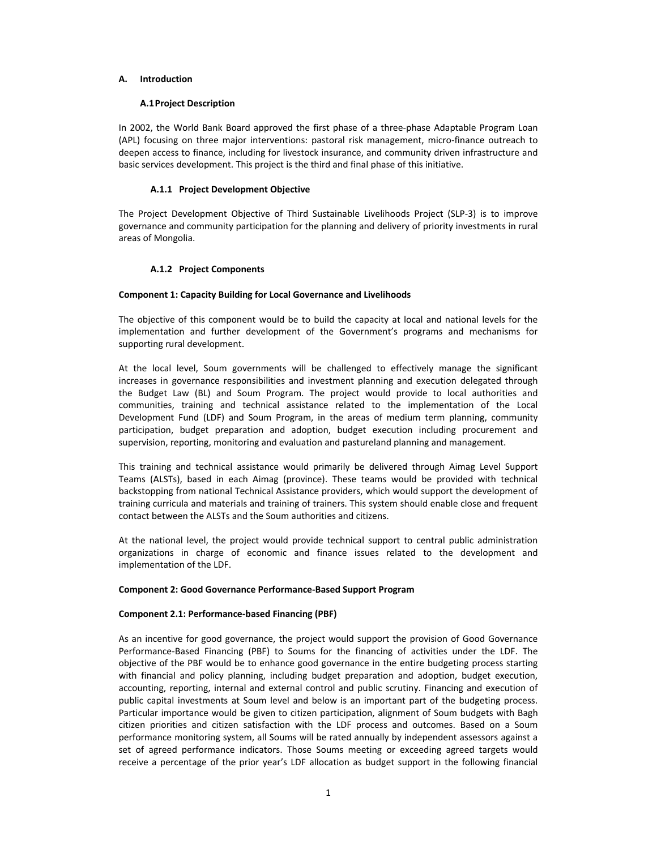## **A. Introduction**

## **A.1Project Description**

In 2002, the World Bank Board approved the first phase of a three-phase Adaptable Program Loan (APL) focusing on three major interventions: pastoral risk management, micro‐finance outreach to deepen access to finance, including for livestock insurance, and community driven infrastructure and basic services development. This project is the third and final phase of this initiative.

## **A.1.1 Project Development Objective**

The Project Development Objective of Third Sustainable Livelihoods Project (SLP‐3) is to improve governance and community participation for the planning and delivery of priority investments in rural areas of Mongolia.

## **A.1.2 Project Components**

## **Component 1: Capacity Building for Local Governance and Livelihoods**

The objective of this component would be to build the capacity at local and national levels for the implementation and further development of the Government's programs and mechanisms for supporting rural development.

At the local level, Soum governments will be challenged to effectively manage the significant increases in governance responsibilities and investment planning and execution delegated through the Budget Law (BL) and Soum Program. The project would provide to local authorities and communities, training and technical assistance related to the implementation of the Local Development Fund (LDF) and Soum Program, in the areas of medium term planning, community participation, budget preparation and adoption, budget execution including procurement and supervision, reporting, monitoring and evaluation and pastureland planning and management.

This training and technical assistance would primarily be delivered through Aimag Level Support Teams (ALSTs), based in each Aimag (province). These teams would be provided with technical backstopping from national Technical Assistance providers, which would support the development of training curricula and materials and training of trainers. This system should enable close and frequent contact between the ALSTs and the Soum authorities and citizens.

At the national level, the project would provide technical support to central public administration organizations in charge of economic and finance issues related to the development and implementation of the LDF.

## **Component 2: Good Governance Performance‐Based Support Program**

## **Component 2.1: Performance‐based Financing (PBF)**

As an incentive for good governance, the project would support the provision of Good Governance Performance-Based Financing (PBF) to Soums for the financing of activities under the LDF. The objective of the PBF would be to enhance good governance in the entire budgeting process starting with financial and policy planning, including budget preparation and adoption, budget execution, accounting, reporting, internal and external control and public scrutiny. Financing and execution of public capital investments at Soum level and below is an important part of the budgeting process. Particular importance would be given to citizen participation, alignment of Soum budgets with Bagh citizen priorities and citizen satisfaction with the LDF process and outcomes. Based on a Soum performance monitoring system, all Soums will be rated annually by independent assessors against a set of agreed performance indicators. Those Soums meeting or exceeding agreed targets would receive a percentage of the prior year's LDF allocation as budget support in the following financial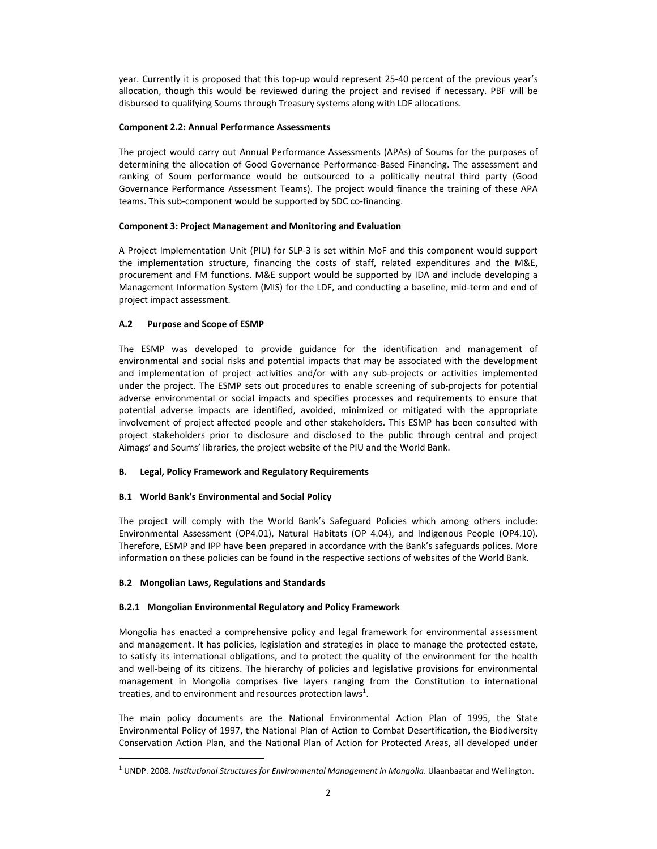year. Currently it is proposed that this top-up would represent 25-40 percent of the previous year's allocation, though this would be reviewed during the project and revised if necessary. PBF will be disbursed to qualifying Soums through Treasury systems along with LDF allocations.

## **Component 2.2: Annual Performance Assessments**

The project would carry out Annual Performance Assessments (APAs) of Soums for the purposes of determining the allocation of Good Governance Performance‐Based Financing. The assessment and ranking of Soum performance would be outsourced to a politically neutral third party (Good Governance Performance Assessment Teams). The project would finance the training of these APA teams. This sub-component would be supported by SDC co-financing.

## **Component 3: Project Management and Monitoring and Evaluation**

A Project Implementation Unit (PIU) for SLP‐3 is set within MoF and this component would support the implementation structure, financing the costs of staff, related expenditures and the M&E, procurement and FM functions. M&E support would be supported by IDA and include developing a Management Information System (MIS) for the LDF, and conducting a baseline, mid‐term and end of project impact assessment.

## **A.2 Purpose and Scope of ESMP**

The ESMP was developed to provide guidance for the identification and management of environmental and social risks and potential impacts that may be associated with the development and implementation of project activities and/or with any sub-projects or activities implemented under the project. The ESMP sets out procedures to enable screening of sub-projects for potential adverse environmental or social impacts and specifies processes and requirements to ensure that potential adverse impacts are identified, avoided, minimized or mitigated with the appropriate involvement of project affected people and other stakeholders. This ESMP has been consulted with project stakeholders prior to disclosure and disclosed to the public through central and project Aimags' and Soums' libraries, the project website of the PIU and the World Bank.

## **B. Legal, Policy Framework and Regulatory Requirements**

## **B.1 World Bank's Environmental and Social Policy**

The project will comply with the World Bank's Safeguard Policies which among others include: Environmental Assessment (OP4.01), Natural Habitats (OP 4.04), and Indigenous People (OP4.10). Therefore, ESMP and IPP have been prepared in accordance with the Bank's safeguards polices. More information on these policies can be found in the respective sections of websites of the World Bank.

## **B.2 Mongolian Laws, Regulations and Standards**

 $\overline{a}$ 

## **B.2.1 Mongolian Environmental Regulatory and Policy Framework**

Mongolia has enacted a comprehensive policy and legal framework for environmental assessment and management. It has policies, legislation and strategies in place to manage the protected estate, to satisfy its international obligations, and to protect the quality of the environment for the health and well-being of its citizens. The hierarchy of policies and legislative provisions for environmental management in Mongolia comprises five layers ranging from the Constitution to international treaties, and to environment and resources protection laws<sup>1</sup>.

The main policy documents are the National Environmental Action Plan of 1995, the State Environmental Policy of 1997, the National Plan of Action to Combat Desertification, the Biodiversity Conservation Action Plan, and the National Plan of Action for Protected Areas, all developed under

<sup>1</sup> UNDP. 2008. *Institutional Structures for Environmental Management in Mongolia*. Ulaanbaatar and Wellington.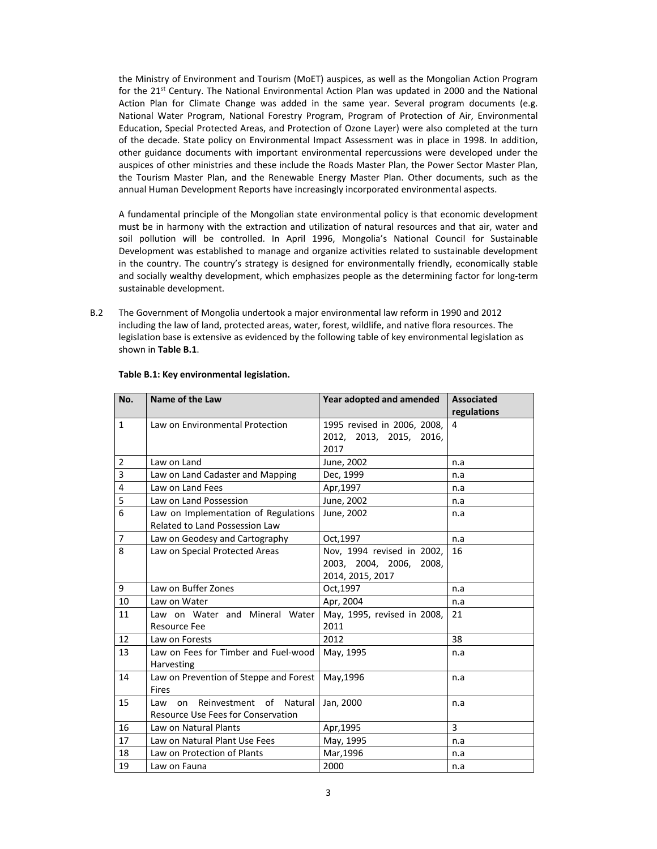the Ministry of Environment and Tourism (MoET) auspices, as well as the Mongolian Action Program for the 21<sup>st</sup> Century. The National Environmental Action Plan was updated in 2000 and the National Action Plan for Climate Change was added in the same year. Several program documents (e.g. National Water Program, National Forestry Program, Program of Protection of Air, Environmental Education, Special Protected Areas, and Protection of Ozone Layer) were also completed at the turn of the decade. State policy on Environmental Impact Assessment was in place in 1998. In addition, other guidance documents with important environmental repercussions were developed under the auspices of other ministries and these include the Roads Master Plan, the Power Sector Master Plan, the Tourism Master Plan, and the Renewable Energy Master Plan. Other documents, such as the annual Human Development Reports have increasingly incorporated environmental aspects.

A fundamental principle of the Mongolian state environmental policy is that economic development must be in harmony with the extraction and utilization of natural resources and that air, water and soil pollution will be controlled. In April 1996, Mongolia's National Council for Sustainable Development was established to manage and organize activities related to sustainable development in the country. The country's strategy is designed for environmentally friendly, economically stable and socially wealthy development, which emphasizes people as the determining factor for long‐term sustainable development.

B.2 The Government of Mongolia undertook a major environmental law reform in 1990 and 2012 including the law of land, protected areas, water, forest, wildlife, and native flora resources. The legislation base is extensive as evidenced by the following table of key environmental legislation as shown in **Table B.1**.

| No.            | Name of the Law                         | Year adopted and amended    | <b>Associated</b> |  |
|----------------|-----------------------------------------|-----------------------------|-------------------|--|
|                |                                         |                             | regulations       |  |
| $\mathbf{1}$   | Law on Environmental Protection         | 1995 revised in 2006, 2008, | 4                 |  |
|                |                                         | 2012, 2013, 2015, 2016,     |                   |  |
|                |                                         | 2017                        |                   |  |
| $\overline{2}$ | Law on Land                             | June, 2002                  | n.a               |  |
| 3              | Law on Land Cadaster and Mapping        | Dec, 1999                   | n.a               |  |
| 4              | Law on Land Fees                        | Apr, 1997                   | n.a               |  |
| 5              | Law on Land Possession                  | June, 2002                  | n.a               |  |
| 6              | Law on Implementation of Regulations    | June, 2002                  | n.a               |  |
|                | <b>Related to Land Possession Law</b>   |                             |                   |  |
| $\overline{7}$ | Law on Geodesy and Cartography          | Oct, 1997                   | n.a               |  |
| 8              | Law on Special Protected Areas          | Nov, 1994 revised in 2002,  | 16                |  |
|                |                                         | 2003, 2004, 2006, 2008,     |                   |  |
|                |                                         | 2014, 2015, 2017            |                   |  |
| 9              | Law on Buffer Zones                     | Oct, 1997                   | n.a               |  |
| 10             | Law on Water                            | Apr, 2004                   | n.a               |  |
| 11             | Law on Water and Mineral Water          | May, 1995, revised in 2008, | 21                |  |
|                | <b>Resource Fee</b>                     | 2011                        |                   |  |
| 12             | Law on Forests                          | 2012                        | 38                |  |
| 13             | Law on Fees for Timber and Fuel-wood    | May, 1995                   | n.a               |  |
|                | Harvesting                              |                             |                   |  |
| 14             | Law on Prevention of Steppe and Forest  | May, 1996                   | n.a               |  |
|                | Fires                                   |                             |                   |  |
| 15             | Reinvestment of<br>Natural<br>Law<br>on | Jan, 2000                   | n.a               |  |
|                | Resource Use Fees for Conservation      |                             |                   |  |
| 16             | Law on Natural Plants                   | Apr, 1995                   | 3                 |  |
| 17             | Law on Natural Plant Use Fees           | May, 1995                   | n.a               |  |
| 18             | Law on Protection of Plants             | Mar, 1996                   | n.a               |  |
| 19             | Law on Fauna                            | 2000                        | n.a               |  |

## **Table B.1: Key environmental legislation.**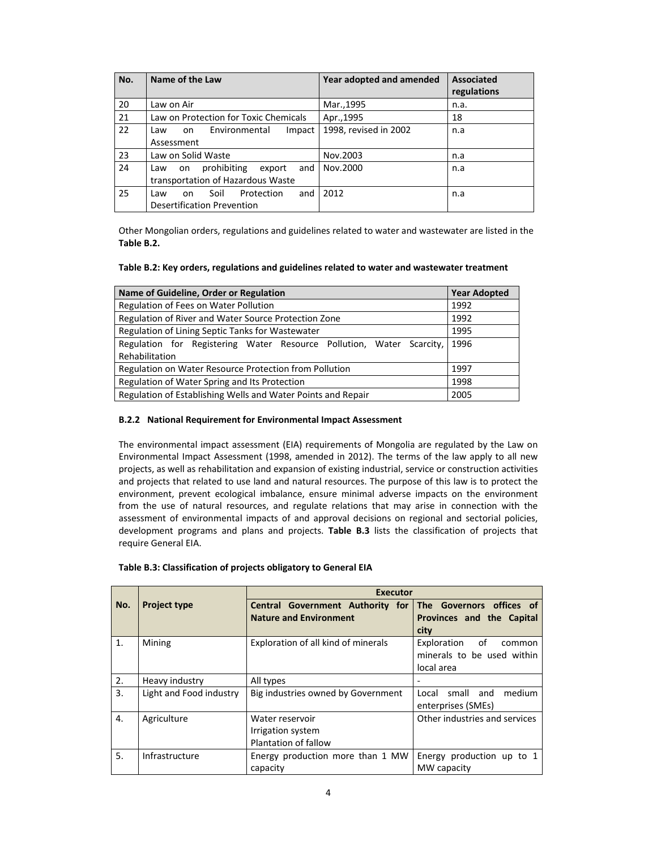| No. | Name of the Law                           | Year adopted and amended | <b>Associated</b><br>regulations |
|-----|-------------------------------------------|--------------------------|----------------------------------|
| 20  | Law on Air                                | Mar., 1995               | n.a.                             |
| 21  | Law on Protection for Toxic Chemicals     | Apr., 1995               | 18                               |
| 22  | Environmental<br>Impact<br>on<br>Law      | 1998, revised in 2002    | n.a                              |
|     | Assessment                                |                          |                                  |
| 23  | Law on Solid Waste                        | Nov.2003                 | n.a                              |
| 24  | prohibiting<br>export<br>and<br>Law<br>on | Nov.2000                 | n.a                              |
|     | transportation of Hazardous Waste         |                          |                                  |
| 25  | Soil<br>Protection<br>and<br>Law<br>on    | 2012                     | n.a                              |
|     | <b>Desertification Prevention</b>         |                          |                                  |

Other Mongolian orders, regulations and guidelines related to water and wastewater are listed in the **Table B.2.** 

#### **Table B.2: Key orders, regulations and guidelines related to water and wastewater treatment**

| Name of Guideline, Order or Regulation                               | <b>Year Adopted</b> |  |  |  |  |  |
|----------------------------------------------------------------------|---------------------|--|--|--|--|--|
| Regulation of Fees on Water Pollution                                | 1992                |  |  |  |  |  |
| Regulation of River and Water Source Protection Zone                 | 1992                |  |  |  |  |  |
| Regulation of Lining Septic Tanks for Wastewater                     | 1995                |  |  |  |  |  |
| Regulation for Registering Water Resource Pollution, Water Scarcity, | 1996                |  |  |  |  |  |
| Rehabilitation                                                       |                     |  |  |  |  |  |
| Regulation on Water Resource Protection from Pollution               | 1997                |  |  |  |  |  |
| Regulation of Water Spring and Its Protection                        | 1998                |  |  |  |  |  |
| Regulation of Establishing Wells and Water Points and Repair         | 2005                |  |  |  |  |  |

#### **B.2.2 National Requirement for Environmental Impact Assessment**

The environmental impact assessment (EIA) requirements of Mongolia are regulated by the Law on Environmental Impact Assessment (1998, amended in 2012). The terms of the law apply to all new projects, as well as rehabilitation and expansion of existing industrial, service or construction activities and projects that related to use land and natural resources. The purpose of this law is to protect the environment, prevent ecological imbalance, ensure minimal adverse impacts on the environment from the use of natural resources, and regulate relations that may arise in connection with the assessment of environmental impacts of and approval decisions on regional and sectorial policies, development programs and plans and projects. **Table B.3** lists the classification of projects that require General EIA.

|                  |                         | <b>Executor</b>                                                                            |                                                                         |  |  |  |  |  |  |
|------------------|-------------------------|--------------------------------------------------------------------------------------------|-------------------------------------------------------------------------|--|--|--|--|--|--|
| No.              | <b>Project type</b>     | Central Government Authority for The Governors offices of<br><b>Nature and Environment</b> | Provinces and the Capital<br>city                                       |  |  |  |  |  |  |
| $\mathbf{1}$     | Mining                  | Exploration of all kind of minerals                                                        | Exploration<br>of<br>common<br>minerals to be used within<br>local area |  |  |  |  |  |  |
| 2.               | Heavy industry          | All types                                                                                  |                                                                         |  |  |  |  |  |  |
| 3.               | Light and Food industry | Big industries owned by Government                                                         | small and<br>medium<br>Local<br>enterprises (SMEs)                      |  |  |  |  |  |  |
| $\overline{4}$ . | Agriculture             | Water reservoir<br>Irrigation system<br>Plantation of fallow                               | Other industries and services                                           |  |  |  |  |  |  |
| 5.               | Infrastructure          | Energy production more than 1 MW<br>capacity                                               | Energy production up to 1<br>MW capacity                                |  |  |  |  |  |  |

#### **Table B.3: Classification of projects obligatory to General EIA**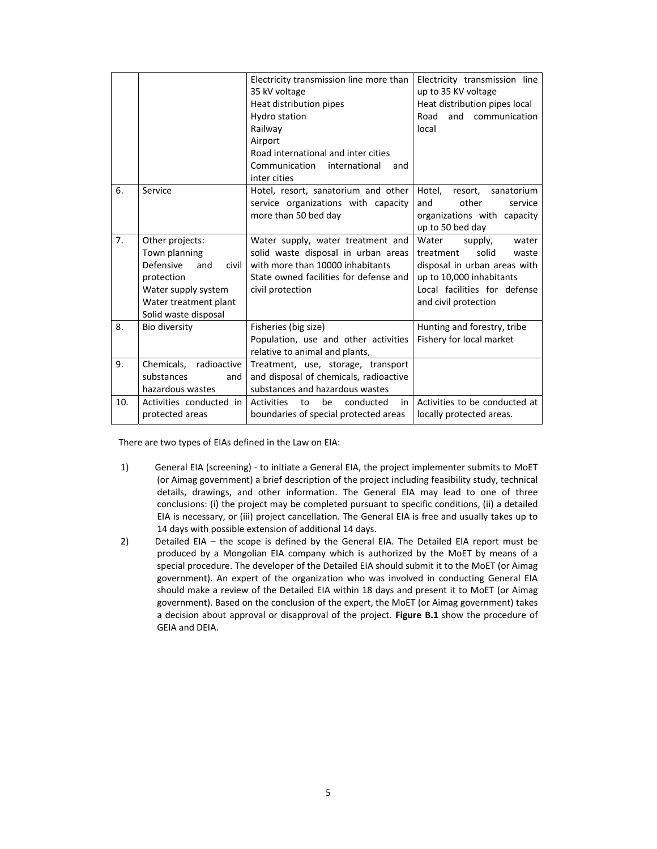|     |                                                                                                                                                     | Electricity transmission line more than<br>35 kV voltage<br>Heat distribution pipes<br>Hydro station<br>Railway<br>Airport<br>Road international and inter cities<br>Communication<br>international<br>and<br>inter cities | Electricity transmission line<br>up to 35 KV voltage<br>Heat distribution pipes local<br>Road<br>and<br>communication<br>local                                               |
|-----|-----------------------------------------------------------------------------------------------------------------------------------------------------|----------------------------------------------------------------------------------------------------------------------------------------------------------------------------------------------------------------------------|------------------------------------------------------------------------------------------------------------------------------------------------------------------------------|
| 6.  | Service                                                                                                                                             | Hotel, resort, sanatorium and other<br>service organizations with capacity<br>more than 50 bed day                                                                                                                         | Hotel,<br>resort,<br>sanatorium<br>other<br>service<br>and<br>organizations with capacity<br>up to 50 bed day                                                                |
| 7.  | Other projects:<br>Town planning<br>Defensive<br>civil<br>and<br>protection<br>Water supply system<br>Water treatment plant<br>Solid waste disposal | Water supply, water treatment and<br>solid waste disposal in urban areas<br>with more than 10000 inhabitants<br>State owned facilities for defense and<br>civil protection                                                 | Water<br>supply,<br>water<br>solid<br>treatment<br>waste<br>disposal in urban areas with<br>up to 10,000 inhabitants<br>Local facilities for defense<br>and civil protection |
| 8.  | Bio diversity                                                                                                                                       | Fisheries (big size)<br>Population, use and other activities<br>relative to animal and plants,                                                                                                                             | Hunting and forestry, tribe<br>Fishery for local market                                                                                                                      |
| 9.  | Chemicals, radioactive<br>substances<br>and<br>hazardous wastes                                                                                     | Treatment, use, storage, transport<br>and disposal of chemicals, radioactive<br>substances and hazardous wastes                                                                                                            |                                                                                                                                                                              |
| 10. | Activities conducted in<br>protected areas                                                                                                          | be<br>conducted<br>in<br>Activities<br>to<br>boundaries of special protected areas                                                                                                                                         | Activities to be conducted at<br>locally protected areas.                                                                                                                    |

There are two types of EIAs defined in the Law on EIA:

- 1) General EIA (screening) ‐ to initiate a General EIA, the project implementer submits to MoET (or Aimag government) a brief description of the project including feasibility study, technical details, drawings, and other information. The General EIA may lead to one of three conclusions: (i) the project may be completed pursuant to specific conditions, (ii) a detailed EIA is necessary, or (iii) project cancellation. The General EIA is free and usually takes up to 14 days with possible extension of additional 14 days.
- 2) Detailed EIA the scope is defined by the General EIA. The Detailed EIA report must be produced by a Mongolian EIA company which is authorized by the MoET by means of a special procedure. The developer of the Detailed EIA should submit it to the MoET (or Aimag government). An expert of the organization who was involved in conducting General EIA should make a review of the Detailed EIA within 18 days and present it to MoET (or Aimag government). Based on the conclusion of the expert, the MoET (or Aimag government) takes a decision about approval or disapproval of the project. Figure B.1 show the procedure of GEIA and DEIA.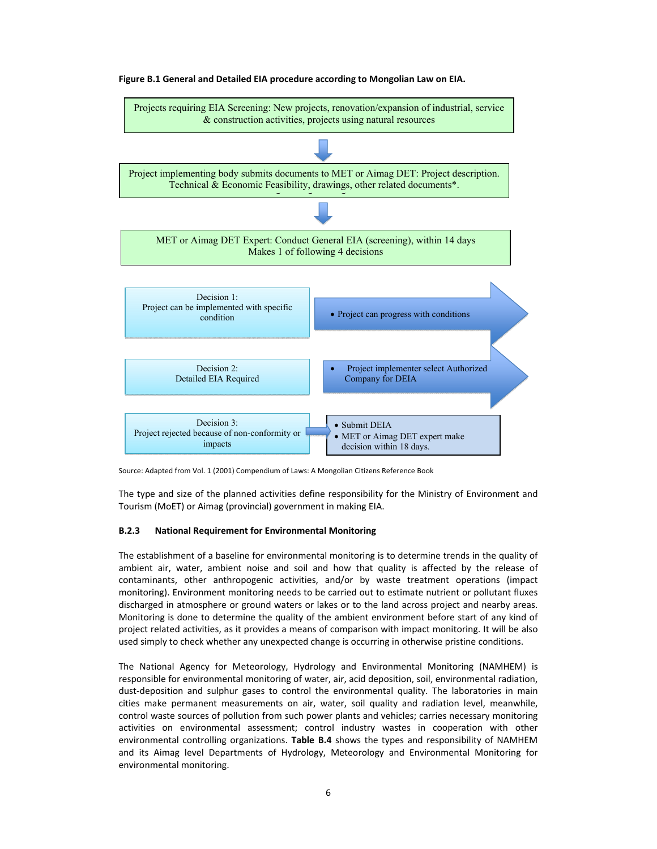

#### **Figure B.1 General and Detailed EIA procedure according to Mongolian Law on EIA.**

Source: Adapted from Vol. 1 (2001) Compendium of Laws: A Mongolian Citizens Reference Book

The type and size of the planned activities define responsibility for the Ministry of Environment and Tourism (MoET) or Aimag (provincial) government in making EIA.

#### **B.2.3 National Requirement for Environmental Monitoring**

The establishment of a baseline for environmental monitoring is to determine trends in the quality of ambient air, water, ambient noise and soil and how that quality is affected by the release of contaminants, other anthropogenic activities, and/or by waste treatment operations (impact monitoring). Environment monitoring needs to be carried out to estimate nutrient or pollutant fluxes discharged in atmosphere or ground waters or lakes or to the land across project and nearby areas. Monitoring is done to determine the quality of the ambient environment before start of any kind of project related activities, as it provides a means of comparison with impact monitoring. It will be also used simply to check whether any unexpected change is occurring in otherwise pristine conditions.

The National Agency for Meteorology, Hydrology and Environmental Monitoring (NAMHEM) is responsible for environmental monitoring of water, air, acid deposition, soil, environmental radiation, dust-deposition and sulphur gases to control the environmental quality. The laboratories in main cities make permanent measurements on air, water, soil quality and radiation level, meanwhile, control waste sources of pollution from such power plants and vehicles; carries necessary monitoring activities on environmental assessment; control industry wastes in cooperation with other environmental controlling organizations. **Table B.4** shows the types and responsibility of NAMHEM and its Aimag level Departments of Hydrology, Meteorology and Environmental Monitoring for environmental monitoring.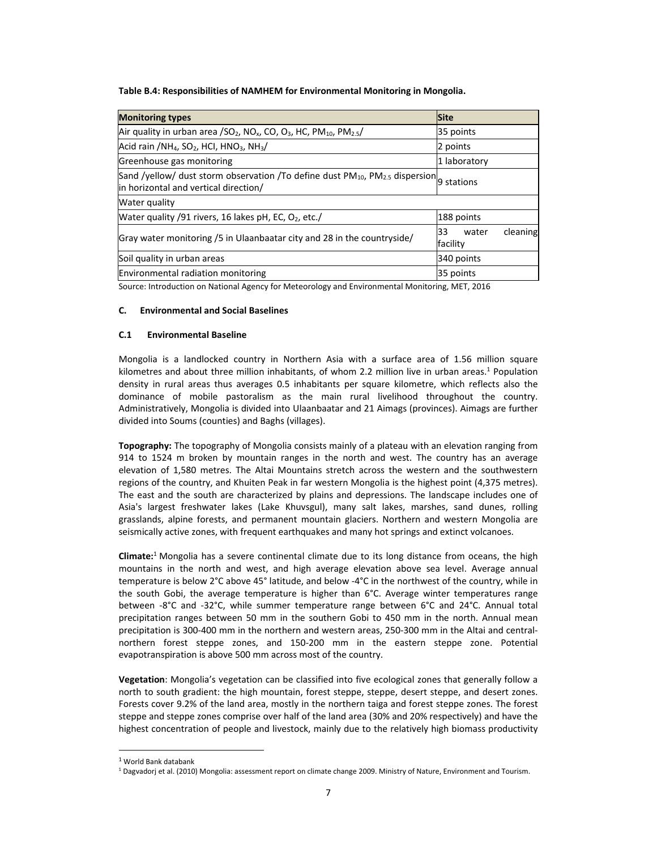**Table B.4: Responsibilities of NAMHEM for Environmental Monitoring in Mongolia.** 

| <b>Monitoring types</b>                                                                                                                          | <b>Site</b>                         |  |  |
|--------------------------------------------------------------------------------------------------------------------------------------------------|-------------------------------------|--|--|
| Air quality in urban area /SO <sub>2</sub> , NO <sub>x</sub> , CO, O <sub>3</sub> , HC, PM <sub>10</sub> , PM <sub>2.5</sub> /                   | 35 points                           |  |  |
| $Acid$ rain /NH <sub>4</sub> , SO <sub>2</sub> , HCI, HNO <sub>3</sub> , NH <sub>3</sub> /                                                       | 2 points                            |  |  |
| Greenhouse gas monitoring                                                                                                                        | 1 laboratory                        |  |  |
| Sand /yellow/ dust storm observation /To define dust $PM_{10}$ , $PM_{2.5}$ dispersion $\beta$ stations<br>in horizontal and vertical direction/ |                                     |  |  |
| Water quality                                                                                                                                    |                                     |  |  |
| Water quality /91 rivers, 16 lakes pH, EC, $O_2$ , etc./                                                                                         | 188 points                          |  |  |
| Gray water monitoring /5 in Ulaanbaatar city and 28 in the countryside/                                                                          | cleaning<br>33<br>water<br>facility |  |  |
| Soil quality in urban areas                                                                                                                      | 340 points                          |  |  |
| <b>Environmental radiation monitoring</b>                                                                                                        | 35 points                           |  |  |

Source: Introduction on National Agency for Meteorology and Environmental Monitoring, MET, 2016

## **C. Environmental and Social Baselines**

## **C.1 Environmental Baseline**

Mongolia is a landlocked country in Northern Asia with a surface area of 1.56 million square kilometres and about three million inhabitants, of whom 2.2 million live in urban areas.<sup>1</sup> Population density in rural areas thus averages 0.5 inhabitants per square kilometre, which reflects also the dominance of mobile pastoralism as the main rural livelihood throughout the country. Administratively, Mongolia is divided into Ulaanbaatar and 21 Aimags (provinces). Aimags are further divided into Soums (counties) and Baghs (villages).

**Topography:** The topography of Mongolia consists mainly of a plateau with an elevation ranging from 914 to 1524 m broken by mountain ranges in the north and west. The country has an average elevation of 1,580 metres. The Altai Mountains stretch across the western and the southwestern regions of the country, and Khuiten Peak in far western Mongolia is the highest point (4,375 metres). The east and the south are characterized by plains and depressions. The landscape includes one of Asia's largest freshwater lakes (Lake Khuvsgul), many salt lakes, marshes, sand dunes, rolling grasslands, alpine forests, and permanent mountain glaciers. Northern and western Mongolia are seismically active zones, with frequent earthquakes and many hot springs and extinct volcanoes.

**Climate:**<sup>1</sup> Mongolia has a severe continental climate due to its long distance from oceans, the high mountains in the north and west, and high average elevation above sea level. Average annual temperature is below 2°C above 45° latitude, and below ‐4°C in the northwest of the country, while in the south Gobi, the average temperature is higher than 6°C. Average winter temperatures range between -8°C and -32°C, while summer temperature range between 6°C and 24°C. Annual total precipitation ranges between 50 mm in the southern Gobi to 450 mm in the north. Annual mean precipitation is 300-400 mm in the northern and western areas, 250-300 mm in the Altai and centralnorthern forest steppe zones, and 150‐200 mm in the eastern steppe zone. Potential evapotranspiration is above 500 mm across most of the country.

**Vegetation**: Mongolia's vegetation can be classified into five ecological zones that generally follow a north to south gradient: the high mountain, forest steppe, steppe, desert steppe, and desert zones. Forests cover 9.2% of the land area, mostly in the northern taiga and forest steppe zones. The forest steppe and steppe zones comprise over half of the land area (30% and 20% respectively) and have the highest concentration of people and livestock, mainly due to the relatively high biomass productivity

 $\overline{a}$ 

<sup>1</sup> World Bank databank

<sup>1</sup> Dagvadorj et al. (2010) Mongolia: assessment report on climate change 2009. Ministry of Nature, Environment and Tourism.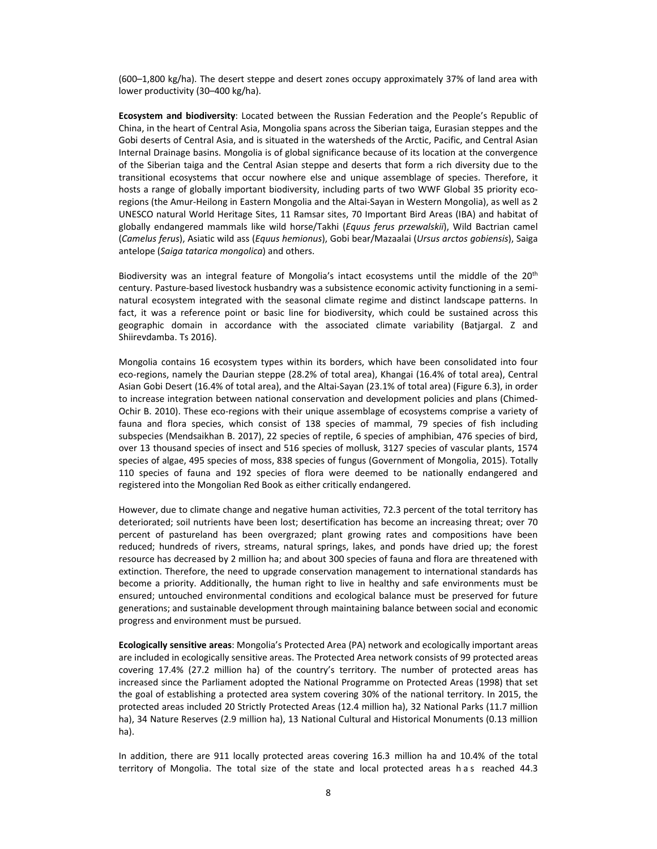(600–1,800 kg/ha). The desert steppe and desert zones occupy approximately 37% of land area with lower productivity (30–400 kg/ha).

**Ecosystem and biodiversity**: Located between the Russian Federation and the People's Republic of China, in the heart of Central Asia, Mongolia spans across the Siberian taiga, Eurasian steppes and the Gobi deserts of Central Asia, and is situated in the watersheds of the Arctic, Pacific, and Central Asian Internal Drainage basins. Mongolia is of global significance because of its location at the convergence of the Siberian taiga and the Central Asian steppe and deserts that form a rich diversity due to the transitional ecosystems that occur nowhere else and unique assemblage of species. Therefore, it hosts a range of globally important biodiversity, including parts of two WWF Global 35 priority ecoregions (the Amur‐Heilong in Eastern Mongolia and the Altai‐Sayan in Western Mongolia), as well as 2 UNESCO natural World Heritage Sites, 11 Ramsar sites, 70 Important Bird Areas (IBA) and habitat of globally endangered mammals like wild horse/Takhi (*Equus ferus przewalskii*), Wild Bactrian camel (*Camelus ferus*), Asiatic wild ass (*Equus hemionus*), Gobi bear/Mazaalai (*Ursus arctos gobiensis*), Saiga antelope (*Saiga tatarica mongolica*) and others.

Biodiversity was an integral feature of Mongolia's intact ecosystems until the middle of the 20<sup>th</sup> century. Pasture-based livestock husbandry was a subsistence economic activity functioning in a seminatural ecosystem integrated with the seasonal climate regime and distinct landscape patterns. In fact, it was a reference point or basic line for biodiversity, which could be sustained across this geographic domain in accordance with the associated climate variability (Batjargal. Z and Shiirevdamba. Ts 2016).

Mongolia contains 16 ecosystem types within its borders, which have been consolidated into four eco-regions, namely the Daurian steppe (28.2% of total area), Khangai (16.4% of total area), Central Asian Gobi Desert (16.4% of total area), and the Altai‐Sayan (23.1% of total area) (Figure 6.3), in order to increase integration between national conservation and development policies and plans (Chimed-Ochir B. 2010). These eco-regions with their unique assemblage of ecosystems comprise a variety of fauna and flora species, which consist of 138 species of mammal, 79 species of fish including subspecies (Mendsaikhan B. 2017), 22 species of reptile, 6 species of amphibian, 476 species of bird, over 13 thousand species of insect and 516 species of mollusk, 3127 species of vascular plants, 1574 species of algae, 495 species of moss, 838 species of fungus (Government of Mongolia, 2015). Totally 110 species of fauna and 192 species of flora were deemed to be nationally endangered and registered into the Mongolian Red Book as either critically endangered.

However, due to climate change and negative human activities, 72.3 percent of the total territory has deteriorated; soil nutrients have been lost; desertification has become an increasing threat; over 70 percent of pastureland has been overgrazed; plant growing rates and compositions have been reduced; hundreds of rivers, streams, natural springs, lakes, and ponds have dried up; the forest resource has decreased by 2 million ha; and about 300 species of fauna and flora are threatened with extinction. Therefore, the need to upgrade conservation management to international standards has become a priority. Additionally, the human right to live in healthy and safe environments must be ensured; untouched environmental conditions and ecological balance must be preserved for future generations; and sustainable development through maintaining balance between social and economic progress and environment must be pursued.

**Ecologically sensitive areas**: Mongolia's Protected Area (PA) network and ecologically important areas are included in ecologically sensitive areas. The Protected Area network consists of 99 protected areas covering 17.4% (27.2 million ha) of the country's territory. The number of protected areas has increased since the Parliament adopted the National Programme on Protected Areas (1998) that set the goal of establishing a protected area system covering 30% of the national territory. In 2015, the protected areas included 20 Strictly Protected Areas (12.4 million ha), 32 National Parks (11.7 million ha), 34 Nature Reserves (2.9 million ha), 13 National Cultural and Historical Monuments (0.13 million ha).

In addition, there are 911 locally protected areas covering 16.3 million ha and 10.4% of the total territory of Mongolia. The total size of the state and local protected areas has reached 44.3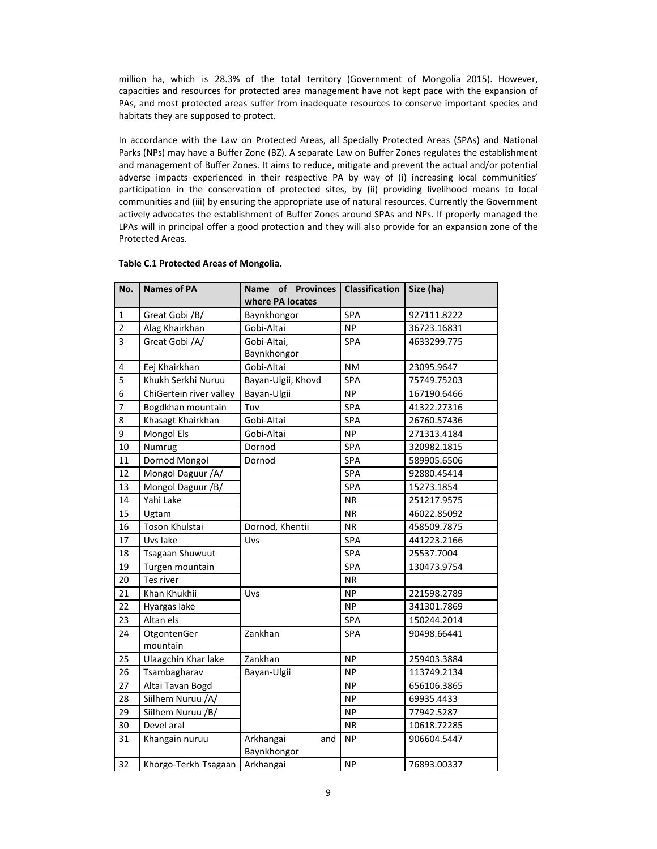million ha, which is 28.3% of the total territory (Government of Mongolia 2015). However, capacities and resources for protected area management have not kept pace with the expansion of PAs, and most protected areas suffer from inadequate resources to conserve important species and habitats they are supposed to protect.

In accordance with the Law on Protected Areas, all Specially Protected Areas (SPAs) and National Parks (NPs) may have a Buffer Zone (BZ). A separate Law on Buffer Zones regulates the establishment and management of Buffer Zones. It aims to reduce, mitigate and prevent the actual and/or potential adverse impacts experienced in their respective PA by way of (i) increasing local communities' participation in the conservation of protected sites, by (ii) providing livelihood means to local communities and (iii) by ensuring the appropriate use of natural resources. Currently the Government actively advocates the establishment of Buffer Zones around SPAs and NPs. If properly managed the LPAs will in principal offer a good protection and they will also provide for an expansion zone of the Protected Areas.

| No.            | <b>Names of PA</b>      | Name of Provinces<br>where PA locates | <b>Classification</b> | Size (ha)   |
|----------------|-------------------------|---------------------------------------|-----------------------|-------------|
| $\mathbf 1$    | Great Gobi /B/          | Baynkhongor                           | SPA                   | 927111.8222 |
| $\overline{2}$ | Alag Khairkhan          | Gobi-Altai                            | <b>NP</b>             | 36723.16831 |
| 3              | Great Gobi /A/          | Gobi-Altai,<br>Baynkhongor            | <b>SPA</b>            | 4633299.775 |
| 4              | Eej Khairkhan           | Gobi-Altai                            | NM                    | 23095.9647  |
| 5              | Khukh Serkhi Nuruu      | Bayan-Ulgii, Khovd                    | SPA                   | 75749.75203 |
| 6              | ChiGertein river valley | Bayan-Ulgii                           | <b>NP</b>             | 167190.6466 |
| $\overline{7}$ | Bogdkhan mountain       | Tuv                                   | SPA                   | 41322.27316 |
| 8              | Khasagt Khairkhan       | Gobi-Altai                            | SPA                   | 26760.57436 |
| 9              | Mongol Els              | Gobi-Altai                            | <b>NP</b>             | 271313.4184 |
| 10             | Numrug                  | Dornod                                | SPA                   | 320982.1815 |
| 11             | Dornod Mongol           | Dornod                                | SPA                   | 589905.6506 |
| 12             | Mongol Daguur /A/       |                                       | SPA                   | 92880.45414 |
| 13             | Mongol Daguur /B/       |                                       | SPA                   | 15273.1854  |
| 14             | Yahi Lake               |                                       | <b>NR</b>             | 251217.9575 |
| 15             | Ugtam                   |                                       | <b>NR</b>             | 46022.85092 |
| 16             | Toson Khulstai          | Dornod, Khentii                       | <b>NR</b>             | 458509.7875 |
| 17             | Uvs lake                | Uvs                                   | SPA                   | 441223.2166 |
| 18             | <b>Tsagaan Shuwuut</b>  |                                       | SPA                   | 25537.7004  |
| 19             | Turgen mountain         |                                       | SPA                   | 130473.9754 |
| 20             | Tes river               |                                       | <b>NR</b>             |             |
| 21             | Khan Khukhii            | Uvs                                   | <b>NP</b>             | 221598.2789 |
| 22             | Hyargas lake            |                                       | NP.                   | 341301.7869 |
| 23             | Altan els               |                                       | SPA                   | 150244.2014 |
| 24             | OtgontenGer<br>mountain | Zankhan                               | <b>SPA</b>            | 90498.66441 |
| 25             | Ulaagchin Khar lake     | Zankhan                               | <b>NP</b>             | 259403.3884 |
| 26             | Tsambagharav            | Bayan-Ulgii                           | <b>NP</b>             | 113749.2134 |
| 27             | Altai Tavan Bogd        |                                       | ΝP                    | 656106.3865 |
| 28             | Siilhem Nuruu /A/       |                                       | <b>NP</b>             | 69935.4433  |
| 29             | Siilhem Nuruu /B/       |                                       | <b>NP</b>             | 77942.5287  |
| 30             | Devel aral              |                                       | <b>NR</b>             | 10618.72285 |
| 31             | Khangain nuruu          | Arkhangai<br>and<br>Baynkhongor       | <b>NP</b>             | 906604.5447 |
| 32             | Khorgo-Terkh Tsagaan    | Arkhangai                             | <b>NP</b>             | 76893.00337 |

#### **Table C.1 Protected Areas of Mongolia.**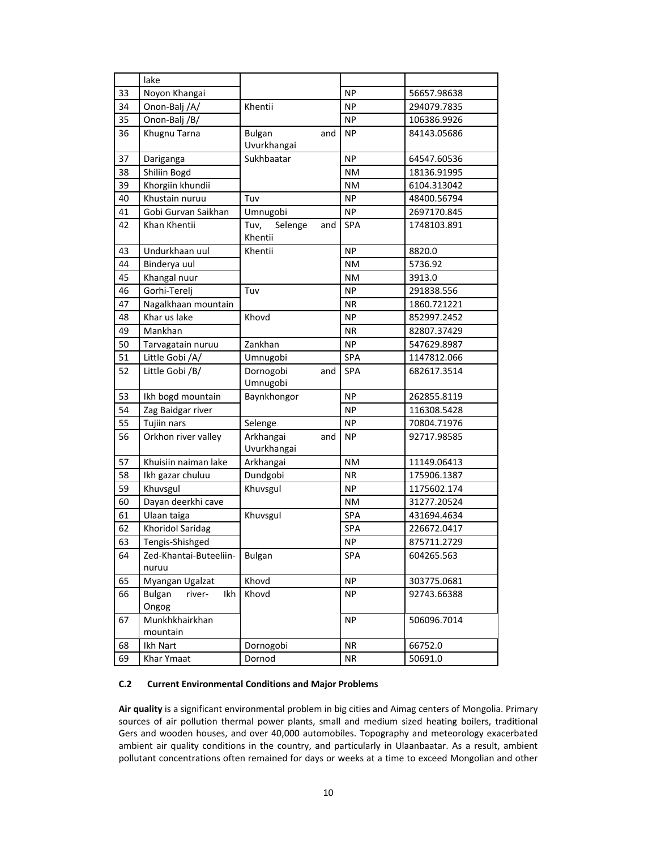|    | lake                                    |                              |     |            |             |
|----|-----------------------------------------|------------------------------|-----|------------|-------------|
| 33 | Noyon Khangai                           |                              |     | <b>NP</b>  | 56657.98638 |
| 34 | Onon-Balj /A/                           | Khentii                      |     | <b>NP</b>  | 294079.7835 |
| 35 | Onon-Balj /B/                           |                              |     | <b>NP</b>  | 106386.9926 |
| 36 | Khugnu Tarna                            | <b>Bulgan</b><br>Uvurkhangai | and | <b>NP</b>  | 84143.05686 |
| 37 | Dariganga                               | Sukhbaatar                   |     | <b>NP</b>  | 64547.60536 |
| 38 | Shiliin Bogd                            |                              |     | ΝM         | 18136.91995 |
| 39 | Khorgiin khundii                        |                              |     | <b>NM</b>  | 6104.313042 |
| 40 | Khustain nuruu                          | Tuv                          |     | <b>NP</b>  | 48400.56794 |
| 41 | Gobi Gurvan Saikhan                     | Umnugobi                     |     | <b>NP</b>  | 2697170.845 |
| 42 | Khan Khentii                            | Tuv,<br>Selenge<br>Khentii   | and | SPA        | 1748103.891 |
| 43 | Undurkhaan uul                          | Khentii                      |     | <b>NP</b>  | 8820.0      |
| 44 | Binderya uul                            |                              |     | <b>NM</b>  | 5736.92     |
| 45 | Khangal nuur                            |                              |     | <b>NM</b>  | 3913.0      |
| 46 | Gorhi-Terelj                            | Tuv                          |     | ΝP         | 291838.556  |
| 47 | Nagalkhaan mountain                     |                              |     | <b>NR</b>  | 1860.721221 |
| 48 | Khar us lake                            | Khovd                        |     | <b>NP</b>  | 852997.2452 |
| 49 | Mankhan                                 |                              |     | <b>NR</b>  | 82807.37429 |
| 50 | Tarvagatain nuruu                       | Zankhan                      |     | <b>NP</b>  | 547629.8987 |
| 51 | Little Gobi /A/                         | Umnugobi                     |     | SPA        | 1147812.066 |
| 52 | Little Gobi /B/                         | Dornogobi<br>Umnugobi        | and | <b>SPA</b> | 682617.3514 |
| 53 | Ikh bogd mountain                       | Baynkhongor                  |     | <b>NP</b>  | 262855.8119 |
| 54 | Zag Baidgar river                       |                              |     | <b>NP</b>  | 116308.5428 |
| 55 | Tujiin nars                             | Selenge                      |     | <b>NP</b>  | 70804.71976 |
| 56 | Orkhon river valley                     | Arkhangai<br>Uvurkhangai     | and | <b>NP</b>  | 92717.98585 |
| 57 | Khuisiin naiman lake                    | Arkhangai                    |     | <b>NM</b>  | 11149.06413 |
| 58 | Ikh gazar chuluu                        | Dundgobi                     |     | <b>NR</b>  | 175906.1387 |
| 59 | Khuvsgul                                | Khuvsgul                     |     | <b>NP</b>  | 1175602.174 |
| 60 | Dayan deerkhi cave                      |                              |     | <b>NM</b>  | 31277.20524 |
| 61 | Ulaan taiga                             | Khuvsgul                     |     | SPA        | 431694.4634 |
| 62 | <b>Khoridol Saridag</b>                 |                              |     | SPA        | 226672.0417 |
| 63 | Tengis-Shishged                         |                              |     | <b>NP</b>  | 875711.2729 |
| 64 | Zed-Khantai-Buteeliin-<br>nuruu         | <b>Bulgan</b>                |     | SPA        | 604265.563  |
| 65 | Myangan Ugalzat                         | Khovd                        |     | <b>NP</b>  | 303775.0681 |
| 66 | <b>Bulgan</b><br>river-<br>Ikh<br>Ongog | Khovd                        |     | NP.        | 92743.66388 |
| 67 | Munkhkhairkhan<br>mountain              |                              |     | <b>NP</b>  | 506096.7014 |
| 68 | Ikh Nart                                | Dornogobi                    |     | <b>NR</b>  | 66752.0     |
| 69 | Khar Ymaat                              | Dornod                       |     | NR         | 50691.0     |

## **C.2 Current Environmental Conditions and Major Problems**

**Air quality** is a significant environmental problem in big cities and Aimag centers of Mongolia. Primary sources of air pollution thermal power plants, small and medium sized heating boilers, traditional Gers and wooden houses, and over 40,000 automobiles. Topography and meteorology exacerbated ambient air quality conditions in the country, and particularly in Ulaanbaatar. As a result, ambient pollutant concentrations often remained for days or weeks at a time to exceed Mongolian and other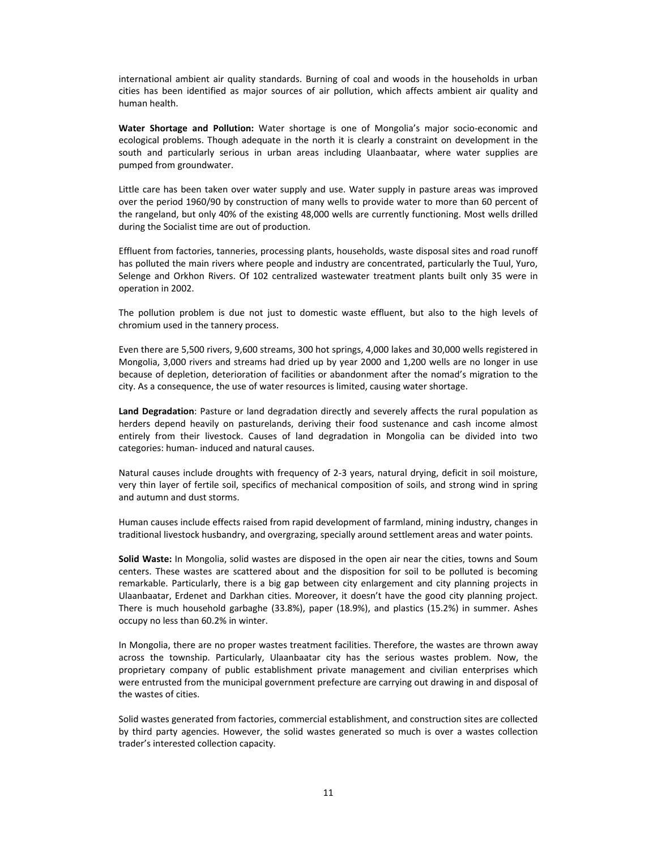international ambient air quality standards. Burning of coal and woods in the households in urban cities has been identified as major sources of air pollution, which affects ambient air quality and human health.

Water Shortage and Pollution: Water shortage is one of Mongolia's major socio-economic and ecological problems. Though adequate in the north it is clearly a constraint on development in the south and particularly serious in urban areas including Ulaanbaatar, where water supplies are pumped from groundwater.

Little care has been taken over water supply and use. Water supply in pasture areas was improved over the period 1960/90 by construction of many wells to provide water to more than 60 percent of the rangeland, but only 40% of the existing 48,000 wells are currently functioning. Most wells drilled during the Socialist time are out of production.

Effluent from factories, tanneries, processing plants, households, waste disposal sites and road runoff has polluted the main rivers where people and industry are concentrated, particularly the Tuul, Yuro, Selenge and Orkhon Rivers. Of 102 centralized wastewater treatment plants built only 35 were in operation in 2002.

The pollution problem is due not just to domestic waste effluent, but also to the high levels of chromium used in the tannery process.

Even there are 5,500 rivers, 9,600 streams, 300 hot springs, 4,000 lakes and 30,000 wells registered in Mongolia, 3,000 rivers and streams had dried up by year 2000 and 1,200 wells are no longer in use because of depletion, deterioration of facilities or abandonment after the nomad's migration to the city. As a consequence, the use of water resources is limited, causing water shortage.

**Land Degradation**: Pasture or land degradation directly and severely affects the rural population as herders depend heavily on pasturelands, deriving their food sustenance and cash income almost entirely from their livestock. Causes of land degradation in Mongolia can be divided into two categories: human‐ induced and natural causes.

Natural causes include droughts with frequency of 2-3 years, natural drying, deficit in soil moisture, very thin layer of fertile soil, specifics of mechanical composition of soils, and strong wind in spring and autumn and dust storms.

Human causes include effects raised from rapid development of farmland, mining industry, changes in traditional livestock husbandry, and overgrazing, specially around settlement areas and water points.

**Solid Waste:** In Mongolia, solid wastes are disposed in the open air near the cities, towns and Soum centers. These wastes are scattered about and the disposition for soil to be polluted is becoming remarkable. Particularly, there is a big gap between city enlargement and city planning projects in Ulaanbaatar, Erdenet and Darkhan cities. Moreover, it doesn't have the good city planning project. There is much household garbaghe (33.8%), paper (18.9%), and plastics (15.2%) in summer. Ashes occupy no less than 60.2% in winter.

In Mongolia, there are no proper wastes treatment facilities. Therefore, the wastes are thrown away across the township. Particularly, Ulaanbaatar city has the serious wastes problem. Now, the proprietary company of public establishment private management and civilian enterprises which were entrusted from the municipal government prefecture are carrying out drawing in and disposal of the wastes of cities.

Solid wastes generated from factories, commercial establishment, and construction sites are collected by third party agencies. However, the solid wastes generated so much is over a wastes collection trader's interested collection capacity.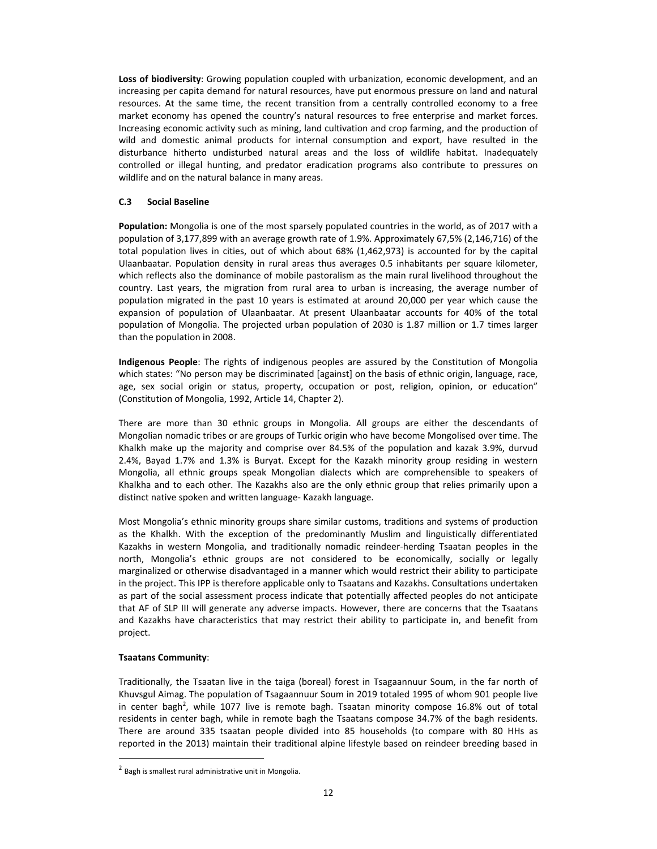**Loss of biodiversity**: Growing population coupled with urbanization, economic development, and an increasing per capita demand for natural resources, have put enormous pressure on land and natural resources. At the same time, the recent transition from a centrally controlled economy to a free market economy has opened the country's natural resources to free enterprise and market forces. Increasing economic activity such as mining, land cultivation and crop farming, and the production of wild and domestic animal products for internal consumption and export, have resulted in the disturbance hitherto undisturbed natural areas and the loss of wildlife habitat. Inadequately controlled or illegal hunting, and predator eradication programs also contribute to pressures on wildlife and on the natural balance in many areas.

## **C.3 Social Baseline**

**Population:** Mongolia is one of the most sparsely populated countries in the world, as of 2017 with a population of 3,177,899 with an average growth rate of 1.9%. Approximately 67,5% (2,146,716) of the total population lives in cities, out of which about 68% (1,462,973) is accounted for by the capital Ulaanbaatar. Population density in rural areas thus averages 0.5 inhabitants per square kilometer, which reflects also the dominance of mobile pastoralism as the main rural livelihood throughout the country. Last years, the migration from rural area to urban is increasing, the average number of population migrated in the past 10 years is estimated at around 20,000 per year which cause the expansion of population of Ulaanbaatar. At present Ulaanbaatar accounts for 40% of the total population of Mongolia. The projected urban population of 2030 is 1.87 million or 1.7 times larger than the population in 2008.

**Indigenous People**: The rights of indigenous peoples are assured by the Constitution of Mongolia which states: "No person may be discriminated [against] on the basis of ethnic origin, language, race, age, sex social origin or status, property, occupation or post, religion, opinion, or education" (Constitution of Mongolia, 1992, Article 14, Chapter 2).

There are more than 30 ethnic groups in Mongolia. All groups are either the descendants of Mongolian nomadic tribes or are groups of Turkic origin who have become Mongolised over time. The Khalkh make up the majority and comprise over 84.5% of the population and kazak 3.9%, durvud 2.4%, Bayad 1.7% and 1.3% is Buryat. Except for the Kazakh minority group residing in western Mongolia, all ethnic groups speak Mongolian dialects which are comprehensible to speakers of Khalkha and to each other. The Kazakhs also are the only ethnic group that relies primarily upon a distinct native spoken and written language‐ Kazakh language.

Most Mongolia's ethnic minority groups share similar customs, traditions and systems of production as the Khalkh. With the exception of the predominantly Muslim and linguistically differentiated Kazakhs in western Mongolia, and traditionally nomadic reindeer-herding Tsaatan peoples in the north, Mongolia's ethnic groups are not considered to be economically, socially or legally marginalized or otherwise disadvantaged in a manner which would restrict their ability to participate in the project. This IPP is therefore applicable only to Tsaatans and Kazakhs. Consultations undertaken as part of the social assessment process indicate that potentially affected peoples do not anticipate that AF of SLP III will generate any adverse impacts. However, there are concerns that the Tsaatans and Kazakhs have characteristics that may restrict their ability to participate in, and benefit from project.

## **Tsaatans Community**:

 $\overline{a}$ 

Traditionally, the Tsaatan live in the taiga (boreal) forest in Tsagaannuur Soum, in the far north of Khuvsgul Aimag. The population of Tsagaannuur Soum in 2019 totaled 1995 of whom 901 people live in center bagh<sup>2</sup>, while 1077 live is remote bagh. Tsaatan minority compose 16.8% out of total residents in center bagh, while in remote bagh the Tsaatans compose 34.7% of the bagh residents. There are around 335 tsaatan people divided into 85 households (to compare with 80 HHs as reported in the 2013) maintain their traditional alpine lifestyle based on reindeer breeding based in

<sup>&</sup>lt;sup>2</sup> Bagh is smallest rural administrative unit in Mongolia.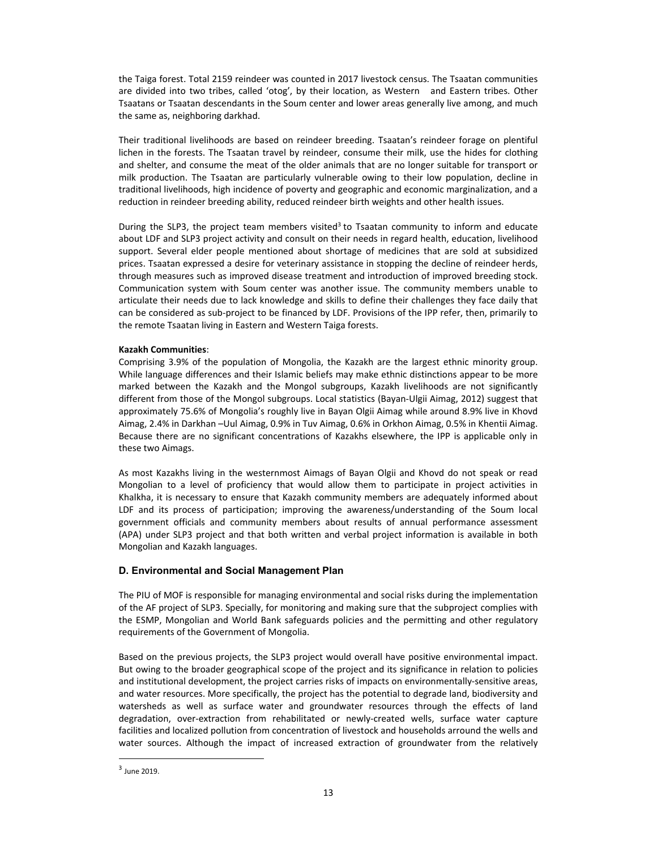the Taiga forest. Total 2159 reindeer was counted in 2017 livestock census. The Tsaatan communities are divided into two tribes, called 'otog', by their location, as Western and Eastern tribes. Other Tsaatans or Tsaatan descendants in the Soum center and lower areas generally live among, and much the same as, neighboring darkhad.

Their traditional livelihoods are based on reindeer breeding. Tsaatan's reindeer forage on plentiful lichen in the forests. The Tsaatan travel by reindeer, consume their milk, use the hides for clothing and shelter, and consume the meat of the older animals that are no longer suitable for transport or milk production. The Tsaatan are particularly vulnerable owing to their low population, decline in traditional livelihoods, high incidence of poverty and geographic and economic marginalization, and a reduction in reindeer breeding ability, reduced reindeer birth weights and other health issues.

During the SLP3, the project team members visited<sup>3</sup> to Tsaatan community to inform and educate about LDF and SLP3 project activity and consult on their needs in regard health, education, livelihood support. Several elder people mentioned about shortage of medicines that are sold at subsidized prices. Tsaatan expressed a desire for veterinary assistance in stopping the decline of reindeer herds, through measures such as improved disease treatment and introduction of improved breeding stock. Communication system with Soum center was another issue. The community members unable to articulate their needs due to lack knowledge and skills to define their challenges they face daily that can be considered as sub-project to be financed by LDF. Provisions of the IPP refer, then, primarily to the remote Tsaatan living in Eastern and Western Taiga forests.

#### **Kazakh Communities**:

Comprising 3.9% of the population of Mongolia, the Kazakh are the largest ethnic minority group. While language differences and their Islamic beliefs may make ethnic distinctions appear to be more marked between the Kazakh and the Mongol subgroups, Kazakh livelihoods are not significantly different from those of the Mongol subgroups. Local statistics (Bayan‐Ulgii Aimag, 2012) suggest that approximately 75.6% of Mongolia's roughly live in Bayan Olgii Aimag while around 8.9% live in Khovd Aimag, 2.4% in Darkhan –Uul Aimag, 0.9% in Tuv Aimag, 0.6% in Orkhon Aimag, 0.5% in Khentii Aimag. Because there are no significant concentrations of Kazakhs elsewhere, the IPP is applicable only in these two Aimags.

As most Kazakhs living in the westernmost Aimags of Bayan Olgii and Khovd do not speak or read Mongolian to a level of proficiency that would allow them to participate in project activities in Khalkha, it is necessary to ensure that Kazakh community members are adequately informed about LDF and its process of participation; improving the awareness/understanding of the Soum local government officials and community members about results of annual performance assessment (APA) under SLP3 project and that both written and verbal project information is available in both Mongolian and Kazakh languages.

## **D. Environmental and Social Management Plan**

The PIU of MOF is responsible for managing environmental and social risks during the implementation of the AF project of SLP3. Specially, for monitoring and making sure that the subproject complies with the ESMP, Mongolian and World Bank safeguards policies and the permitting and other regulatory requirements of the Government of Mongolia.

Based on the previous projects, the SLP3 project would overall have positive environmental impact. But owing to the broader geographical scope of the project and its significance in relation to policies and institutional development, the project carries risks of impacts on environmentally-sensitive areas, and water resources. More specifically, the project has the potential to degrade land, biodiversity and watersheds as well as surface water and groundwater resources through the effects of land degradation, over-extraction from rehabilitated or newly-created wells, surface water capture facilities and localized pollution from concentration of livestock and households arround the wells and water sources. Although the impact of increased extraction of groundwater from the relatively

 $\overline{a}$ 

<sup>3</sup> June 2019.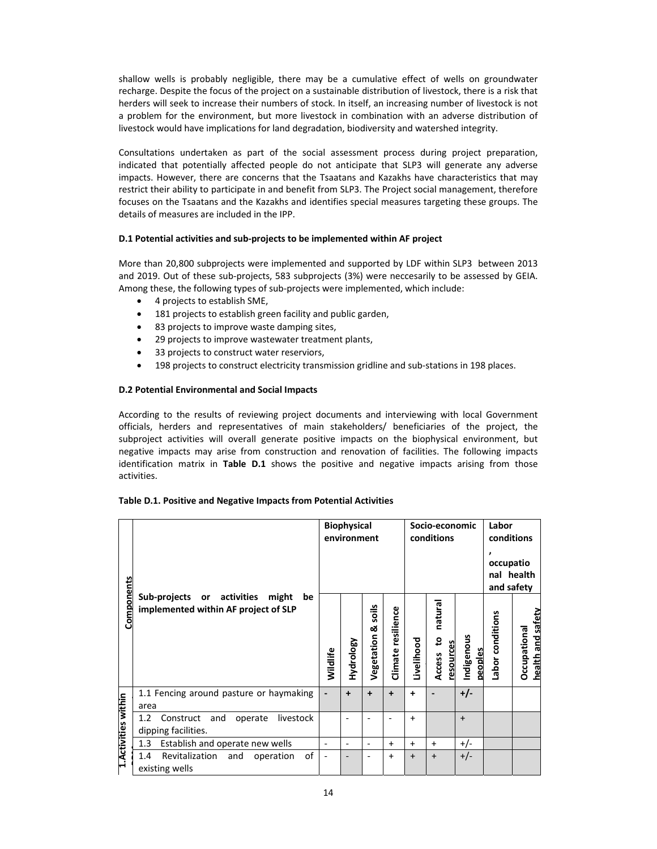shallow wells is probably negligible, there may be a cumulative effect of wells on groundwater recharge. Despite the focus of the project on a sustainable distribution of livestock, there is a risk that herders will seek to increase their numbers of stock. In itself, an increasing number of livestock is not a problem for the environment, but more livestock in combination with an adverse distribution of livestock would have implications for land degradation, biodiversity and watershed integrity.

Consultations undertaken as part of the social assessment process during project preparation, indicated that potentially affected people do not anticipate that SLP3 will generate any adverse impacts. However, there are concerns that the Tsaatans and Kazakhs have characteristics that may restrict their ability to participate in and benefit from SLP3. The Project social management, therefore focuses on the Tsaatans and the Kazakhs and identifies special measures targeting these groups. The details of measures are included in the IPP.

## **D.1 Potential activities and sub‐projects to be implemented within AF project**

More than 20,800 subprojects were implemented and supported by LDF within SLP3 between 2013 and 2019. Out of these sub-projects, 583 subprojects (3%) were neccesarily to be assessed by GEIA. Among these, the following types of sub‐projects were implemented, which include:

- 4 projects to establish SME,
- 181 projects to establish green facility and public garden,
- 83 projects to improve waste damping sites,
- 29 projects to improve wastewater treatment plants,
- 33 projects to construct water reserviors,
- 198 projects to construct electricity transmission gridline and sub-stations in 198 places.

#### **D.2 Potential Environmental and Social Impacts**

According to the results of reviewing project documents and interviewing with local Government officials, herders and representatives of main stakeholders/ beneficiaries of the project, the subproject activities will overall generate positive impacts on the biophysical environment, but negative impacts may arise from construction and renovation of facilities. The following impacts identification matrix in **Table D.1** shows the positive and negative impacts arising from those activities.

#### **Table D.1. Positive and Negative Impacts from Potential Activities**

| Components           | Sub-projects<br>or activities<br>might<br>be<br>implemented within AF project of SLP |                          | <b>Biophysical</b><br>environment |                          |                       | Socio-economic<br>conditions |                                            |                       | Labor<br>conditions<br>occupatio<br>nal health<br>and safety |                                                 |
|----------------------|--------------------------------------------------------------------------------------|--------------------------|-----------------------------------|--------------------------|-----------------------|------------------------------|--------------------------------------------|-----------------------|--------------------------------------------------------------|-------------------------------------------------|
|                      |                                                                                      |                          | Hydrology                         | soils<br>ఱ<br>Vegetation | resilience<br>Climate | Livelihood                   | natural<br><u>ي</u><br>resources<br>Access | Indigenous<br>peoples | Labor conditions                                             | safety<br>Occupational<br><b>Pure</b><br>health |
|                      | 1.1 Fencing around pasture or haymaking<br>area                                      |                          | $\ddot{}$                         | $\ddot{}$                | $\ddot{}$             | ٠                            |                                            | $+/-$                 |                                                              |                                                 |
| 1. Activities within | livestock<br>1.2<br>Construct<br>and<br>operate<br>dipping facilities.               |                          |                                   |                          |                       | $+$                          |                                            | $\ddot{}$             |                                                              |                                                 |
|                      | Establish and operate new wells<br>1.3                                               | $\overline{\phantom{a}}$ | $\qquad \qquad \blacksquare$      | -                        | $+$                   | $+$                          | $+$                                        | $+/-$                 |                                                              |                                                 |
|                      | of<br>Revitalization<br>1.4<br>and<br>operation<br>existing wells                    |                          |                                   |                          | $\ddot{}$             | $\ddot{}$                    | $\ddot{}$                                  | $+/-$                 |                                                              |                                                 |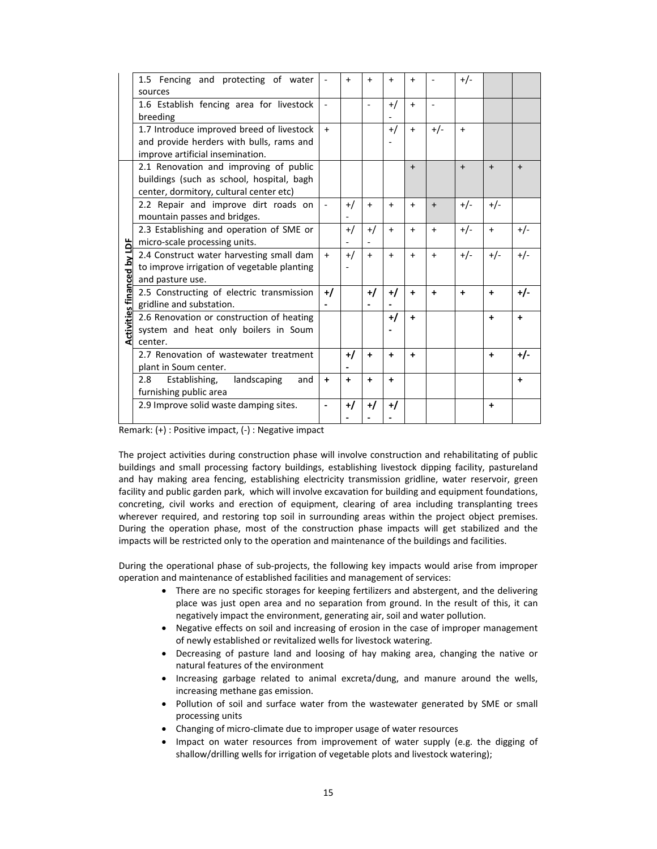|                                   | 1.5 Fencing and protecting of water<br>sources                                                                                 |                          | $\ddot{}$ | $\ddot{}$                | $\ddot{}$ | $\ddot{}$ |           | $+/-$     |       |           |
|-----------------------------------|--------------------------------------------------------------------------------------------------------------------------------|--------------------------|-----------|--------------------------|-----------|-----------|-----------|-----------|-------|-----------|
|                                   | 1.6 Establish fencing area for livestock<br>breeding                                                                           |                          |           | $\overline{\phantom{a}}$ | $^{+/-}$  | $+$       |           |           |       |           |
|                                   | 1.7 Introduce improved breed of livestock<br>and provide herders with bulls, rams and<br>improve artificial insemination.      | $+$                      |           |                          | $^{+/-}$  | $\ddot{}$ | $+/-$     | $+$       |       |           |
|                                   | 2.1 Renovation and improving of public<br>buildings (such as school, hospital, bagh<br>center, dormitory, cultural center etc) |                          |           |                          |           | $\ddot{}$ |           | $+$       | $+$   | $\ddot{}$ |
|                                   | 2.2 Repair and improve dirt roads on<br>mountain passes and bridges.                                                           | $\overline{\phantom{a}}$ | $^{+/}$   | $+$                      | $+$       | $+$       | $+$       | $+/-$     | $+/-$ |           |
|                                   | 2.3 Establishing and operation of SME or<br>micro-scale processing units.                                                      |                          | $+$ /     | $^{+/}$                  | $+$       | $+$       | $+$       | $+/-$     | $+$   | $+/-$     |
| <b>Activities financed by LDF</b> | 2.4 Construct water harvesting small dam<br>to improve irrigation of vegetable planting<br>and pasture use.                    | $+$                      | $+$ /     | $+$                      | $\ddot{}$ | $+$       | $+$       | $+/-$     | $+/-$ | $+/-$     |
|                                   | 2.5 Constructing of electric transmission<br>gridline and substation.                                                          | $+1$                     |           | $+1$                     | $+$ /     | $\ddot{}$ | $\ddot{}$ | $\ddot{}$ | +     | +/-       |
|                                   | 2.6 Renovation or construction of heating<br>system and heat only boilers in Soum<br>center.                                   |                          |           |                          | $+$ /     | ÷         |           |           | +     | ÷         |
|                                   | 2.7 Renovation of wastewater treatment<br>plant in Soum center.                                                                |                          | $+$ /     | $\ddot{}$                | +         | +         |           |           | ٠     | $+/-$     |
|                                   | Establishing,<br>landscaping<br>2.8<br>and<br>furnishing public area                                                           | $\ddot{}$                | $\ddot{}$ | ٠                        | $\ddot{}$ |           |           |           |       | $\ddot{}$ |
|                                   | 2.9 Improve solid waste damping sites.                                                                                         |                          | $^{+/}$   | +/                       | +/        |           |           |           | ٠     |           |

Remark: (+) : Positive impact, (‐) : Negative impact

The project activities during construction phase will involve construction and rehabilitating of public buildings and small processing factory buildings, establishing livestock dipping facility, pastureland and hay making area fencing, establishing electricity transmission gridline, water reservoir, green facility and public garden park, which will involve excavation for building and equipment foundations, concreting, civil works and erection of equipment, clearing of area including transplanting trees wherever required, and restoring top soil in surrounding areas within the project object premises. During the operation phase, most of the construction phase impacts will get stabilized and the impacts will be restricted only to the operation and maintenance of the buildings and facilities.

During the operational phase of sub‐projects, the following key impacts would arise from improper operation and maintenance of established facilities and management of services:

- There are no specific storages for keeping fertilizers and abstergent, and the delivering place was just open area and no separation from ground. In the result of this, it can negatively impact the environment, generating air, soil and water pollution.
- Negative effects on soil and increasing of erosion in the case of improper management of newly established or revitalized wells for livestock watering.
- Decreasing of pasture land and loosing of hay making area, changing the native or natural features of the environment
- Increasing garbage related to animal excreta/dung, and manure around the wells, increasing methane gas emission.
- Pollution of soil and surface water from the wastewater generated by SME or small processing units
- Changing of micro-climate due to improper usage of water resources
- Impact on water resources from improvement of water supply (e.g. the digging of shallow/drilling wells for irrigation of vegetable plots and livestock watering);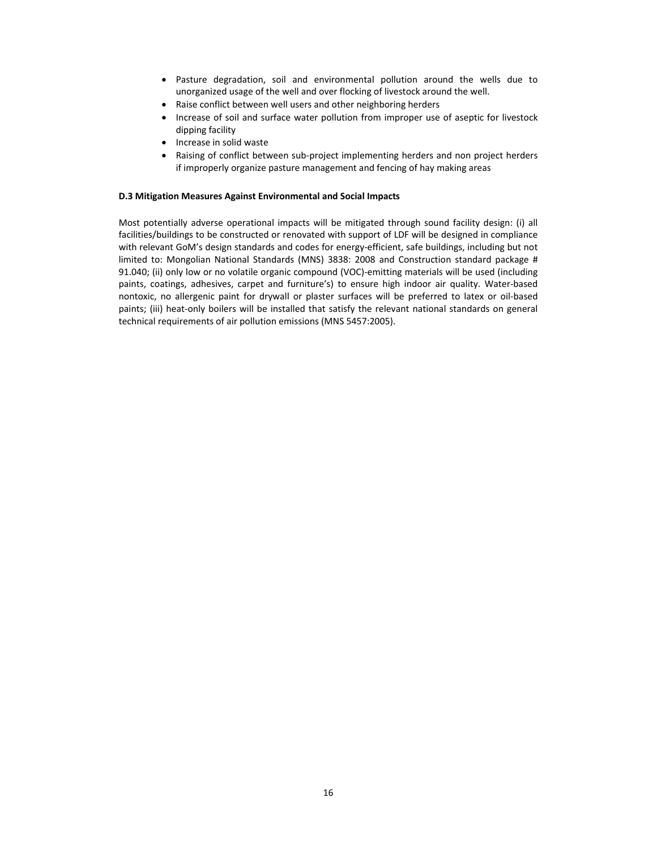- Pasture degradation, soil and environmental pollution around the wells due to unorganized usage of the well and over flocking of livestock around the well.
- Raise conflict between well users and other neighboring herders
- Increase of soil and surface water pollution from improper use of aseptic for livestock dipping facility
- Increase in solid waste
- Raising of conflict between sub-project implementing herders and non project herders if improperly organize pasture management and fencing of hay making areas

### **D.3 Mitigation Measures Against Environmental and Social Impacts**

Most potentially adverse operational impacts will be mitigated through sound facility design: (i) all facilities/buildings to be constructed or renovated with support of LDF will be designed in compliance with relevant GoM's design standards and codes for energy-efficient, safe buildings, including but not limited to: Mongolian National Standards (MNS) 3838: 2008 and Construction standard package # 91.040; (ii) only low or no volatile organic compound (VOC)-emitting materials will be used (including paints, coatings, adhesives, carpet and furniture's) to ensure high indoor air quality. Water‐based nontoxic, no allergenic paint for drywall or plaster surfaces will be preferred to latex or oil-based paints; (iii) heat-only boilers will be installed that satisfy the relevant national standards on general technical requirements of air pollution emissions (MNS 5457:2005).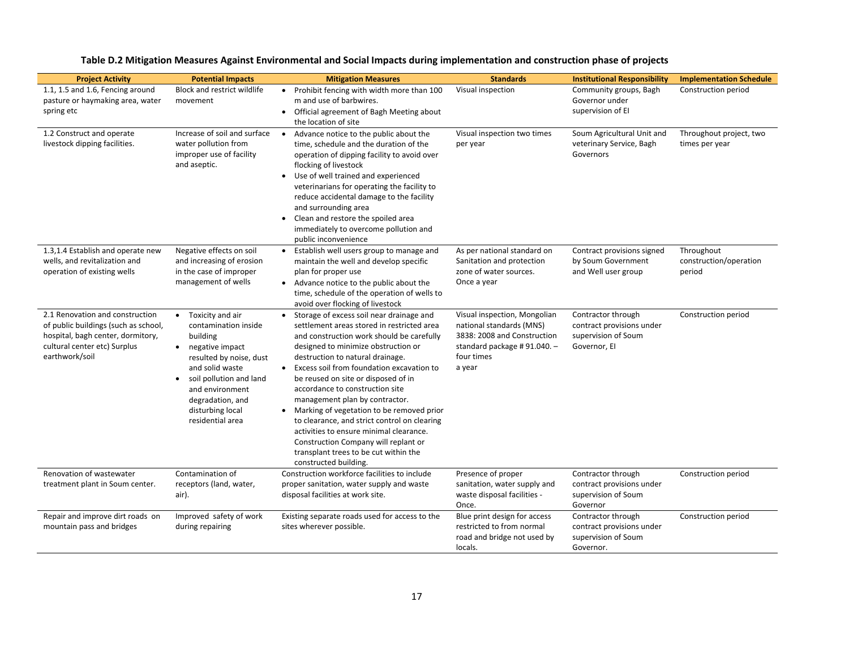| <b>Project Activity</b>                                                                                                                                        | <b>Potential Impacts</b>                                                                                                                                                                                                                                               | <b>Mitigation Measures</b>                                                                                                                                                                                                                                                                                                                                                                                                                                                                                                                                                                                                                 | <b>Standards</b>                                                                                                                               | <b>Institutional Responsibility</b>                                                    | <b>Implementation Schedule</b>                 |
|----------------------------------------------------------------------------------------------------------------------------------------------------------------|------------------------------------------------------------------------------------------------------------------------------------------------------------------------------------------------------------------------------------------------------------------------|--------------------------------------------------------------------------------------------------------------------------------------------------------------------------------------------------------------------------------------------------------------------------------------------------------------------------------------------------------------------------------------------------------------------------------------------------------------------------------------------------------------------------------------------------------------------------------------------------------------------------------------------|------------------------------------------------------------------------------------------------------------------------------------------------|----------------------------------------------------------------------------------------|------------------------------------------------|
| 1.1, 1.5 and 1.6, Fencing around<br>pasture or haymaking area, water<br>spring etc                                                                             | Block and restrict wildlife<br>movement                                                                                                                                                                                                                                | • Prohibit fencing with width more than 100<br>m and use of barbwires.<br>• Official agreement of Bagh Meeting about<br>the location of site                                                                                                                                                                                                                                                                                                                                                                                                                                                                                               | Visual inspection                                                                                                                              | Community groups, Bagh<br>Governor under<br>supervision of El                          | Construction period                            |
| 1.2 Construct and operate<br>livestock dipping facilities.                                                                                                     | Increase of soil and surface<br>water pollution from<br>improper use of facility<br>and aseptic.                                                                                                                                                                       | • Advance notice to the public about the<br>time, schedule and the duration of the<br>operation of dipping facility to avoid over<br>flocking of livestock<br>• Use of well trained and experienced<br>veterinarians for operating the facility to<br>reduce accidental damage to the facility<br>and surrounding area<br>Clean and restore the spoiled area<br>$\bullet$<br>immediately to overcome pollution and<br>public inconvenience                                                                                                                                                                                                 | Visual inspection two times<br>per year                                                                                                        | Soum Agricultural Unit and<br>veterinary Service, Bagh<br>Governors                    | Throughout project, two<br>times per year      |
| 1.3,1.4 Establish and operate new<br>wells, and revitalization and<br>operation of existing wells                                                              | Negative effects on soil<br>and increasing of erosion<br>in the case of improper<br>management of wells                                                                                                                                                                | • Establish well users group to manage and<br>maintain the well and develop specific<br>plan for proper use<br>• Advance notice to the public about the<br>time, schedule of the operation of wells to<br>avoid over flocking of livestock                                                                                                                                                                                                                                                                                                                                                                                                 | As per national standard on<br>Sanitation and protection<br>zone of water sources.<br>Once a year                                              | Contract provisions signed<br>by Soum Government<br>and Well user group                | Throughout<br>construction/operation<br>period |
| 2.1 Renovation and construction<br>of public buildings (such as school,<br>hospital, bagh center, dormitory,<br>cultural center etc) Surplus<br>earthwork/soil | Toxicity and air<br>$\bullet$<br>contamination inside<br>building<br>negative impact<br>$\bullet$<br>resulted by noise, dust<br>and solid waste<br>soil pollution and land<br>$\bullet$<br>and environment<br>degradation, and<br>disturbing local<br>residential area | • Storage of excess soil near drainage and<br>settlement areas stored in restricted area<br>and construction work should be carefully<br>designed to minimize obstruction or<br>destruction to natural drainage.<br>Excess soil from foundation excavation to<br>$\bullet$<br>be reused on site or disposed of in<br>accordance to construction site<br>management plan by contractor.<br>• Marking of vegetation to be removed prior<br>to clearance, and strict control on clearing<br>activities to ensure minimal clearance.<br>Construction Company will replant or<br>transplant trees to be cut within the<br>constructed building. | Visual inspection, Mongolian<br>national standards (MNS)<br>3838: 2008 and Construction<br>standard package #91.040. -<br>four times<br>a year | Contractor through<br>contract provisions under<br>supervision of Soum<br>Governor, El | Construction period                            |
| Renovation of wastewater<br>treatment plant in Soum center.                                                                                                    | Contamination of<br>receptors (land, water,<br>air).                                                                                                                                                                                                                   | Construction workforce facilities to include<br>proper sanitation, water supply and waste<br>disposal facilities at work site.                                                                                                                                                                                                                                                                                                                                                                                                                                                                                                             | Presence of proper<br>sanitation, water supply and<br>waste disposal facilities -<br>Once.                                                     | Contractor through<br>contract provisions under<br>supervision of Soum<br>Governor     | Construction period                            |
| Repair and improve dirt roads on<br>mountain pass and bridges                                                                                                  | Improved safety of work<br>during repairing                                                                                                                                                                                                                            | Existing separate roads used for access to the<br>sites wherever possible.                                                                                                                                                                                                                                                                                                                                                                                                                                                                                                                                                                 | Blue print design for access<br>restricted to from normal<br>road and bridge not used by<br>locals.                                            | Contractor through<br>contract provisions under<br>supervision of Soum<br>Governor.    | Construction period                            |

## **Table D.2 Mitigation Measures Against Environmental and Social Impacts during implementation and construction phase of projects**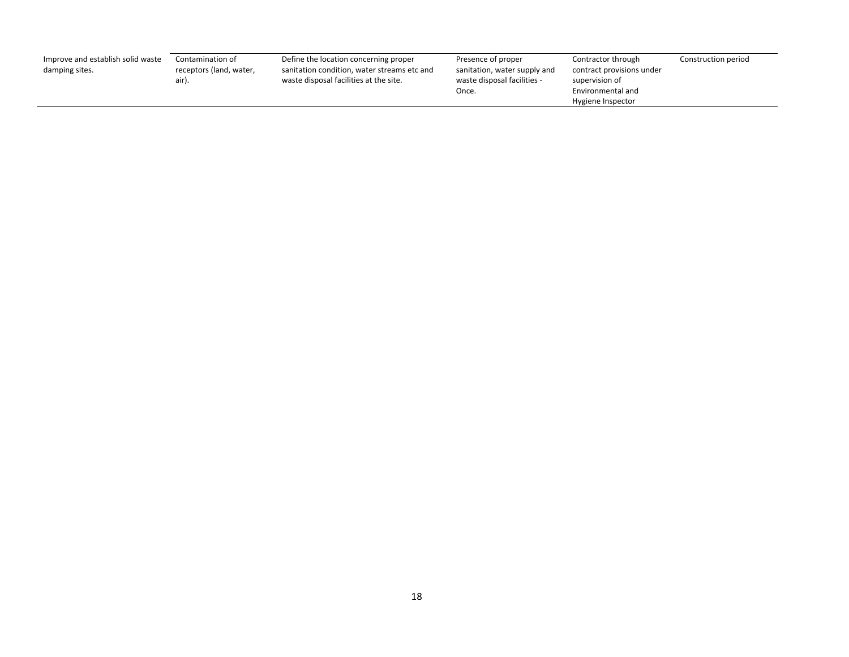| Improve and establish solid waste<br>damping sites. | Contamination of<br>receptors (land, water,<br>air) | Define the location concerning proper<br>sanitation condition, water streams etc and<br>waste disposal facilities at the site. | Presence of proper<br>sanitation, water supply and<br>waste disposal facilities -<br>Once. | Contractor through<br>contract provisions under<br>supervision of<br>Environmental and | Construction period |
|-----------------------------------------------------|-----------------------------------------------------|--------------------------------------------------------------------------------------------------------------------------------|--------------------------------------------------------------------------------------------|----------------------------------------------------------------------------------------|---------------------|
|                                                     |                                                     |                                                                                                                                |                                                                                            | Hygiene Inspector                                                                      |                     |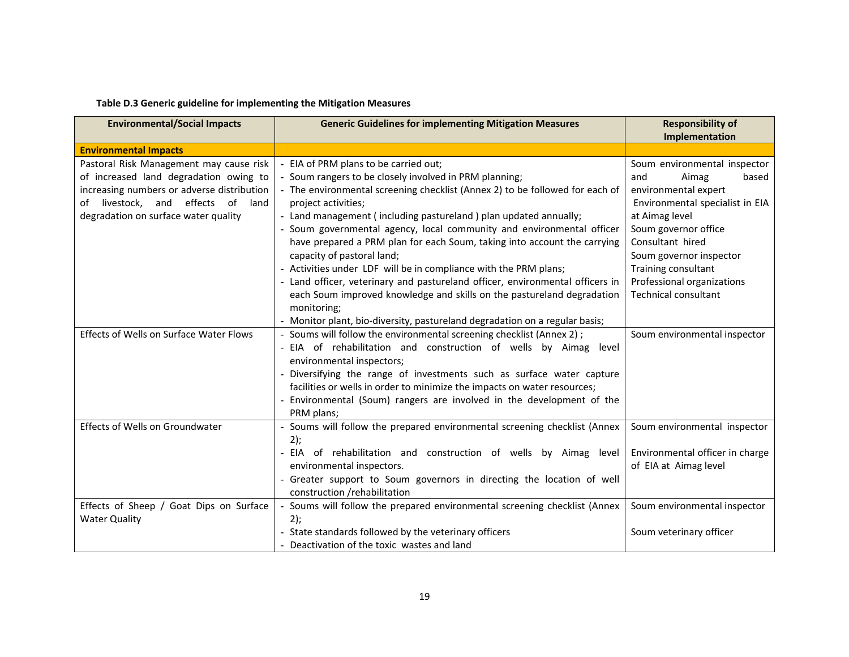| <b>Environmental/Social Impacts</b>                                                                                                                                                                                   | <b>Generic Guidelines for implementing Mitigation Measures</b>                                                                                                                                                                                                                                                                                                                                                                                                                                                                                                                                                                                                                                              | <b>Responsibility of</b><br>Implementation                                                                                                                                                                                                                                                    |
|-----------------------------------------------------------------------------------------------------------------------------------------------------------------------------------------------------------------------|-------------------------------------------------------------------------------------------------------------------------------------------------------------------------------------------------------------------------------------------------------------------------------------------------------------------------------------------------------------------------------------------------------------------------------------------------------------------------------------------------------------------------------------------------------------------------------------------------------------------------------------------------------------------------------------------------------------|-----------------------------------------------------------------------------------------------------------------------------------------------------------------------------------------------------------------------------------------------------------------------------------------------|
| <b>Environmental Impacts</b>                                                                                                                                                                                          |                                                                                                                                                                                                                                                                                                                                                                                                                                                                                                                                                                                                                                                                                                             |                                                                                                                                                                                                                                                                                               |
| Pastoral Risk Management may cause risk<br>of increased land degradation owing to<br>increasing numbers or adverse distribution<br>livestock,<br>and effects of<br>land<br>of<br>degradation on surface water quality | - EIA of PRM plans to be carried out;<br>- Soum rangers to be closely involved in PRM planning;<br>- The environmental screening checklist (Annex 2) to be followed for each of<br>project activities;<br>- Land management (including pastureland) plan updated annually;<br>- Soum governmental agency, local community and environmental officer<br>have prepared a PRM plan for each Soum, taking into account the carrying<br>capacity of pastoral land;<br>- Activities under LDF will be in compliance with the PRM plans;<br>- Land officer, veterinary and pastureland officer, environmental officers in<br>each Soum improved knowledge and skills on the pastureland degradation<br>monitoring; | Soum environmental inspector<br>based<br>and<br>Aimag<br>environmental expert<br>Environmental specialist in EIA<br>at Aimag level<br>Soum governor office<br>Consultant hired<br>Soum governor inspector<br>Training consultant<br>Professional organizations<br><b>Technical consultant</b> |
| Effects of Wells on Surface Water Flows                                                                                                                                                                               | - Monitor plant, bio-diversity, pastureland degradation on a regular basis;<br>- Soums will follow the environmental screening checklist (Annex 2) ;<br>- EIA of rehabilitation and construction of wells by Aimag level<br>environmental inspectors;<br>- Diversifying the range of investments such as surface water capture<br>facilities or wells in order to minimize the impacts on water resources;<br>- Environmental (Soum) rangers are involved in the development of the<br>PRM plans;                                                                                                                                                                                                           | Soum environmental inspector                                                                                                                                                                                                                                                                  |
| Effects of Wells on Groundwater                                                                                                                                                                                       | - Soums will follow the prepared environmental screening checklist (Annex<br>2);<br>- EIA of rehabilitation and construction of wells by Aimag level<br>environmental inspectors.<br>- Greater support to Soum governors in directing the location of well<br>construction /rehabilitation                                                                                                                                                                                                                                                                                                                                                                                                                  | Soum environmental inspector<br>Environmental officer in charge<br>of EIA at Aimag level                                                                                                                                                                                                      |
| Effects of Sheep / Goat Dips on Surface<br><b>Water Quality</b>                                                                                                                                                       | - Soums will follow the prepared environmental screening checklist (Annex<br>2);<br>- State standards followed by the veterinary officers<br>- Deactivation of the toxic wastes and land                                                                                                                                                                                                                                                                                                                                                                                                                                                                                                                    | Soum environmental inspector<br>Soum veterinary officer                                                                                                                                                                                                                                       |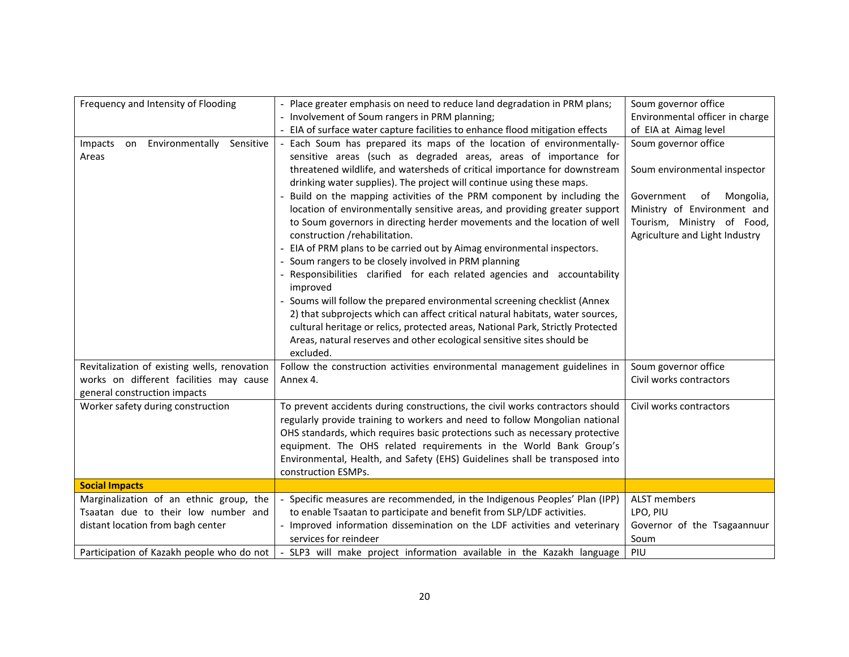| Frequency and Intensity of Flooding           | - Place greater emphasis on need to reduce land degradation in PRM plans;                                         | Soum governor office            |
|-----------------------------------------------|-------------------------------------------------------------------------------------------------------------------|---------------------------------|
|                                               | - Involvement of Soum rangers in PRM planning;                                                                    | Environmental officer in charge |
|                                               | - EIA of surface water capture facilities to enhance flood mitigation effects                                     | of EIA at Aimag level           |
| Environmentally<br>Impacts<br>Sensitive<br>on | - Each Soum has prepared its maps of the location of environmentally-                                             | Soum governor office            |
| Areas                                         | sensitive areas (such as degraded areas, areas of importance for                                                  |                                 |
|                                               | threatened wildlife, and watersheds of critical importance for downstream                                         | Soum environmental inspector    |
|                                               | drinking water supplies). The project will continue using these maps.                                             |                                 |
|                                               | - Build on the mapping activities of the PRM component by including the                                           | Government<br>Mongolia,<br>of   |
|                                               | location of environmentally sensitive areas, and providing greater support                                        | Ministry of Environment and     |
|                                               | to Soum governors in directing herder movements and the location of well                                          | Tourism, Ministry of Food,      |
|                                               | construction /rehabilitation.                                                                                     | Agriculture and Light Industry  |
|                                               | - EIA of PRM plans to be carried out by Aimag environmental inspectors.                                           |                                 |
|                                               | - Soum rangers to be closely involved in PRM planning                                                             |                                 |
|                                               | - Responsibilities clarified for each related agencies and accountability<br>improved                             |                                 |
|                                               | - Soums will follow the prepared environmental screening checklist (Annex                                         |                                 |
|                                               | 2) that subprojects which can affect critical natural habitats, water sources,                                    |                                 |
|                                               | cultural heritage or relics, protected areas, National Park, Strictly Protected                                   |                                 |
|                                               | Areas, natural reserves and other ecological sensitive sites should be                                            |                                 |
|                                               | excluded.                                                                                                         |                                 |
| Revitalization of existing wells, renovation  | Follow the construction activities environmental management guidelines in                                         | Soum governor office            |
| works on different facilities may cause       | Annex 4.                                                                                                          | Civil works contractors         |
| general construction impacts                  |                                                                                                                   |                                 |
| Worker safety during construction             | To prevent accidents during constructions, the civil works contractors should                                     | Civil works contractors         |
|                                               | regularly provide training to workers and need to follow Mongolian national                                       |                                 |
|                                               | OHS standards, which requires basic protections such as necessary protective                                      |                                 |
|                                               | equipment. The OHS related requirements in the World Bank Group's                                                 |                                 |
|                                               | Environmental, Health, and Safety (EHS) Guidelines shall be transposed into                                       |                                 |
|                                               | construction ESMPs.                                                                                               |                                 |
| <b>Social Impacts</b>                         |                                                                                                                   |                                 |
| Marginalization of an ethnic group, the       | - Specific measures are recommended, in the Indigenous Peoples' Plan (IPP)                                        | ALST members                    |
| Tsaatan due to their low number and           | to enable Tsaatan to participate and benefit from SLP/LDF activities.                                             | LPO, PIU                        |
| distant location from bagh center             | - Improved information dissemination on the LDF activities and veterinary                                         | Governor of the Tsagaannuur     |
|                                               | services for reindeer                                                                                             | Soum                            |
|                                               | Participation of Kazakh people who do not   - SLP3 will make project information available in the Kazakh language | PIU                             |
|                                               |                                                                                                                   |                                 |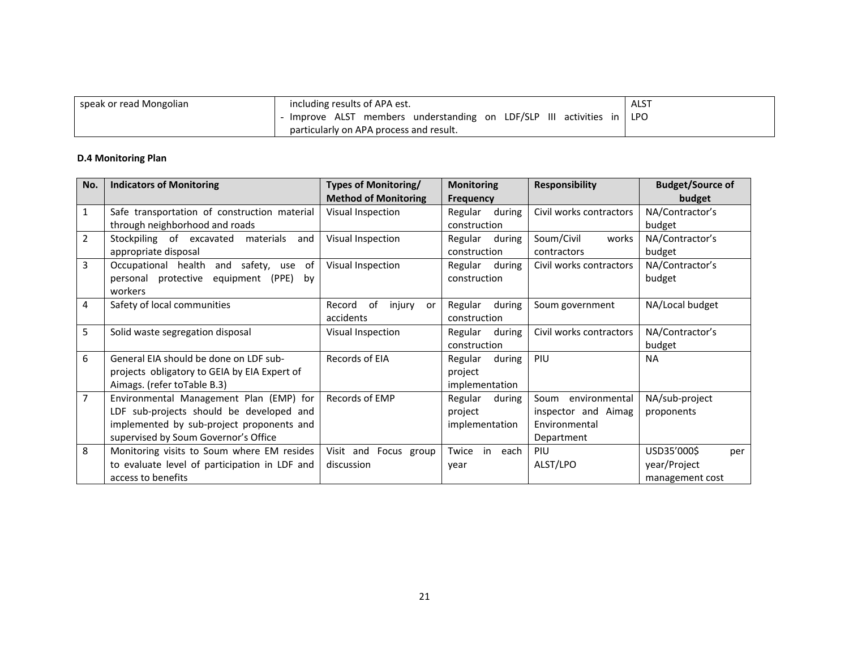| speak or read Mongolian | including results of APA est.                                         | <b>ALST</b> |
|-------------------------|-----------------------------------------------------------------------|-------------|
|                         | - Improve ALST members understanding on LDF/SLP III activities in LPO |             |
|                         | particularly on APA process and result.                               |             |

## **D.4 Monitoring Plan**

| No.            | <b>Indicators of Monitoring</b>               | Types of Monitoring/         | <b>Monitoring</b> | <b>Responsibility</b>   | <b>Budget/Source of</b> |
|----------------|-----------------------------------------------|------------------------------|-------------------|-------------------------|-------------------------|
|                |                                               | <b>Method of Monitoring</b>  | <b>Frequency</b>  |                         | budget                  |
| 1              | Safe transportation of construction material  | Visual Inspection            | Regular during    | Civil works contractors | NA/Contractor's         |
|                | through neighborhood and roads                |                              | construction      |                         | budget                  |
| $\overline{2}$ | Stockpiling of excavated<br>materials<br>and  | Visual Inspection            | Regular during    | Soum/Civil<br>works     | NA/Contractor's         |
|                | appropriate disposal                          |                              | construction      | contractors             | budget                  |
| 3              | Occupational health and safety, use<br>0f     | Visual Inspection            | Regular<br>during | Civil works contractors | NA/Contractor's         |
|                | personal protective equipment<br>(PPE)<br>by  |                              | construction      |                         | budget                  |
|                | workers                                       |                              |                   |                         |                         |
| 4              | Safety of local communities                   | of<br>injury<br>Record<br>or | Regular<br>during | Soum government         | NA/Local budget         |
|                |                                               | accidents                    | construction      |                         |                         |
| 5              | Solid waste segregation disposal              | Visual Inspection            | Regular<br>during | Civil works contractors | NA/Contractor's         |
|                |                                               |                              | construction      |                         | budget                  |
| 6              | General EIA should be done on LDF sub-        | Records of EIA               | during<br>Regular | PIU                     | <b>NA</b>               |
|                | projects obligatory to GEIA by EIA Expert of  |                              | project           |                         |                         |
|                | Aimags. (refer toTable B.3)                   |                              | implementation    |                         |                         |
| $\overline{7}$ | Environmental Management Plan (EMP) for       | Records of EMP               | Regular<br>during | Soum<br>environmental   | NA/sub-project          |
|                | LDF sub-projects should be developed and      |                              | project           | inspector and Aimag     | proponents              |
|                | implemented by sub-project proponents and     |                              | implementation    | Environmental           |                         |
|                | supervised by Soum Governor's Office          |                              |                   | Department              |                         |
| 8              | Monitoring visits to Soum where EM resides    | Visit and Focus group        | in each<br>Twice  | PIU                     | USD35'000\$<br>per      |
|                | to evaluate level of participation in LDF and | discussion                   | vear              | ALST/LPO                | year/Project            |
|                | access to benefits                            |                              |                   |                         | management cost         |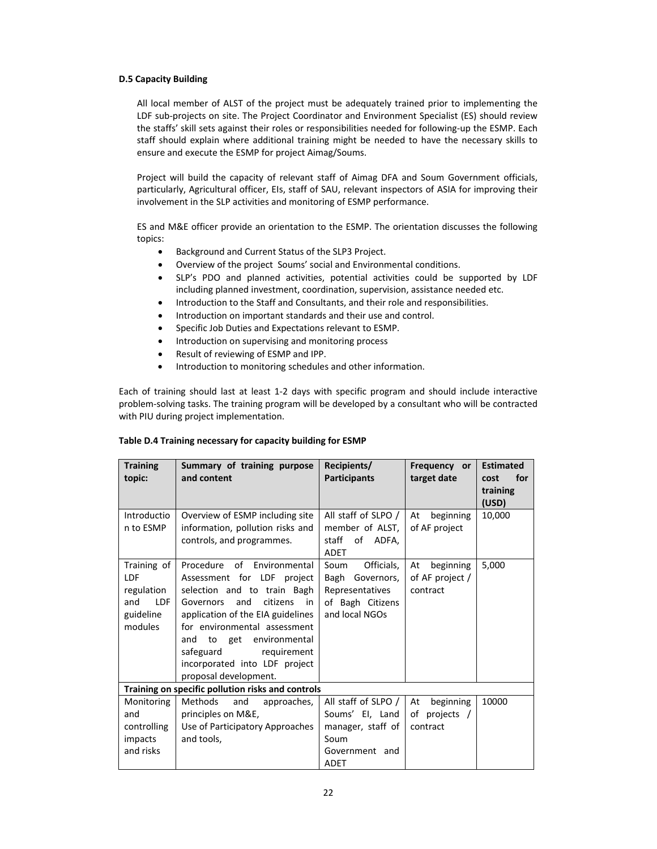## **D.5 Capacity Building**

All local member of ALST of the project must be adequately trained prior to implementing the LDF sub-projects on site. The Project Coordinator and Environment Specialist (ES) should review the staffs' skill sets against their roles or responsibilities needed for following-up the ESMP. Each staff should explain where additional training might be needed to have the necessary skills to ensure and execute the ESMP for project Aimag/Soums.

Project will build the capacity of relevant staff of Aimag DFA and Soum Government officials, particularly, Agricultural officer, EIs, staff of SAU, relevant inspectors of ASIA for improving their involvement in the SLP activities and monitoring of ESMP performance.

ES and M&E officer provide an orientation to the ESMP. The orientation discusses the following topics:

- Background and Current Status of the SLP3 Project.
- Overview of the project Soums' social and Environmental conditions.
- SLP's PDO and planned activities, potential activities could be supported by LDF including planned investment, coordination, supervision, assistance needed etc.
- Introduction to the Staff and Consultants, and their role and responsibilities.
- Introduction on important standards and their use and control.
- **•** Specific Job Duties and Expectations relevant to ESMP.
- Introduction on supervising and monitoring process
- Result of reviewing of ESMP and IPP.
- Introduction to monitoring schedules and other information.

Each of training should last at least 1-2 days with specific program and should include interactive problem‐solving tasks. The training program will be developed by a consultant who will be contracted with PIU during project implementation.

## **Table D.4 Training necessary for capacity building for ESMP**

| <b>Training</b><br>topic:                                                            | Summary of training purpose<br>and content                                                                                                                                                                                                                                                                                 | Recipients/<br><b>Participants</b>                                                                   | Frequency or<br>target date                    | <b>Estimated</b><br>for<br>cost<br>training<br>(USD) |
|--------------------------------------------------------------------------------------|----------------------------------------------------------------------------------------------------------------------------------------------------------------------------------------------------------------------------------------------------------------------------------------------------------------------------|------------------------------------------------------------------------------------------------------|------------------------------------------------|------------------------------------------------------|
| Introductio<br>n to ESMP                                                             | Overview of ESMP including site<br>information, pollution risks and<br>controls, and programmes.                                                                                                                                                                                                                           | All staff of SLPO /<br>member of ALST,<br>staff of ADFA,<br><b>ADET</b>                              | beginning<br>At<br>of AF project               | 10,000                                               |
| Training of<br><b>LDF</b><br>regulation<br><b>LDF</b><br>and<br>guideline<br>modules | Procedure of Environmental<br>Assessment for LDF project<br>selection and to train Bagh<br>citizens<br>Governors<br>and<br>in<br>application of the EIA guidelines<br>for environmental assessment<br>to get<br>environmental<br>and<br>safeguard<br>requirement<br>incorporated into LDF project<br>proposal development. | Officials,<br>Soum<br>Bagh Governors,<br>Representatives<br>of Bagh Citizens<br>and local NGOs       | beginning<br>At<br>of AF project /<br>contract | 5,000                                                |
|                                                                                      | Training on specific pollution risks and controls                                                                                                                                                                                                                                                                          |                                                                                                      |                                                |                                                      |
| Monitoring<br>and<br>controlling<br>impacts<br>and risks                             | Methods<br>and<br>approaches,<br>principles on M&E,<br>Use of Participatory Approaches<br>and tools,                                                                                                                                                                                                                       | All staff of SLPO /<br>Soums' El, Land<br>manager, staff of<br>Soum<br>Government and<br><b>ADET</b> | At<br>beginning<br>of projects /<br>contract   | 10000                                                |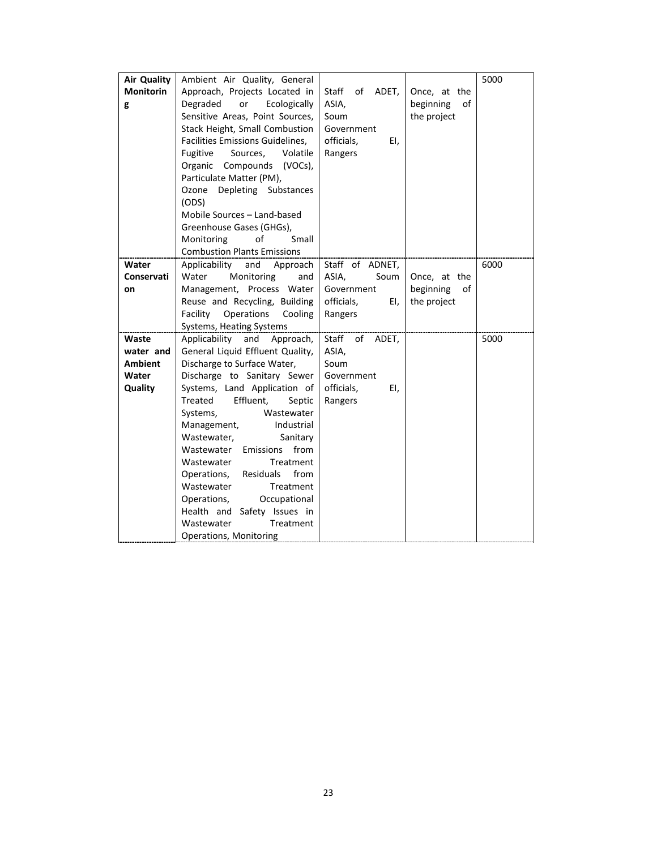| <b>Air Quality</b> | Ambient Air Quality, General            |                      |                 | 5000 |
|--------------------|-----------------------------------------|----------------------|-----------------|------|
| <b>Monitorin</b>   | Approach, Projects Located in           | Staff<br>of<br>ADET, | Once, at the    |      |
| g                  | Degraded<br>or<br>Ecologically          | ASIA,                | beginning<br>οf |      |
|                    | Sensitive Areas, Point Sources,         | Soum                 | the project     |      |
|                    | Stack Height, Small Combustion          | Government           |                 |      |
|                    | <b>Facilities Emissions Guidelines,</b> | officials,<br>EI,    |                 |      |
|                    | Fugitive<br>Sources,<br>Volatile        | Rangers              |                 |      |
|                    | Organic Compounds (VOCs),               |                      |                 |      |
|                    | Particulate Matter (PM),                |                      |                 |      |
|                    | Depleting Substances<br>Ozone           |                      |                 |      |
|                    | (ODS)                                   |                      |                 |      |
|                    | Mobile Sources - Land-based             |                      |                 |      |
|                    | Greenhouse Gases (GHGs),                |                      |                 |      |
|                    | of<br>Monitoring<br>Small               |                      |                 |      |
|                    | <b>Combustion Plants Emissions</b>      |                      |                 |      |
| Water              | Applicability<br>and<br>Approach        | Staff of ADNET,      |                 | 6000 |
| Conservati         | Water<br>Monitoring<br>and              | ASIA.<br>Soum        | Once, at the    |      |
| on                 | Management, Process Water               | Government           | beginning<br>of |      |
|                    | Reuse and Recycling, Building           | officials,<br>EI,    | the project     |      |
|                    | Facility<br>Operations<br>Cooling       | Rangers              |                 |      |
|                    | Systems, Heating Systems                |                      |                 |      |
| Waste              | Applicability<br>and<br>Approach,       | Staff<br>of<br>ADET, |                 | 5000 |
| water and          | General Liquid Effluent Quality,        | ASIA,                |                 |      |
| Ambient            | Discharge to Surface Water,             | Soum                 |                 |      |
| Water              | Discharge to Sanitary Sewer             | Government           |                 |      |
| Quality            | Systems, Land Application of            | officials,<br>EI,    |                 |      |
|                    | Effluent,<br><b>Treated</b><br>Septic   | Rangers              |                 |      |
|                    | Systems,<br>Wastewater                  |                      |                 |      |
|                    | Management,<br>Industrial               |                      |                 |      |
|                    | Wastewater,<br>Sanitary                 |                      |                 |      |
|                    | Emissions<br>from<br>Wastewater         |                      |                 |      |
|                    | Wastewater<br>Treatment                 |                      |                 |      |
|                    | from<br>Operations,<br>Residuals        |                      |                 |      |
|                    | Wastewater<br>Treatment                 |                      |                 |      |
|                    | Operations,<br>Occupational             |                      |                 |      |
|                    | Health and Safety Issues in             |                      |                 |      |
|                    | Wastewater<br>Treatment                 |                      |                 |      |
|                    | <b>Operations, Monitoring</b>           |                      |                 |      |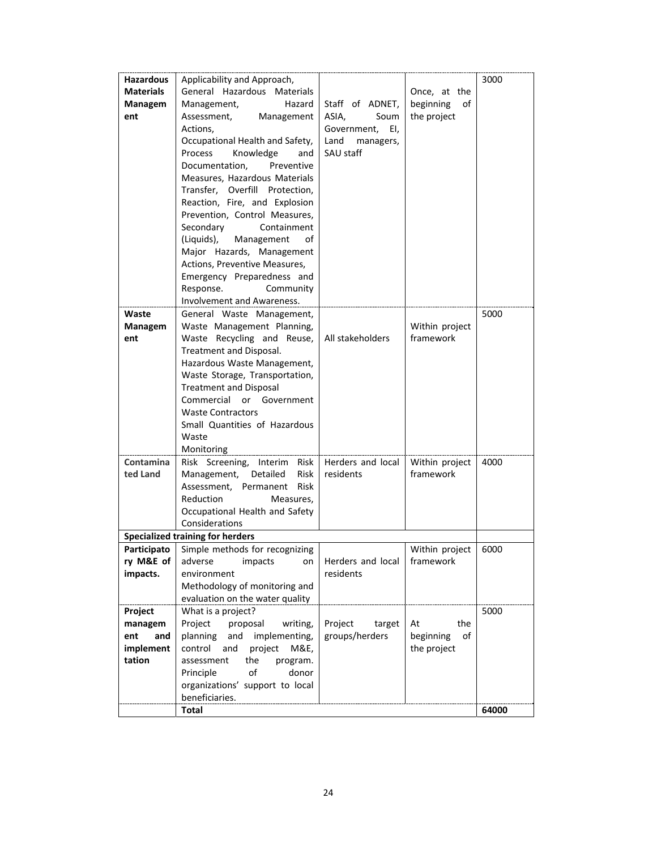| <b>Hazardous</b><br><b>Materials</b><br>Managem<br>ent<br>Waste | Applicability and Approach,<br>General Hazardous Materials<br>Hazard<br>Management,<br>Assessment,<br>Management<br>Actions,<br>Occupational Health and Safety,<br>Process<br>Knowledge<br>and<br>Documentation,<br>Preventive<br>Measures, Hazardous Materials<br>Transfer, Overfill Protection,<br>Reaction, Fire, and Explosion<br>Prevention, Control Measures,<br>Containment<br>Secondary<br>(Liquids),<br>Management<br>οf<br>Major Hazards, Management<br>Actions, Preventive Measures,<br>Emergency Preparedness and<br>Response.<br>Community<br>Involvement and Awareness.<br>General Waste Management, | Staff of ADNET,<br>ASIA,<br>Soum<br>Government,<br>EI,<br>Land<br>managers,<br>SAU staff | Once, at the<br>beginning<br>of<br>the project | 3000<br>5000  |
|-----------------------------------------------------------------|--------------------------------------------------------------------------------------------------------------------------------------------------------------------------------------------------------------------------------------------------------------------------------------------------------------------------------------------------------------------------------------------------------------------------------------------------------------------------------------------------------------------------------------------------------------------------------------------------------------------|------------------------------------------------------------------------------------------|------------------------------------------------|---------------|
| Managem<br>ent                                                  | Waste Management Planning,<br>Waste Recycling and Reuse,<br>Treatment and Disposal.<br>Hazardous Waste Management,<br>Waste Storage, Transportation,<br><b>Treatment and Disposal</b><br>Commercial or Government<br><b>Waste Contractors</b><br>Small Quantities of Hazardous<br>Waste<br>Monitoring                                                                                                                                                                                                                                                                                                              | All stakeholders                                                                         | Within project<br>framework                    |               |
| Contamina<br>ted Land<br>Participato                            | Risk Screening, Interim Risk<br>Management, Detailed<br><b>Risk</b><br>Assessment. Permanent<br><b>Risk</b><br>Reduction<br>Measures.<br>Occupational Health and Safety<br>Considerations<br><b>Specialized training for herders</b><br>Simple methods for recognizing                                                                                                                                                                                                                                                                                                                                             | Herders and local<br>residents                                                           | Within project<br>framework<br>Within project  | 4000<br>6000  |
| ry M&E of<br>impacts.                                           | adverse<br>impacts<br>on<br>environment<br>Methodology of monitoring and<br>evaluation on the water quality                                                                                                                                                                                                                                                                                                                                                                                                                                                                                                        | Herders and local<br>residents                                                           | framework                                      |               |
| Project<br>managem<br>and<br>ent<br>implement<br>tation         | What is a project?<br>Project<br>proposal<br>writing,<br>planning and implementing,<br>control and<br>project<br>M&E,<br>assessment<br>the<br>program.<br>of<br>Principle<br>donor<br>organizations' support to local<br>beneficiaries.<br><b>Total</b>                                                                                                                                                                                                                                                                                                                                                            | Project<br>target<br>groups/herders                                                      | the<br>At<br>beginning<br>of<br>the project    | 5000<br>64000 |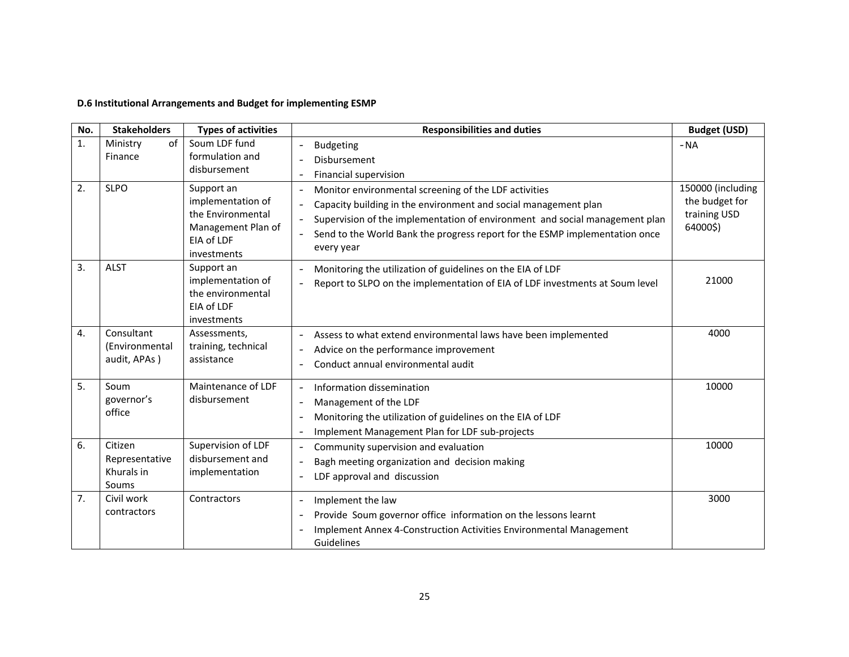## **D.6 Institutional Arrangements and Budget for implementing ESMP**

| No.            | <b>Stakeholders</b>                              | <b>Types of activities</b>                                                                              | <b>Responsibilities and duties</b>                                                                                                                                                                                                                                                                                               | <b>Budget (USD)</b>                                             |
|----------------|--------------------------------------------------|---------------------------------------------------------------------------------------------------------|----------------------------------------------------------------------------------------------------------------------------------------------------------------------------------------------------------------------------------------------------------------------------------------------------------------------------------|-----------------------------------------------------------------|
| $\mathbf{1}$ . | of<br>Ministry<br>Finance                        | Soum LDF fund<br>formulation and<br>disbursement                                                        | <b>Budgeting</b><br>$\overline{\phantom{a}}$<br>Disbursement<br>Financial supervision<br>$\overline{\phantom{a}}$                                                                                                                                                                                                                | $-NA$                                                           |
| 2.             | <b>SLPO</b>                                      | Support an<br>implementation of<br>the Environmental<br>Management Plan of<br>EIA of LDF<br>investments | Monitor environmental screening of the LDF activities<br>$\overline{\phantom{a}}$<br>Capacity building in the environment and social management plan<br>Supervision of the implementation of environment and social management plan<br>Send to the World Bank the progress report for the ESMP implementation once<br>every year | 150000 (including<br>the budget for<br>training USD<br>64000\$) |
| 3.             | <b>ALST</b>                                      | Support an<br>implementation of<br>the environmental<br>EIA of LDF<br>investments                       | Monitoring the utilization of guidelines on the EIA of LDF<br>$\overline{\phantom{a}}$<br>Report to SLPO on the implementation of EIA of LDF investments at Soum level<br>$\overline{\phantom{a}}$                                                                                                                               | 21000                                                           |
| 4.             | Consultant<br>(Environmental<br>audit, APAs)     | Assessments,<br>training, technical<br>assistance                                                       | Assess to what extend environmental laws have been implemented<br>$\overline{\phantom{a}}$<br>Advice on the performance improvement<br>$\overline{\phantom{a}}$<br>Conduct annual environmental audit<br>$\overline{\phantom{a}}$                                                                                                | 4000                                                            |
| 5.             | Soum<br>governor's<br>office                     | Maintenance of LDF<br>disbursement                                                                      | Information dissemination<br>Management of the LDF<br>$\overline{\phantom{a}}$<br>Monitoring the utilization of guidelines on the EIA of LDF<br>$\overline{\phantom{a}}$<br>Implement Management Plan for LDF sub-projects<br>$\overline{\phantom{a}}$                                                                           | 10000                                                           |
| 6.             | Citizen<br>Representative<br>Khurals in<br>Soums | Supervision of LDF<br>disbursement and<br>implementation                                                | Community supervision and evaluation<br>$\overline{\phantom{a}}$<br>Bagh meeting organization and decision making<br>$\overline{\phantom{a}}$<br>LDF approval and discussion<br>$\overline{\phantom{a}}$                                                                                                                         | 10000                                                           |
| 7.             | Civil work<br>contractors                        | Contractors                                                                                             | Implement the law<br>$\overline{\phantom{a}}$<br>Provide Soum governor office information on the lessons learnt<br>Implement Annex 4-Construction Activities Environmental Management<br>Guidelines                                                                                                                              | 3000                                                            |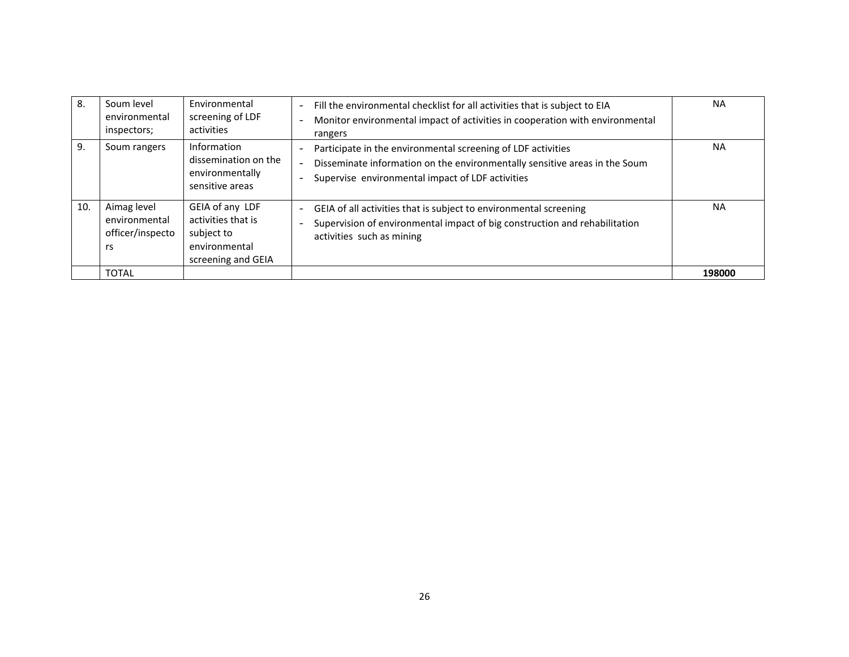| 8.  | Soum level<br>environmental<br>inspectors;             | Environmental<br>screening of LDF<br>activities                                            | Fill the environmental checklist for all activities that is subject to EIA<br>$\sim$<br>Monitor environmental impact of activities in cooperation with environmental<br>rangers                | <b>NA</b> |
|-----|--------------------------------------------------------|--------------------------------------------------------------------------------------------|------------------------------------------------------------------------------------------------------------------------------------------------------------------------------------------------|-----------|
| 9.  | Soum rangers                                           | Information<br>dissemination on the<br>environmentally<br>sensitive areas                  | Participate in the environmental screening of LDF activities<br>Disseminate information on the environmentally sensitive areas in the Soum<br>Supervise environmental impact of LDF activities | <b>NA</b> |
| 10. | Aimag level<br>environmental<br>officer/inspecto<br>rs | GEIA of any LDF<br>activities that is<br>subject to<br>environmental<br>screening and GEIA | GEIA of all activities that is subject to environmental screening<br>$\sim$<br>Supervision of environmental impact of big construction and rehabilitation<br>activities such as mining         | <b>NA</b> |
|     | <b>TOTAL</b>                                           |                                                                                            |                                                                                                                                                                                                | 198000    |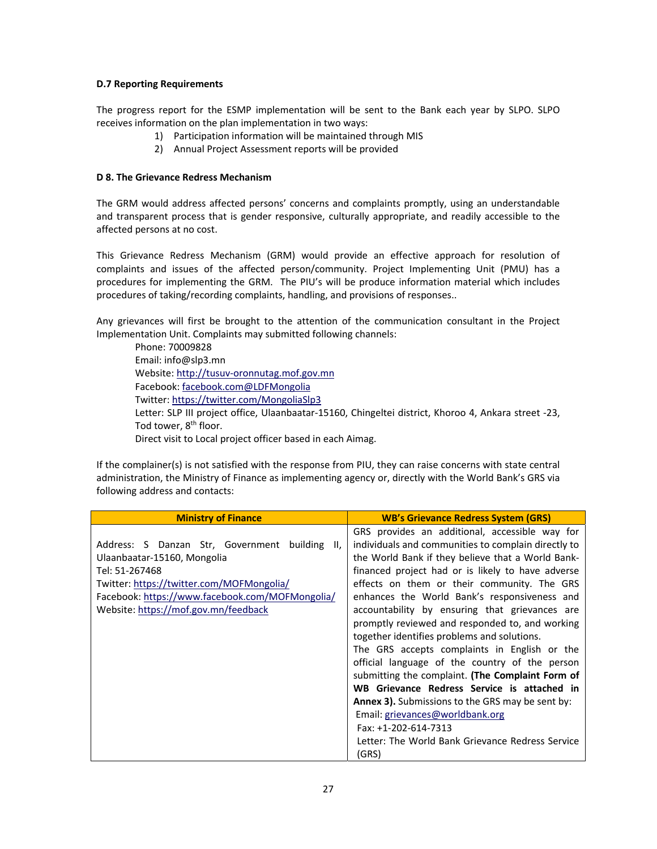## **D.7 Reporting Requirements**

The progress report for the ESMP implementation will be sent to the Bank each year by SLPO. SLPO receives information on the plan implementation in two ways:

- 1) Participation information will be maintained through MIS
- 2) Annual Project Assessment reports will be provided

## **D 8. The Grievance Redress Mechanism**

The GRM would address affected persons' concerns and complaints promptly, using an understandable and transparent process that is gender responsive, culturally appropriate, and readily accessible to the affected persons at no cost.

This Grievance Redress Mechanism (GRM) would provide an effective approach for resolution of complaints and issues of the affected person/community. Project Implementing Unit (PMU) has a procedures for implementing the GRM. The PIU's will be produce information material which includes procedures of taking/recording complaints, handling, and provisions of responses..

Any grievances will first be brought to the attention of the communication consultant in the Project Implementation Unit. Complaints may submitted following channels:

Phone: 70009828 Email: info@slp3.mn Website: http://tusuv‐oronnutag.mof.gov.mn Facebook: facebook.com@LDFMongolia Twitter: https://twitter.com/MongoliaSlp3 Letter: SLP III project office, Ulaanbaatar-15160, Chingeltei district, Khoroo 4, Ankara street -23, Tod tower, 8<sup>th</sup> floor. Direct visit to Local project officer based in each Aimag.

If the complainer(s) is not satisfied with the response from PIU, they can raise concerns with state central administration, the Ministry of Finance as implementing agency or, directly with the World Bank's GRS via following address and contacts:

| <b>Ministry of Finance</b>                                                                                                                                                                                                                 | <b>WB's Grievance Redress System (GRS)</b>                                                                                                                                                                                                                                                                                                                                                                                                                                                                                                                                                                                                                                                                                                                                                                                                                 |
|--------------------------------------------------------------------------------------------------------------------------------------------------------------------------------------------------------------------------------------------|------------------------------------------------------------------------------------------------------------------------------------------------------------------------------------------------------------------------------------------------------------------------------------------------------------------------------------------------------------------------------------------------------------------------------------------------------------------------------------------------------------------------------------------------------------------------------------------------------------------------------------------------------------------------------------------------------------------------------------------------------------------------------------------------------------------------------------------------------------|
| Address: S Danzan Str, Government building<br>II.<br>Ulaanbaatar-15160, Mongolia<br>Tel: 51-267468<br>Twitter: https://twitter.com/MOFMongolia/<br>Facebook: https://www.facebook.com/MOFMongolia/<br>Website: https://mof.gov.mn/feedback | GRS provides an additional, accessible way for<br>individuals and communities to complain directly to<br>the World Bank if they believe that a World Bank-<br>financed project had or is likely to have adverse<br>effects on them or their community. The GRS<br>enhances the World Bank's responsiveness and<br>accountability by ensuring that grievances are<br>promptly reviewed and responded to, and working<br>together identifies problems and solutions.<br>The GRS accepts complaints in English or the<br>official language of the country of the person<br>submitting the complaint. (The Complaint Form of<br>WB Grievance Redress Service is attached in<br><b>Annex 3).</b> Submissions to the GRS may be sent by:<br>Email: grievances@worldbank.org<br>Fax: +1-202-614-7313<br>Letter: The World Bank Grievance Redress Service<br>(GRS) |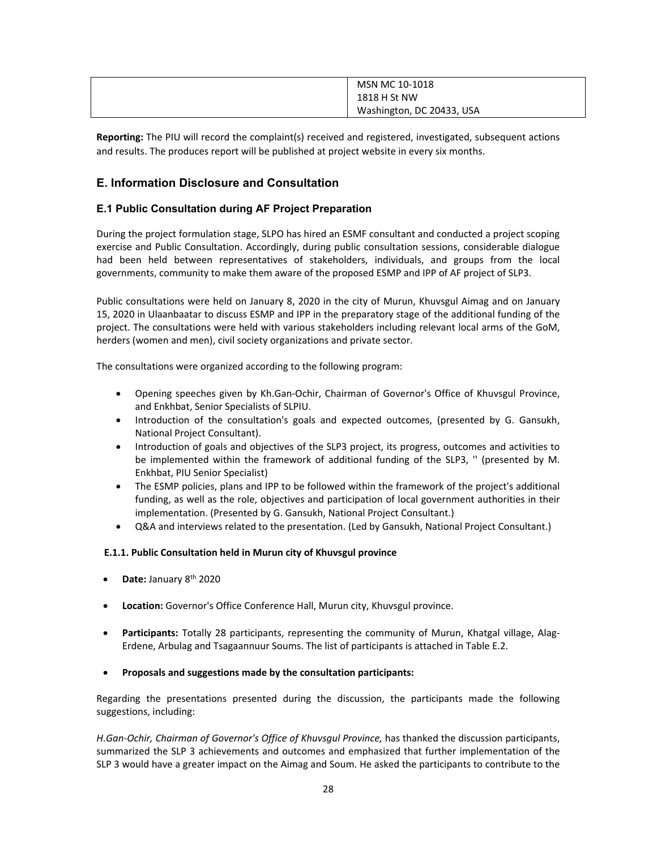| MSN MC 10-1018            |
|---------------------------|
| 1818 H St NW              |
| Washington, DC 20433, USA |

**Reporting:** The PIU will record the complaint(s) received and registered, investigated, subsequent actions and results. The produces report will be published at project website in every six months.

# **E. Information Disclosure and Consultation**

## **E.1 Public Consultation during AF Project Preparation**

During the project formulation stage, SLPO has hired an ESMF consultant and conducted a project scoping exercise and Public Consultation. Accordingly, during public consultation sessions, considerable dialogue had been held between representatives of stakeholders, individuals, and groups from the local governments, community to make them aware of the proposed ESMP and IPP of AF project of SLP3.

Public consultations were held on January 8, 2020 in the city of Murun, Khuvsgul Aimag and on January 15, 2020 in Ulaanbaatar to discuss ESMP and IPP in the preparatory stage of the additional funding of the project. The consultations were held with various stakeholders including relevant local arms of the GoM, herders (women and men), civil society organizations and private sector.

The consultations were organized according to the following program:

- Opening speeches given by Kh.Gan‐Ochir, Chairman of Governor's Office of Khuvsgul Province, and Enkhbat, Senior Specialists of SLPIU.
- Introduction of the consultation's goals and expected outcomes, (presented by G. Gansukh, National Project Consultant).
- Introduction of goals and objectives of the SLP3 project, its progress, outcomes and activities to be implemented within the framework of additional funding of the SLP3, " (presented by M. Enkhbat, PIU Senior Specialist)
- The ESMP policies, plans and IPP to be followed within the framework of the project's additional funding, as well as the role, objectives and participation of local government authorities in their implementation. (Presented by G. Gansukh, National Project Consultant.)
- Q&A and interviews related to the presentation. (Led by Gansukh, National Project Consultant.)

## **Е.1.1. Public Consultation held in Murun city of Khuvsgul province**

- **Date:** January 8th 2020
- **Location:** Governor's Office Conference Hall, Murun city, Khuvsgul province.
- **Participants:** Totally 28 participants, representing the community of Murun, Khatgal village, Alag-Erdene, Arbulag and Tsagaannuur Soums. The list of participants is attached in Table E.2.

## **Proposals and suggestions made by the consultation participants:**

Regarding the presentations presented during the discussion, the participants made the following suggestions, including:

H.Gan-Ochir, Chairman of Governor's Office of Khuvsgul Province, has thanked the discussion participants, summarized the SLP 3 achievements and outcomes and emphasized that further implementation of the SLP 3 would have a greater impact on the Aimag and Soum. He asked the participants to contribute to the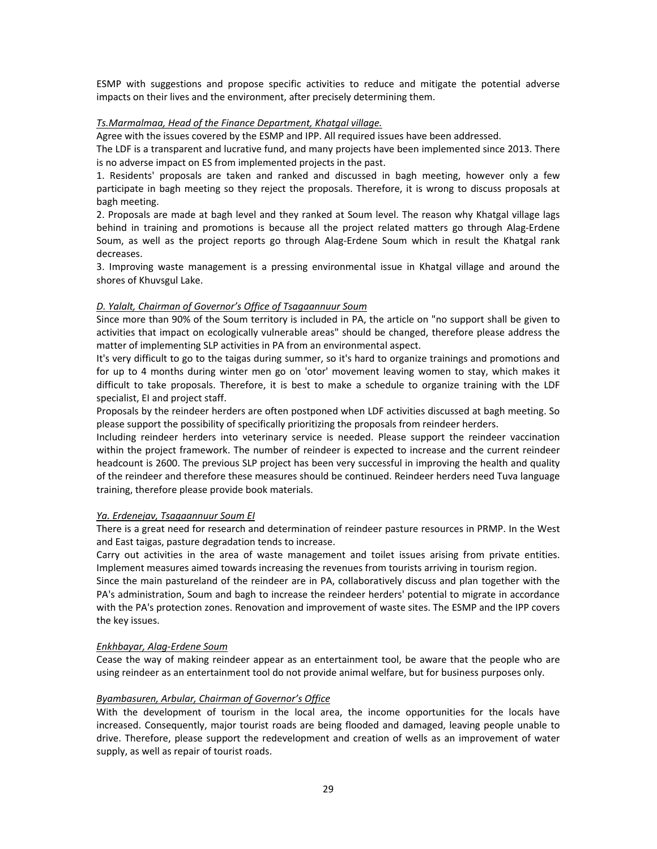ESMP with suggestions and propose specific activities to reduce and mitigate the potential adverse impacts on their lives and the environment, after precisely determining them.

## *Ts.Marmalmaa, Head of the Finance Department, Khatgal village.*

Agree with the issues covered by the ESMP and IPP. All required issues have been addressed.

The LDF is a transparent and lucrative fund, and many projects have been implemented since 2013. There is no adverse impact on ES from implemented projects in the past.

1. Residents' proposals are taken and ranked and discussed in bagh meeting, however only a few participate in bagh meeting so they reject the proposals. Therefore, it is wrong to discuss proposals at bagh meeting.

2. Proposals are made at bagh level and they ranked at Soum level. The reason why Khatgal village lags behind in training and promotions is because all the project related matters go through Alag-Erdene Soum, as well as the project reports go through Alag-Erdene Soum which in result the Khatgal rank decreases.

3. Improving waste management is a pressing environmental issue in Khatgal village and around the shores of Khuvsgul Lake.

## *D. Yalalt, Chairman of Governor's Office of Tsagaannuur Soum*

Since more than 90% of the Soum territory is included in PA, the article on "no support shall be given to activities that impact on ecologically vulnerable areas" should be changed, therefore please address the matter of implementing SLP activities in PA from an environmental aspect.

It's very difficult to go to the taigas during summer, so it's hard to organize trainings and promotions and for up to 4 months during winter men go on 'otor' movement leaving women to stay, which makes it difficult to take proposals. Therefore, it is best to make a schedule to organize training with the LDF specialist, EI and project staff.

Proposals by the reindeer herders are often postponed when LDF activities discussed at bagh meeting. So please support the possibility of specifically prioritizing the proposals from reindeer herders.

Including reindeer herders into veterinary service is needed. Please support the reindeer vaccination within the project framework. The number of reindeer is expected to increase and the current reindeer headcount is 2600. The previous SLP project has been very successful in improving the health and quality of the reindeer and therefore these measures should be continued. Reindeer herders need Tuva language training, therefore please provide book materials.

## *Ya. Erdenejav, Tsagaannuur Soum EI*

There is a great need for research and determination of reindeer pasture resources in PRMP. In the West and East taigas, pasture degradation tends to increase.

Carry out activities in the area of waste management and toilet issues arising from private entities. Implement measures aimed towards increasing the revenues from tourists arriving in tourism region.

Since the main pastureland of the reindeer are in PA, collaboratively discuss and plan together with the PA's administration, Soum and bagh to increase the reindeer herders' potential to migrate in accordance with the PA's protection zones. Renovation and improvement of waste sites. The ESMP and the IPP covers the key issues.

## *Enkhbayar, Alag‐Erdene Soum*

Cease the way of making reindeer appear as an entertainment tool, be aware that the people who are using reindeer as an entertainment tool do not provide animal welfare, but for business purposes only.

## *Byambasuren, Arbular, Chairman of Governor's Office*

With the development of tourism in the local area, the income opportunities for the locals have increased. Consequently, major tourist roads are being flooded and damaged, leaving people unable to drive. Therefore, please support the redevelopment and creation of wells as an improvement of water supply, as well as repair of tourist roads.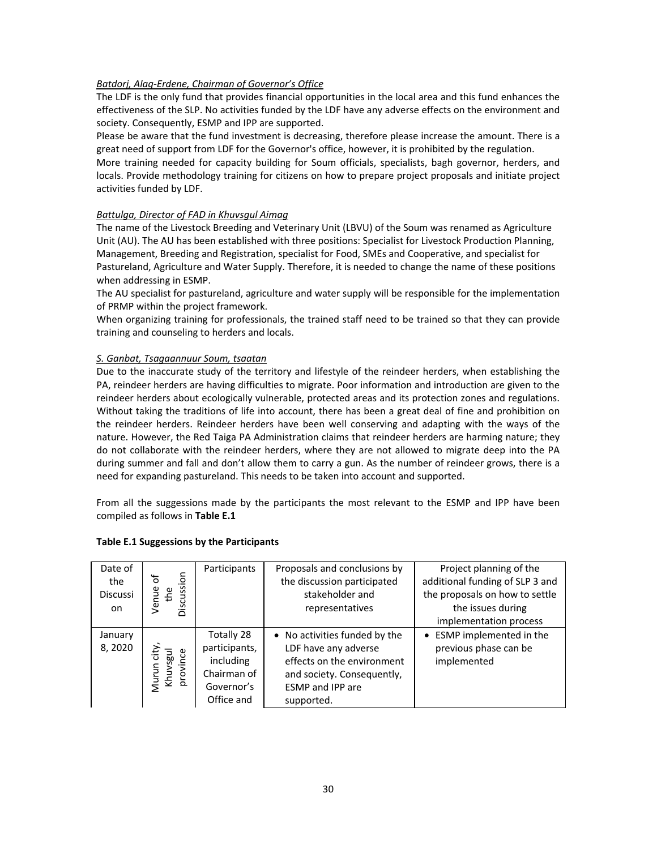## *Batdorj, Alag‐Erdene, Chairman of Governor's Office*

The LDF is the only fund that provides financial opportunities in the local area and this fund enhances the effectiveness of the SLP. No activities funded by the LDF have any adverse effects on the environment and society. Consequently, ESMP and IPP are supported.

Please be aware that the fund investment is decreasing, therefore please increase the amount. There is a great need of support from LDF for the Governor's office, however, it is prohibited by the regulation.

More training needed for capacity building for Soum officials, specialists, bagh governor, herders, and locals. Provide methodology training for citizens on how to prepare project proposals and initiate project activities funded by LDF.

## *Battulga, Director of FAD in Khuvsgul Aimag*

The name of the Livestock Breeding and Veterinary Unit (LBVU) of the Soum was renamed as Agriculture Unit (AU). The AU has been established with three positions: Specialist for Livestock Production Planning, Management, Breeding and Registration, specialist for Food, SMEs and Cooperative, and specialist for Pastureland, Agriculture and Water Supply. Therefore, it is needed to change the name of these positions when addressing in ESMP.

The AU specialist for pastureland, agriculture and water supply will be responsible for the implementation of PRMP within the project framework.

When organizing training for professionals, the trained staff need to be trained so that they can provide training and counseling to herders and locals.

## *S. Ganbat, Tsagaannuur Soum, tsaatan*

Due to the inaccurate study of the territory and lifestyle of the reindeer herders, when establishing the PA, reindeer herders are having difficulties to migrate. Poor information and introduction are given to the reindeer herders about ecologically vulnerable, protected areas and its protection zones and regulations. Without taking the traditions of life into account, there has been a great deal of fine and prohibition on the reindeer herders. Reindeer herders have been well conserving and adapting with the ways of the nature. However, the Red Taiga PA Administration claims that reindeer herders are harming nature; they do not collaborate with the reindeer herders, where they are not allowed to migrate deep into the PA during summer and fall and don't allow them to carry a gun. As the number of reindeer grows, there is a need for expanding pastureland. This needs to be taken into account and supported.

From all the suggessions made by the participants the most relevant to the ESMP and IPP have been compiled as follows in **Table Е.1**

| Date of<br>the<br><b>Discussi</b><br>on. | Discussion<br>৳<br>Venue<br>the           | Participants                                                                        | Proposals and conclusions by<br>the discussion participated<br>stakeholder and<br>representatives                                                          | Project planning of the<br>additional funding of SLP 3 and<br>the proposals on how to settle<br>the issues during<br>implementation process |
|------------------------------------------|-------------------------------------------|-------------------------------------------------------------------------------------|------------------------------------------------------------------------------------------------------------------------------------------------------------|---------------------------------------------------------------------------------------------------------------------------------------------|
| January<br>8,2020                        | city<br>lngs<br>province<br>Murun<br>Khuv | Totally 28<br>participants,<br>including<br>Chairman of<br>Governor's<br>Office and | • No activities funded by the<br>LDF have any adverse<br>effects on the environment<br>and society. Consequently,<br><b>ESMP</b> and IPP are<br>supported. | ESMP implemented in the<br>$\bullet$<br>previous phase can be<br>implemented                                                                |

## **Table Е.1 Suggessions by the Participants**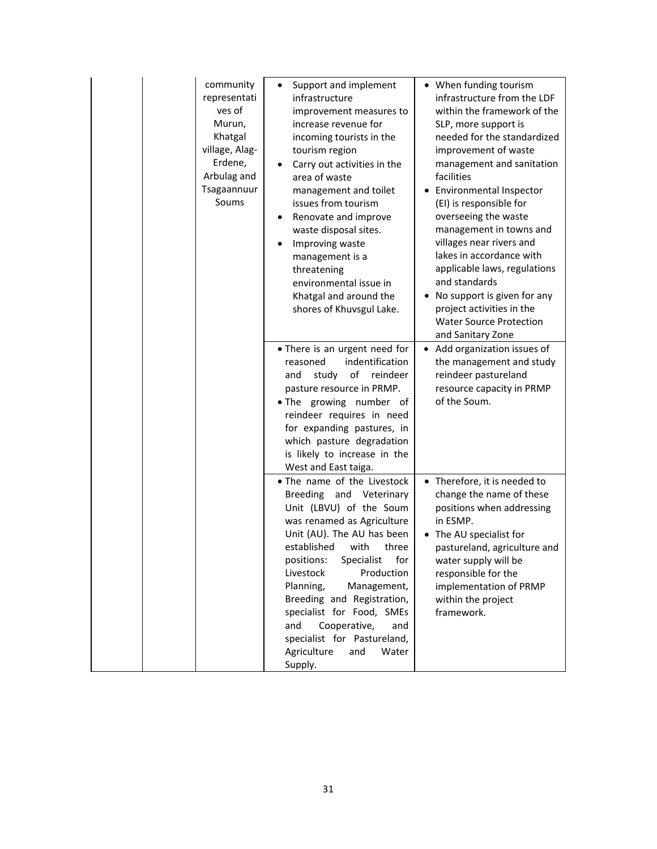| community<br>representati<br>ves of<br>Murun,<br>Khatgal<br>village, Alag-<br>Erdene,<br>Arbulag and<br>Tsagaannuur<br>Soums | Support and implement<br>infrastructure<br>improvement measures to<br>increase revenue for<br>incoming tourists in the<br>tourism region<br>Carry out activities in the<br>area of waste<br>management and toilet<br>issues from tourism<br>Renovate and improve<br>waste disposal sites.<br>Improving waste<br>management is a<br>threatening<br>environmental issue in<br>Khatgal and around the<br>shores of Khuvsgul Lake.            | • When funding tourism<br>infrastructure from the LDF<br>within the framework of the<br>SLP, more support is<br>needed for the standardized<br>improvement of waste<br>management and sanitation<br>facilities<br>• Environmental Inspector<br>(EI) is responsible for<br>overseeing the waste<br>management in towns and<br>villages near rivers and<br>lakes in accordance with<br>applicable laws, regulations<br>and standards<br>• No support is given for any<br>project activities in the<br><b>Water Source Protection</b><br>and Sanitary Zone |
|------------------------------------------------------------------------------------------------------------------------------|-------------------------------------------------------------------------------------------------------------------------------------------------------------------------------------------------------------------------------------------------------------------------------------------------------------------------------------------------------------------------------------------------------------------------------------------|---------------------------------------------------------------------------------------------------------------------------------------------------------------------------------------------------------------------------------------------------------------------------------------------------------------------------------------------------------------------------------------------------------------------------------------------------------------------------------------------------------------------------------------------------------|
|                                                                                                                              | • There is an urgent need for<br>indentification<br>reasoned<br>of<br>reindeer<br>study<br>and<br>pasture resource in PRMP.<br>. The growing number of<br>reindeer requires in need<br>for expanding pastures, in<br>which pasture degradation<br>is likely to increase in the<br>West and East taiga.                                                                                                                                    | • Add organization issues of<br>the management and study<br>reindeer pastureland<br>resource capacity in PRMP<br>of the Soum.                                                                                                                                                                                                                                                                                                                                                                                                                           |
|                                                                                                                              | • The name of the Livestock<br>Breeding and Veterinary<br>Unit (LBVU) of the Soum<br>was renamed as Agriculture<br>Unit (AU). The AU has been<br>established<br>with<br>three<br>positions:<br>Specialist<br>for<br>Livestock<br>Production<br>Planning,<br>Management,<br>Breeding and Registration,<br>specialist for Food, SMEs<br>Cooperative,<br>and<br>and<br>specialist for Pastureland,<br>Agriculture<br>and<br>Water<br>Supply. | • Therefore, it is needed to<br>change the name of these<br>positions when addressing<br>in ESMP.<br>• The AU specialist for<br>pastureland, agriculture and<br>water supply will be<br>responsible for the<br>implementation of PRMP<br>within the project<br>framework.                                                                                                                                                                                                                                                                               |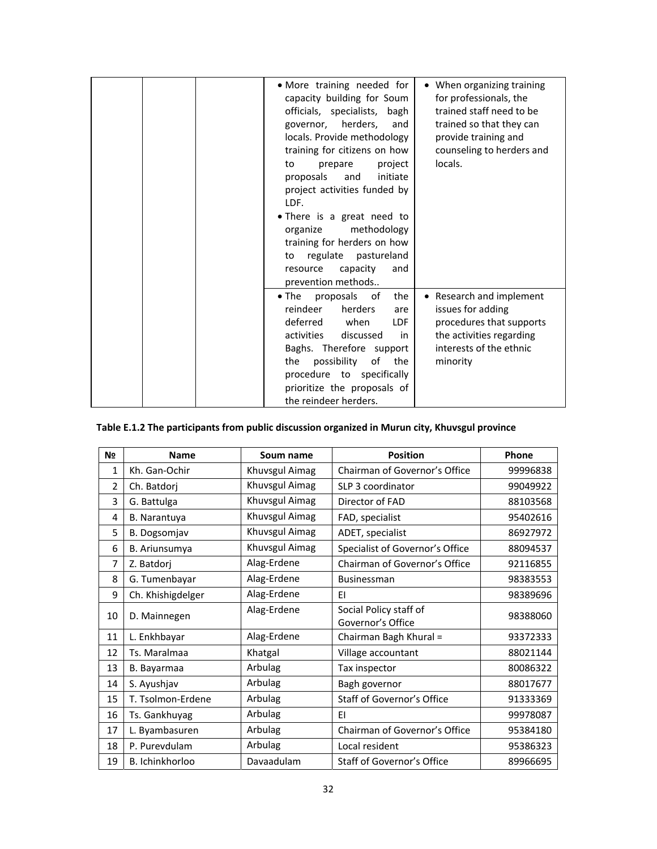| • More training needed for<br>capacity building for Soum<br>officials, specialists, bagh<br>governor, herders,<br>and<br>locals. Provide methodology<br>training for citizens on how<br>project<br>prepare<br>to<br>proposals<br>and<br>initiate<br>project activities funded by<br>LDF.<br>• There is a great need to<br>methodology<br>organize<br>training for herders on how<br>regulate pastureland<br>to<br>resource<br>capacity<br>and<br>prevention methods | • When organizing training<br>for professionals, the<br>trained staff need to be<br>trained so that they can<br>provide training and<br>counseling to herders and<br>locals. |
|---------------------------------------------------------------------------------------------------------------------------------------------------------------------------------------------------------------------------------------------------------------------------------------------------------------------------------------------------------------------------------------------------------------------------------------------------------------------|------------------------------------------------------------------------------------------------------------------------------------------------------------------------------|
| the<br>$\bullet$ The<br>proposals of<br>reindeer<br>herders<br>are<br>deferred when<br>LDF.<br>activities<br>discussed<br>in<br>Baghs. Therefore support<br>possibility<br>of<br>the<br>the<br>procedure to specifically<br>prioritize the proposals of<br>the reindeer herders.                                                                                                                                                                                    | • Research and implement<br>issues for adding<br>procedures that supports<br>the activities regarding<br>interests of the ethnic<br>minority                                 |

# **Table Е.1.2 The participants from public discussion organized in Murun city, Khuvsgul province**

| N <sub>2</sub> | <b>Name</b>       | Soum name      | <b>Position</b>                             | Phone    |
|----------------|-------------------|----------------|---------------------------------------------|----------|
| $\mathbf{1}$   | Kh. Gan-Ochir     | Khuvsgul Aimag | Chairman of Governor's Office               | 99996838 |
| $\overline{2}$ | Ch. Batdorj       | Khuvsgul Aimag | SLP 3 coordinator                           | 99049922 |
| 3              | G. Battulga       | Khuvsgul Aimag | Director of FAD                             | 88103568 |
| 4              | B. Narantuya      | Khuvsgul Aimag | FAD, specialist                             | 95402616 |
| 5              | B. Dogsomjav      | Khuvsgul Aimag | ADET, specialist                            | 86927972 |
| 6              | B. Ariunsumya     | Khuvsgul Aimag | Specialist of Governor's Office             | 88094537 |
| 7              | Z. Batdorj        | Alag-Erdene    | Chairman of Governor's Office               | 92116855 |
| 8              | G. Tumenbayar     | Alag-Erdene    | <b>Businessman</b>                          | 98383553 |
| 9              | Ch. Khishigdelger | Alag-Erdene    | FI.                                         | 98389696 |
| 10             | D. Mainnegen      | Alag-Erdene    | Social Policy staff of<br>Governor's Office | 98388060 |
| 11             | L. Enkhbayar      | Alag-Erdene    | Chairman Bagh Khural =                      | 93372333 |
| 12             | Ts. Maralmaa      | Khatgal        | Village accountant                          | 88021144 |
| 13             | B. Bayarmaa       | Arbulag        | Tax inspector                               | 80086322 |
| 14             | S. Ayushjav       | Arbulag        | Bagh governor                               | 88017677 |
| 15             | T. Tsolmon-Erdene | Arbulag        | Staff of Governor's Office                  | 91333369 |
| 16             | Ts. Gankhuyag     | Arbulag        | FI.                                         | 99978087 |
| 17             | L. Byambasuren    | Arbulag        | Chairman of Governor's Office               | 95384180 |
| 18             | P. Purevdulam     | Arbulag        | Local resident                              | 95386323 |
| 19             | B. Ichinkhorloo   | Davaadulam     | Staff of Governor's Office                  | 89966695 |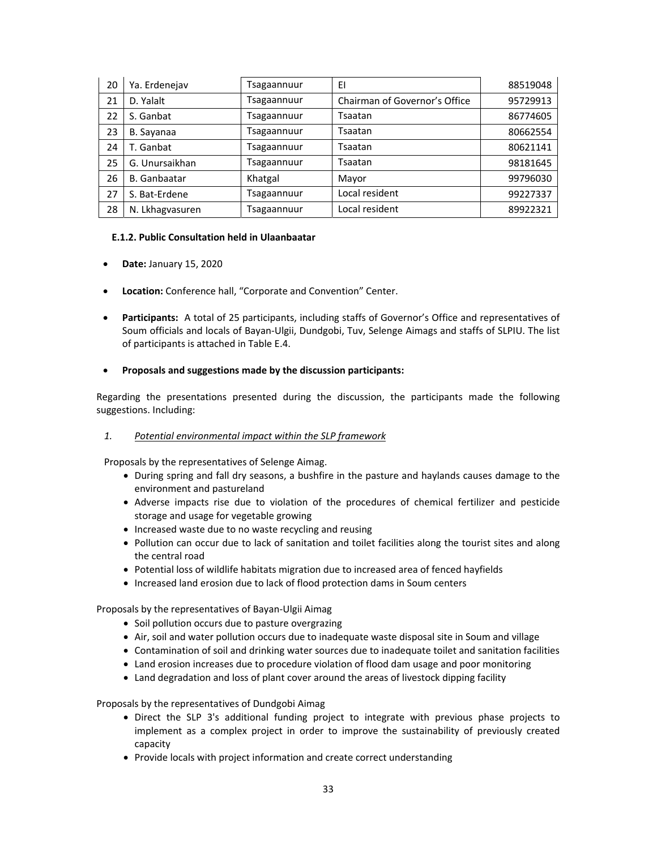| 20 | Ya. Erdenejav       | <b>Sagaannuur</b>  | EI                            | 88519048 |
|----|---------------------|--------------------|-------------------------------|----------|
| 21 | D. Yalalt           | <b>Tsagaannuur</b> | Chairman of Governor's Office | 95729913 |
| 22 | S. Ganbat           | <b>Tsagaannuur</b> | Tsaatan                       | 86774605 |
| 23 | B. Sayanaa          | <b>Fsagaannuur</b> | Tsaatan                       | 80662554 |
| 24 | T. Ganbat           | <b>Sagaannuur</b>  | Tsaatan                       | 80621141 |
| 25 | G. Unursaikhan      | <b>Sagaannuur</b>  | Tsaatan                       | 98181645 |
| 26 | <b>B.</b> Ganbaatar | Khatgal            | Mayor                         | 99796030 |
| 27 | S. Bat-Erdene       | <b>Sagaannuur</b>  | Local resident                | 99227337 |
| 28 | N. Lkhagvasuren     | <b>Sagaannuur</b>  | Local resident                | 89922321 |

## **Е.1.2. Public Consultation held in Ulaanbaatar**

- **Date:** January 15, 2020
- **Location:** Conference hall, "Corporate and Convention" Center.
- **Participants:** A total of 25 participants, including staffs of Governor's Office and representatives of Soum officials and locals of Bayan‐Ulgii, Dundgobi, Tuv, Selenge Aimags and staffs of SLPIU. The list of participants is attached in Table Е.4.

## **Proposals and suggestions made by the discussion participants:**

Regarding the presentations presented during the discussion, the participants made the following suggestions. Including:

## *1. Potential environmental impact within the SLP framework*

Proposals by the representatives of Selenge Aimag.

- During spring and fall dry seasons, a bushfire in the pasture and haylands causes damage to the environment and pastureland
- Adverse impacts rise due to violation of the procedures of chemical fertilizer and pesticide storage and usage for vegetable growing
- Increased waste due to no waste recycling and reusing
- Pollution can occur due to lack of sanitation and toilet facilities along the tourist sites and along the central road
- Potential loss of wildlife habitats migration due to increased area of fenced hayfields
- Increased land erosion due to lack of flood protection dams in Soum centers

Proposals by the representatives of Bayan‐Ulgii Aimag

- Soil pollution occurs due to pasture overgrazing
- Air, soil and water pollution occurs due to inadequate waste disposal site in Soum and village
- Contamination of soil and drinking water sources due to inadequate toilet and sanitation facilities
- Land erosion increases due to procedure violation of flood dam usage and poor monitoring
- Land degradation and loss of plant cover around the areas of livestock dipping facility

Proposals by the representatives of Dundgobi Aimag

- Direct the SLP 3's additional funding project to integrate with previous phase projects to implement as a complex project in order to improve the sustainability of previously created capacity
- Provide locals with project information and create correct understanding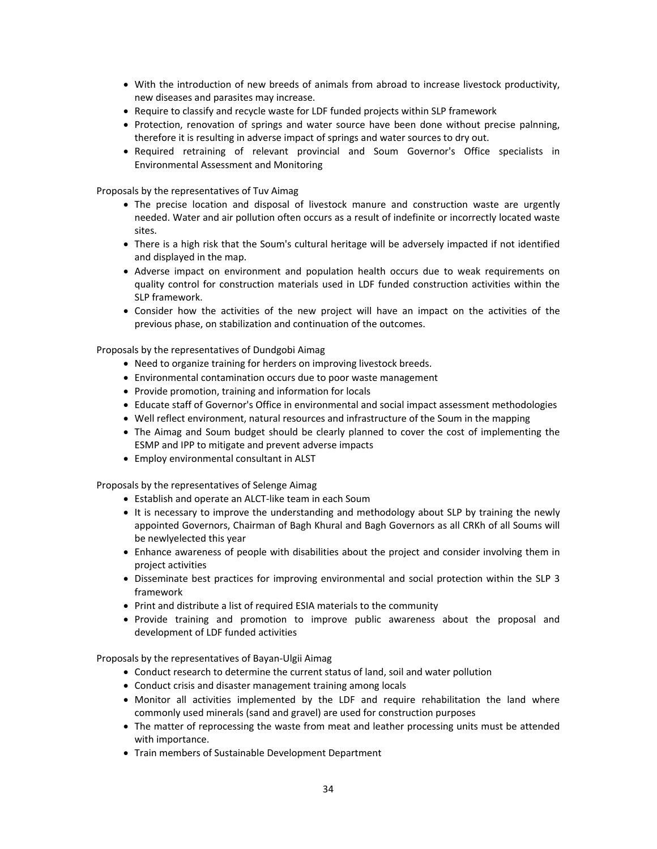- With the introduction of new breeds of animals from abroad to increase livestock productivity, new diseases and parasites may increase.
- Require to classify and recycle waste for LDF funded projects within SLP framework
- Protection, renovation of springs and water source have been done without precise palnning, therefore it is resulting in adverse impact of springs and water sources to dry out.
- Required retraining of relevant provincial and Soum Governor's Office specialists in Environmental Assessment and Monitoring

Proposals by the representatives of Tuv Aimag

- The precise location and disposal of livestock manure and construction waste are urgently needed. Water and air pollution often occurs as a result of indefinite or incorrectly located waste sites.
- There is a high risk that the Soum's cultural heritage will be adversely impacted if not identified and displayed in the map.
- Adverse impact on environment and population health occurs due to weak requirements on quality control for construction materials used in LDF funded construction activities within the SLP framework.
- Consider how the activities of the new project will have an impact on the activities of the previous phase, on stabilization and continuation of the outcomes.

Proposals by the representatives of Dundgobi Aimag

- Need to organize training for herders on improving livestock breeds.
- Environmental contamination occurs due to poor waste management
- Provide promotion, training and information for locals
- Educate staff of Governor's Office in environmental and social impact assessment methodologies
- Well reflect environment, natural resources and infrastructure of the Soum in the mapping
- The Aimag and Soum budget should be clearly planned to cover the cost of implementing the ESMP and IPP to mitigate and prevent adverse impacts
- Employ environmental consultant in ALST

Proposals by the representatives of Selenge Aimag

- Establish and operate an ALCT‐like team in each Soum
- It is necessary to improve the understanding and methodology about SLP by training the newly appointed Governors, Chairman of Bagh Khural and Bagh Governors as all CRKh of all Soums will be newlyelected this year
- Enhance awareness of people with disabilities about the project and consider involving them in project activities
- Disseminate best practices for improving environmental and social protection within the SLP 3 framework
- Print and distribute a list of required ESIA materials to the community
- Provide training and promotion to improve public awareness about the proposal and development of LDF funded activities

Proposals by the representatives of Bayan‐Ulgii Aimag

- Conduct research to determine the current status of land, soil and water pollution
- Conduct crisis and disaster management training among locals
- Monitor all activities implemented by the LDF and require rehabilitation the land where commonly used minerals (sand and gravel) are used for construction purposes
- The matter of reprocessing the waste from meat and leather processing units must be attended with importance.
- Train members of Sustainable Development Department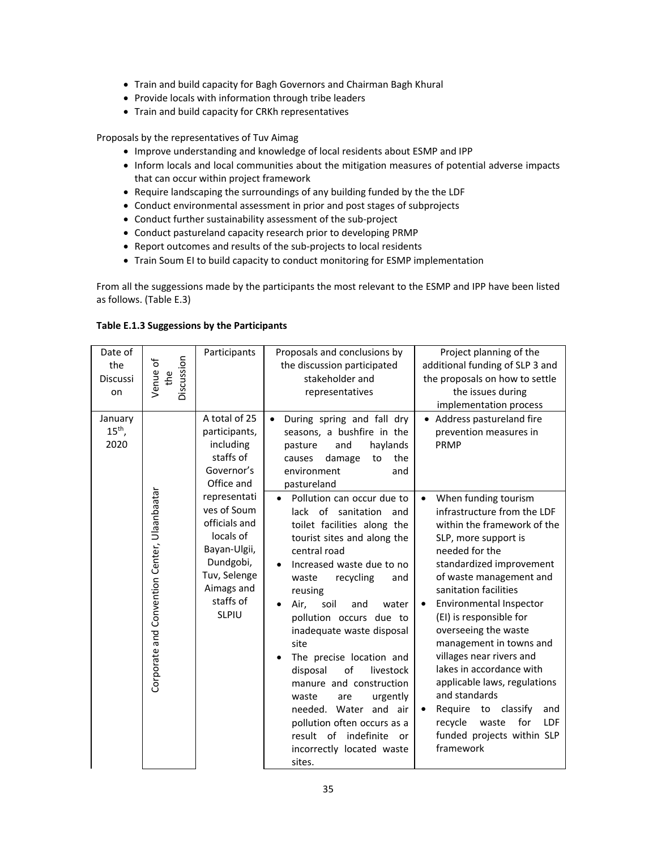- Train and build capacity for Bagh Governors and Chairman Bagh Khural
- Provide locals with information through tribe leaders
- Train and build capacity for CRKh representatives

Proposals by the representatives of Tuv Aimag

- Improve understanding and knowledge of local residents about ESMP and IPP
- Inform locals and local communities about the mitigation measures of potential adverse impacts that can occur within project framework
- Require landscaping the surroundings of any building funded by the the LDF
- Conduct environmental assessment in prior and post stages of subprojects
- Conduct further sustainability assessment of the sub-project
- Conduct pastureland capacity research prior to developing PRMP
- Report outcomes and results of the sub-projects to local residents
- Train Soum EI to build capacity to conduct monitoring for ESMP implementation

From all the suggessions made by the participants the most relevant to the ESMP and IPP have been listed as follows. (Table Е.3)

| Table E.1.3 Suggessions by the Participants |  |
|---------------------------------------------|--|
|---------------------------------------------|--|

| Date of<br>the<br><b>Discussi</b><br>on | Discussion<br>Venue of<br>the                | Participants                                                                                                                                      | Proposals and conclusions by<br>the discussion participated<br>stakeholder and<br>representatives                                                                                                                                                                                                                                                                                                                                                                                                                                                         | Project planning of the<br>additional funding of SLP 3 and<br>the proposals on how to settle<br>the issues during<br>implementation process                                                                                                                                                                                                                                                                                                                                                                                                                                                   |
|-----------------------------------------|----------------------------------------------|---------------------------------------------------------------------------------------------------------------------------------------------------|-----------------------------------------------------------------------------------------------------------------------------------------------------------------------------------------------------------------------------------------------------------------------------------------------------------------------------------------------------------------------------------------------------------------------------------------------------------------------------------------------------------------------------------------------------------|-----------------------------------------------------------------------------------------------------------------------------------------------------------------------------------------------------------------------------------------------------------------------------------------------------------------------------------------------------------------------------------------------------------------------------------------------------------------------------------------------------------------------------------------------------------------------------------------------|
| January<br>$15th$ ,<br>2020             |                                              | A total of 25<br>participants,<br>including<br>staffs of<br>Governor's<br>Office and                                                              | During spring and fall dry<br>$\bullet$<br>seasons, a bushfire in the<br>and<br>haylands<br>pasture<br>the<br>damage<br>causes<br>to<br>environment<br>and<br>pastureland                                                                                                                                                                                                                                                                                                                                                                                 | • Address pastureland fire<br>prevention measures in<br>PRMP                                                                                                                                                                                                                                                                                                                                                                                                                                                                                                                                  |
|                                         | Corporate and Convention Center, Ulaanbaatar | representati<br>ves of Soum<br>officials and<br>locals of<br>Bayan-Ulgii,<br>Dundgobi,<br>Tuv, Selenge<br>Aimags and<br>staffs of<br><b>SLPIU</b> | Pollution can occur due to<br>lack of sanitation<br>and<br>toilet facilities along the<br>tourist sites and along the<br>central road<br>Increased waste due to no<br>waste<br>recycling<br>and<br>reusing<br>Air,<br>soil<br>and<br>water<br>pollution occurs due to<br>inadequate waste disposal<br>site<br>The precise location and<br>disposal<br>of<br>livestock<br>manure and construction<br>urgently<br>waste<br>are<br>needed. Water and air<br>pollution often occurs as a<br>result of indefinite<br>or<br>incorrectly located waste<br>sites. | When funding tourism<br>$\bullet$<br>infrastructure from the LDF<br>within the framework of the<br>SLP, more support is<br>needed for the<br>standardized improvement<br>of waste management and<br>sanitation facilities<br>Environmental Inspector<br>$\bullet$<br>(EI) is responsible for<br>overseeing the waste<br>management in towns and<br>villages near rivers and<br>lakes in accordance with<br>applicable laws, regulations<br>and standards<br>Require<br>classify<br>and<br>to<br>$\bullet$<br>for<br>recycle<br>waste<br><b>LDF</b><br>funded projects within SLP<br>framework |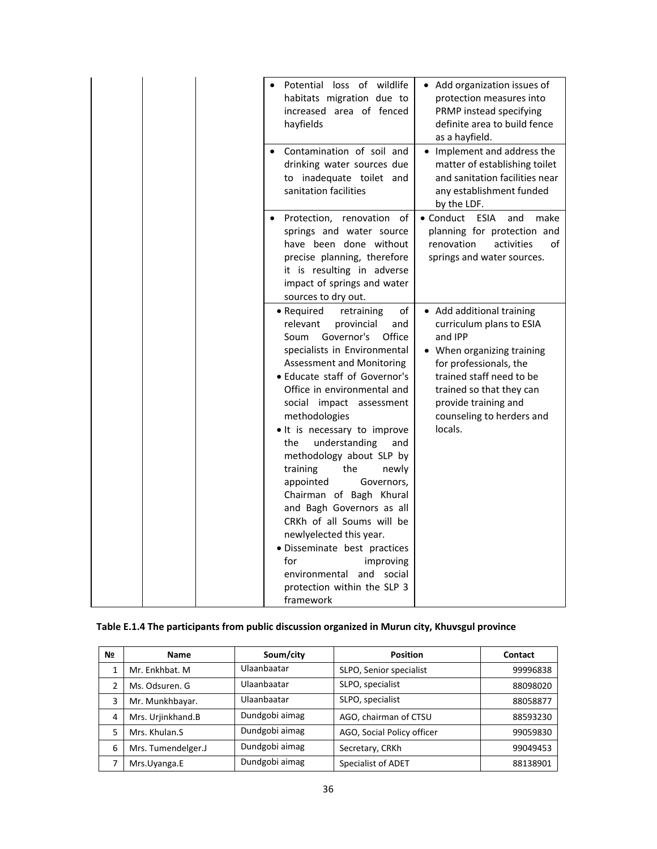| Potential loss of wildlife<br>habitats migration due to<br>increased area of fenced<br>hayfields                                                                                                                                                                                                                                                                                                                                                                                                                                                                                                                                                                        | • Add organization issues of<br>protection measures into<br>PRMP instead specifying<br>definite area to build fence<br>as a hayfield.                                                                                                            |
|-------------------------------------------------------------------------------------------------------------------------------------------------------------------------------------------------------------------------------------------------------------------------------------------------------------------------------------------------------------------------------------------------------------------------------------------------------------------------------------------------------------------------------------------------------------------------------------------------------------------------------------------------------------------------|--------------------------------------------------------------------------------------------------------------------------------------------------------------------------------------------------------------------------------------------------|
| Contamination of soil and<br>drinking water sources due<br>to inadequate toilet and<br>sanitation facilities                                                                                                                                                                                                                                                                                                                                                                                                                                                                                                                                                            | • Implement and address the<br>matter of establishing toilet<br>and sanitation facilities near<br>any establishment funded<br>by the LDF.                                                                                                        |
| Protection, renovation<br>οf<br>springs and water source<br>have been done without<br>precise planning, therefore<br>it is resulting in adverse<br>impact of springs and water<br>sources to dry out.                                                                                                                                                                                                                                                                                                                                                                                                                                                                   | $\bullet$ Conduct<br><b>ESIA</b><br>and<br>make<br>planning for protection and<br>renovation<br>activities<br>of<br>springs and water sources.                                                                                                   |
| of<br>• Required<br>retraining<br>relevant<br>provincial<br>and<br>Governor's<br>Soum<br>Office<br>specialists in Environmental<br>Assessment and Monitoring<br>• Educate staff of Governor's<br>Office in environmental and<br>social impact assessment<br>methodologies<br>. It is necessary to improve<br>understanding<br>the<br>and<br>methodology about SLP by<br>the<br>training<br>newly<br>appointed<br>Governors,<br>Chairman of Bagh Khural<br>and Bagh Governors as all<br>CRKh of all Soums will be<br>newlyelected this year.<br>· Disseminate best practices<br>for<br>improving<br>environmental and social<br>protection within the SLP 3<br>framework | • Add additional training<br>curriculum plans to ESIA<br>and IPP<br>• When organizing training<br>for professionals, the<br>trained staff need to be<br>trained so that they can<br>provide training and<br>counseling to herders and<br>locals. |

# **Table Е.1.4 The participants from public discussion organized in Murun city, Khuvsgul province**

| N <sub>2</sub> | <b>Name</b>        | Soum/city      | <b>Position</b>            | Contact  |
|----------------|--------------------|----------------|----------------------------|----------|
|                | Mr. Enkhbat. M     | Ulaanbaatar    | SLPO, Senior specialist    | 99996838 |
|                | Ms. Odsuren. G     | Ulaanbaatar    | SLPO, specialist           | 88098020 |
| 3              | Mr. Munkhbayar.    | Ulaanbaatar    | SLPO, specialist           | 88058877 |
| 4              | Mrs. Urjinkhand.B  | Dundgobi aimag | AGO, chairman of CTSU      | 88593230 |
| 5              | Mrs. Khulan.S      | Dundgobi aimag | AGO, Social Policy officer | 99059830 |
| 6              | Mrs. Tumendelger.J | Dundgobi aimag | Secretary, CRKh            | 99049453 |
|                | Mrs.Uyanga.E       | Dundgobi aimag | <b>Specialist of ADET</b>  | 88138901 |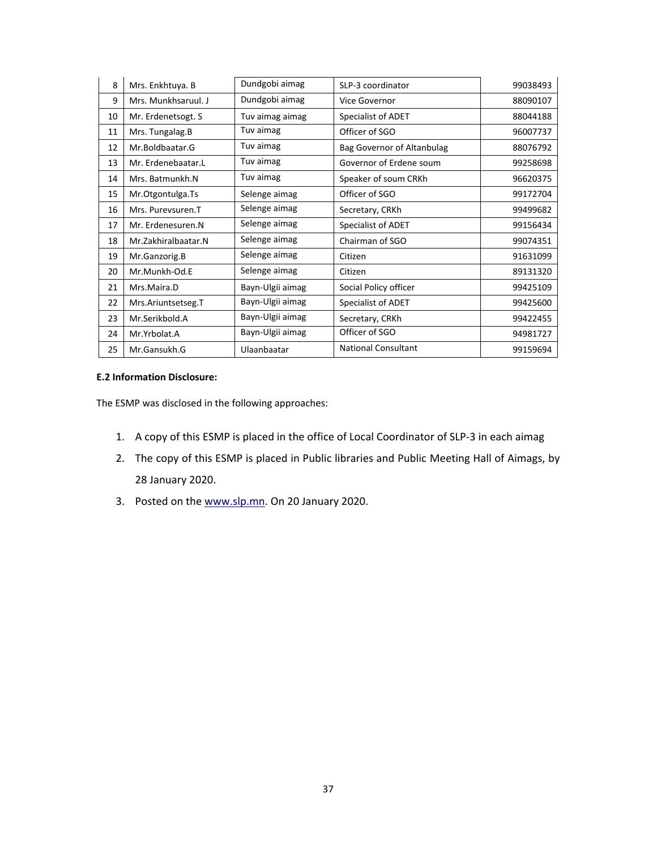| 8  | Mrs. Enkhtuya. B    | Dundgobi aimag   | SLP-3 coordinator          | 99038493 |
|----|---------------------|------------------|----------------------------|----------|
| 9  | Mrs. Munkhsaruul. J | Dundgobi aimag   | Vice Governor              | 88090107 |
| 10 | Mr. Erdenetsogt. S  | Tuv aimag aimag  | Specialist of ADET         | 88044188 |
| 11 | Mrs. Tungalag.B     | Tuv aimag        | Officer of SGO             | 96007737 |
| 12 | Mr.Boldbaatar.G     | Tuv aimag        | Bag Governor of Altanbulag | 88076792 |
| 13 | Mr. Erdenebaatar.L  | Tuv aimag        | Governor of Erdene soum    | 99258698 |
| 14 | Mrs. Batmunkh.N     | Tuv aimag        | Speaker of soum CRKh       | 96620375 |
| 15 | Mr.Otgontulga.Ts    | Selenge aimag    | Officer of SGO             | 99172704 |
| 16 | Mrs. Purevsuren.T   | Selenge aimag    | Secretary, CRKh            | 99499682 |
| 17 | Mr. Erdenesuren.N   | Selenge aimag    | Specialist of ADET         | 99156434 |
| 18 | Mr.Zakhiralbaatar.N | Selenge aimag    | Chairman of SGO            | 99074351 |
| 19 | Mr.Ganzorig.B       | Selenge aimag    | Citizen                    | 91631099 |
| 20 | Mr.Munkh-Od.E       | Selenge aimag    | Citizen                    | 89131320 |
| 21 | Mrs.Maira.D         | Bayn-Ulgii aimag | Social Policy officer      | 99425109 |
| 22 | Mrs.Ariuntsetseg.T  | Bayn-Ulgii aimag | Specialist of ADET         | 99425600 |
| 23 | Mr.Serikbold.A      | Bayn-Ulgii aimag | Secretary, CRKh            | 99422455 |
| 24 | Mr.Yrbolat.A        | Bayn-Ulgii aimag | Officer of SGO             | 94981727 |
| 25 | Mr.Gansukh.G        | Ulaanbaatar      | <b>National Consultant</b> | 99159694 |

## **E.2 Information Disclosure:**

The ESMP was disclosed in the following approaches:

- 1. A copy of this ESMP is placed in the office of Local Coordinator of SLP‐3 in each aimag
- 2. The copy of this ESMP is placed in Public libraries and Public Meeting Hall of Aimags, by 28 January 2020.
- 3. Posted on the www.slp.mn. On 20 January 2020.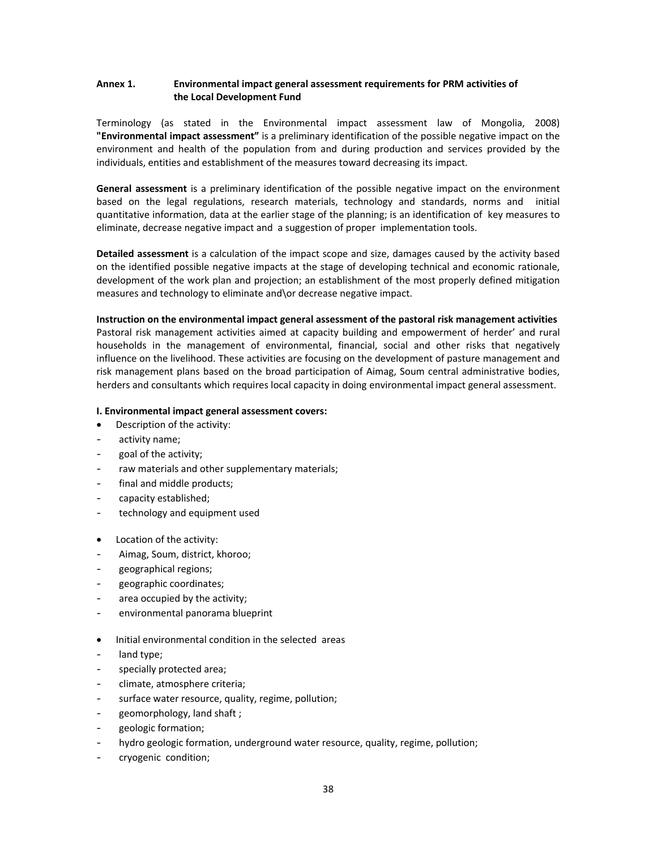## Annex 1. **Environmental impact general assessment requirements for PRM activities of the Local Development Fund**

Terminology (as stated in the Environmental impact assessment law of Mongolia, 2008) **"Environmental impact assessment"** is a preliminary identification of the possible negative impact on the environment and health of the population from and during production and services provided by the individuals, entities and establishment of the measures toward decreasing its impact.

General assessment is a preliminary identification of the possible negative impact on the environment based on the legal regulations, research materials, technology and standards, norms and initial quantitative information, data at the earlier stage of the planning; is an identification of key measures to eliminate, decrease negative impact and a suggestion of proper implementation tools.

**Detailed assessment** is a calculation of the impact scope and size, damages caused by the activity based on the identified possible negative impacts at the stage of developing technical and economic rationale, development of the work plan and projection; an establishment of the most properly defined mitigation measures and technology to eliminate and\or decrease negative impact.

**Instruction on the environmental impact general assessment of the pastoral risk management activities**  Pastoral risk management activities aimed at capacity building and empowerment of herder' and rural households in the management of environmental, financial, social and other risks that negatively influence on the livelihood. These activities are focusing on the development of pasture management and risk management plans based on the broad participation of Aimag, Soum central administrative bodies, herders and consultants which requires local capacity in doing environmental impact general assessment.

## **I. Environmental impact general assessment covers:**

- Description of the activity:
- activity name;
- goal of the activity;
- raw materials and other supplementary materials;
- final and middle products;
- capacity established;
- technology and equipment used
- Location of the activity:
- Aimag, Soum, district, khoroo;
- geographical regions;
- geographic coordinates;
- area occupied by the activity;
- environmental panorama blueprint
- Initial environmental condition in the selected areas
- land type;
- specially protected area;
- climate, atmosphere criteria;
- surface water resource, quality, regime, pollution;
- geomorphology, land shaft;
- geologic formation;
- hydro geologic formation, underground water resource, quality, regime, pollution;
- cryogenic condition;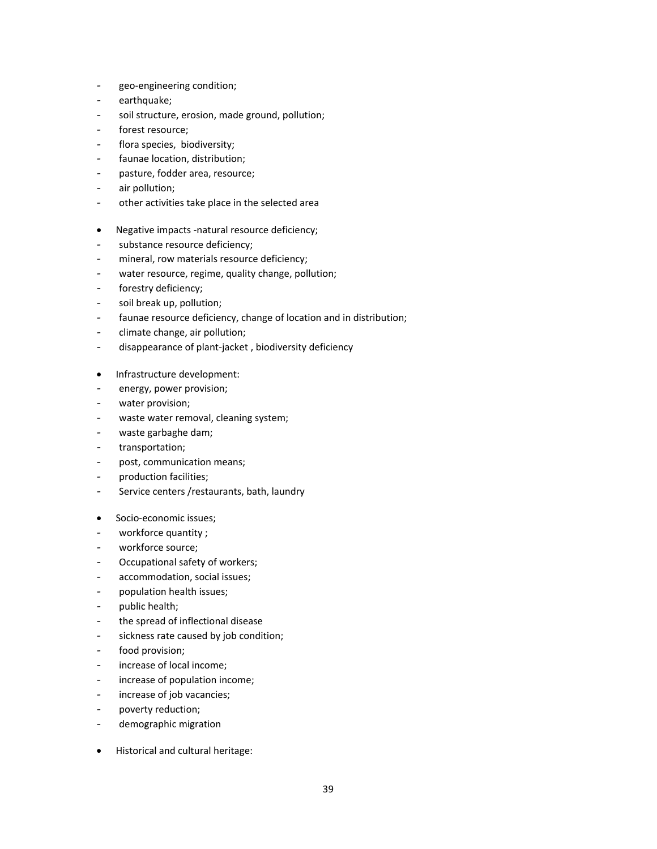- geo‐engineering condition;
- earthquake;
- soil structure, erosion, made ground, pollution;
- forest resource;
- flora species, biodiversity;
- faunae location, distribution;
- pasture, fodder area, resource;
- air pollution;
- other activities take place in the selected area
- Negative impacts -natural resource deficiency;
- substance resource deficiency;
- mineral, row materials resource deficiency;
- water resource, regime, quality change, pollution;
- forestry deficiency;
- soil break up, pollution;
- faunae resource deficiency, change of location and in distribution;
- climate change, air pollution;
- disappearance of plant‐jacket , biodiversity deficiency
- Infrastructure development:
- energy, power provision;
- water provision;
- waste water removal, cleaning system;
- waste garbaghe dam;
- transportation;
- post, communication means;
- production facilities;
- Service centers /restaurants, bath, laundry
- Socio-economic issues;
- workforce quantity ;
- workforce source;
- Occupational safety of workers;
- accommodation, social issues;
- population health issues;
- public health;
- the spread of inflectional disease
- sickness rate caused by job condition;
- food provision;
- increase of local income;
- increase of population income;
- increase of job vacancies;
- poverty reduction;
- demographic migration
- Historical and cultural heritage: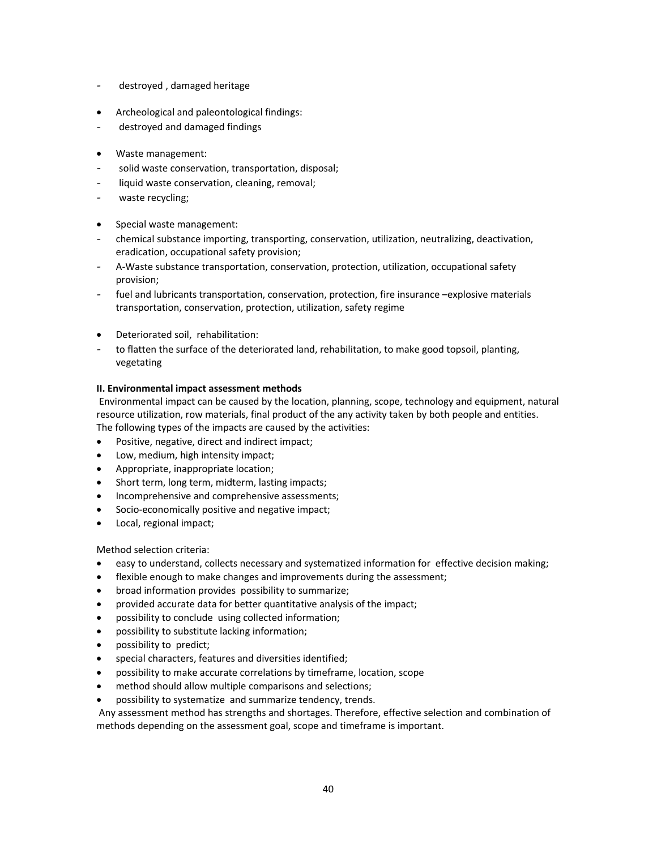- destroyed , damaged heritage
- Archeological and paleontological findings:
- destroyed and damaged findings
- Waste management:
- solid waste conservation, transportation, disposal;
- liquid waste conservation, cleaning, removal;
- waste recycling;
- Special waste management:
- chemical substance importing, transporting, conservation, utilization, neutralizing, deactivation, eradication, occupational safety provision;
- A‐Waste substance transportation, conservation, protection, utilization, occupational safety provision;
- fuel and lubricants transportation, conservation, protection, fire insurance –explosive materials transportation, conservation, protection, utilization, safety regime
- Deteriorated soil, rehabilitation:
- to flatten the surface of the deteriorated land, rehabilitation, to make good topsoil, planting, vegetating

## **II. Environmental impact assessment methods**

 Environmental impact can be caused by the location, planning, scope, technology and equipment, natural resource utilization, row materials, final product of the any activity taken by both people and entities. The following types of the impacts are caused by the activities:

- Positive, negative, direct and indirect impact;
- Low, medium, high intensity impact;
- Appropriate, inappropriate location;
- Short term, long term, midterm, lasting impacts;
- Incomprehensive and comprehensive assessments;
- Socio‐economically positive and negative impact;
- Local, regional impact;

Method selection criteria:

- easy to understand, collects necessary and systematized information for effective decision making;
- flexible enough to make changes and improvements during the assessment;
- broad information provides possibility to summarize;
- provided accurate data for better quantitative analysis of the impact;
- possibility to conclude using collected information;
- possibility to substitute lacking information;
- possibility to predict;
- special characters, features and diversities identified;
- possibility to make accurate correlations by timeframe, location, scope
- method should allow multiple comparisons and selections;
- possibility to systematize and summarize tendency, trends.

 Any assessment method has strengths and shortages. Therefore, effective selection and combination of methods depending on the assessment goal, scope and timeframe is important.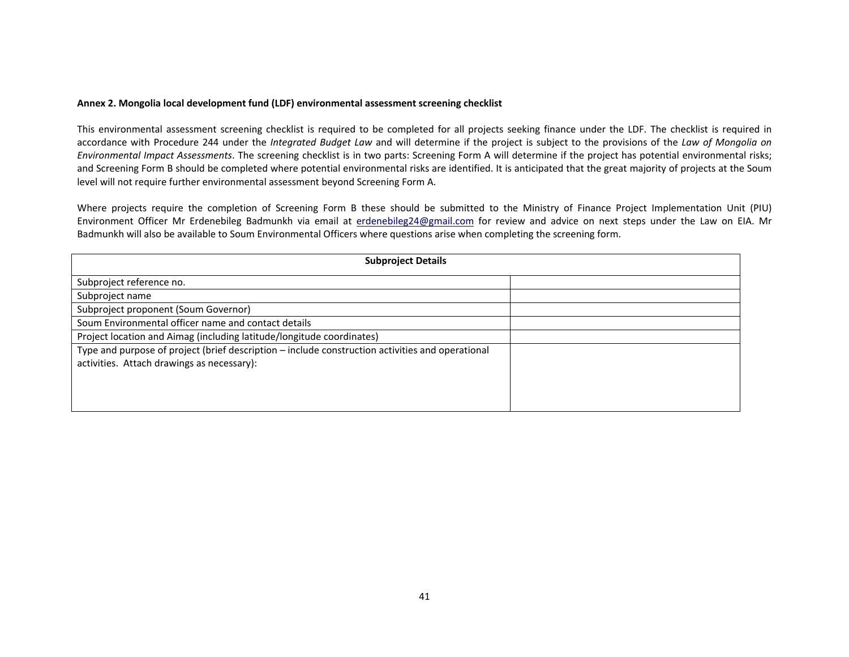## **Annex 2. Mongolia local development fund (LDF) environmental assessment screening checklist**

This environmental assessment screening checklist is required to be completed for all projects seeking finance under the LDF. The checklist is required in accordance with Procedure 244 under the Integrated Budget Law and will determine if the project is subject to the provisions of the Law of Mongolia on *Environmental Impact Assessments*. The screening checklist is in two parts: Screening Form A will determine if the project has potential environmental risks; and Screening Form B should be completed where potential environmental risks are identified. It is anticipated that the great majority of projects at the Soum level will not require further environmental assessment beyond Screening Form A.

Where projects require the completion of Screening Form B these should be submitted to the Ministry of Finance Project Implementation Unit (PIU) Environment Officer Mr Erdenebileg Badmunkh via email at erdenebileg24@gmail.com for review and advice on next steps under the Law on EIA. Mr Badmunkh will also be available to Soum Environmental Officers where questions arise when completing the screening form.

| <b>Subproject Details</b>                                                                        |  |  |
|--------------------------------------------------------------------------------------------------|--|--|
| Subproject reference no.                                                                         |  |  |
| Subproject name                                                                                  |  |  |
| Subproject proponent (Soum Governor)                                                             |  |  |
| Soum Environmental officer name and contact details                                              |  |  |
| Project location and Aimag (including latitude/longitude coordinates)                            |  |  |
| Type and purpose of project (brief description - include construction activities and operational |  |  |
| activities. Attach drawings as necessary):                                                       |  |  |
|                                                                                                  |  |  |
|                                                                                                  |  |  |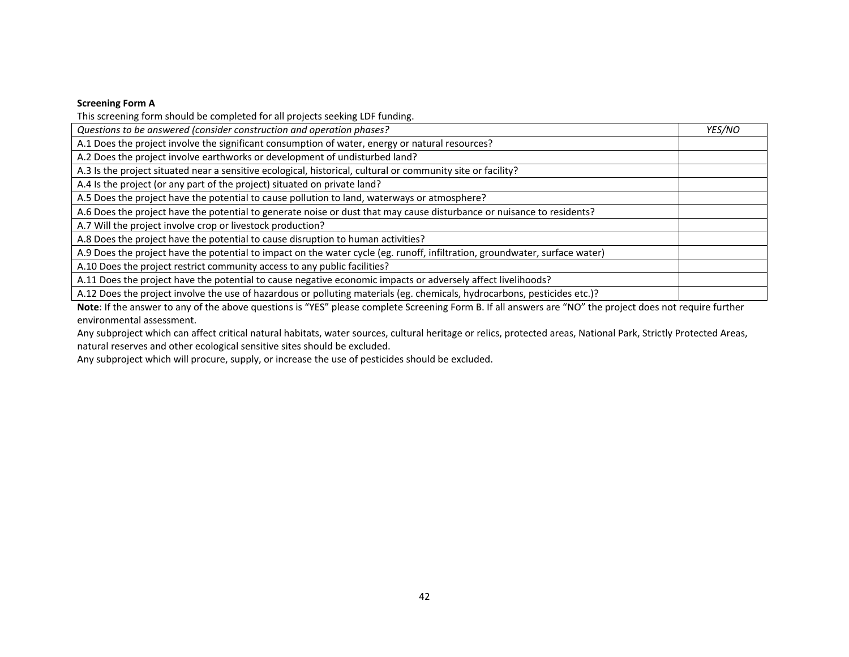## **Screening Form A**

This screening form should be completed for all projects seeking LDF funding.

| <b>YES/NO</b> |
|---------------|
|               |
|               |
|               |
|               |
|               |
|               |
|               |
|               |
|               |
|               |
|               |
|               |
|               |

**Note**: If the answer to any of the above questions is "YES" please complete Screening Form B. If all answers are "NO" the project does not require further environmental assessment.

Any subproject which can affect critical natural habitats, water sources, cultural heritage or relics, protected areas, National Park, Strictly Protected Areas, natural reserves and other ecological sensitive sites should be excluded.

Any subproject which will procure, supply, or increase the use of pesticides should be excluded.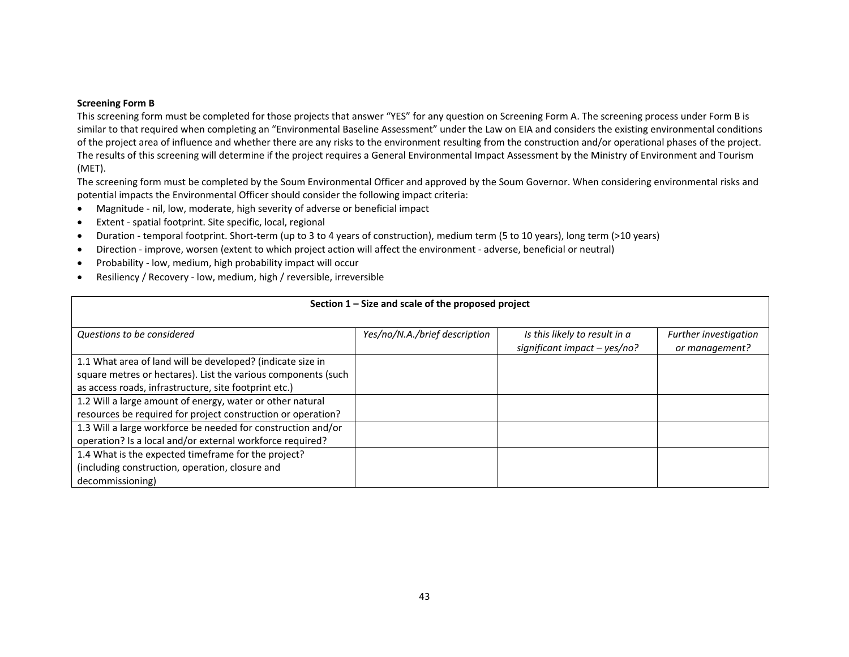## **Screening Form B**

This screening form must be completed for those projects that answer "YES" for any question on Screening Form A. The screening process under Form B is similar to that required when completing an "Environmental Baseline Assessment" under the Law on EIA and considers the existing environmental conditions of the project area of influence and whether there are any risks to the environment resulting from the construction and/or operational phases of the project. The results of this screening will determine if the project requires a General Environmental Impact Assessment by the Ministry of Environment and Tourism (MET).

The screening form must be completed by the Soum Environmental Officer and approved by the Soum Governor. When considering environmental risks and potential impacts the Environmental Officer should consider the following impact criteria:

- $\bullet$ Magnitude ‐ nil, low, moderate, high severity of adverse or beneficial impact
- $\bullet$ Extent ‐ spatial footprint. Site specific, local, regional
- $\bullet$ Duration ‐ temporal footprint. Short‐term (up to 3 to 4 years of construction), medium term (5 to 10 years), long term (>10 years)
- $\bullet$ Direction - improve, worsen (extent to which project action will affect the environment - adverse, beneficial or neutral)
- $\bullet$ Probability ‐ low, medium, high probability impact will occur
- $\bullet$ Resiliency / Recovery ‐ low, medium, high / reversible, irreversible

| Section $1 -$ Size and scale of the proposed project          |                               |                                |                       |  |  |  |
|---------------------------------------------------------------|-------------------------------|--------------------------------|-----------------------|--|--|--|
|                                                               |                               |                                |                       |  |  |  |
| Questions to be considered                                    | Yes/no/N.A./brief description | Is this likely to result in a  | Further investigation |  |  |  |
|                                                               |                               | significant impact $-$ yes/no? | or management?        |  |  |  |
| 1.1 What area of land will be developed? (indicate size in    |                               |                                |                       |  |  |  |
| square metres or hectares). List the various components (such |                               |                                |                       |  |  |  |
| as access roads, infrastructure, site footprint etc.)         |                               |                                |                       |  |  |  |
| 1.2 Will a large amount of energy, water or other natural     |                               |                                |                       |  |  |  |
| resources be required for project construction or operation?  |                               |                                |                       |  |  |  |
| 1.3 Will a large workforce be needed for construction and/or  |                               |                                |                       |  |  |  |
| operation? Is a local and/or external workforce required?     |                               |                                |                       |  |  |  |
| 1.4 What is the expected timeframe for the project?           |                               |                                |                       |  |  |  |
| (including construction, operation, closure and               |                               |                                |                       |  |  |  |
| decommissioning)                                              |                               |                                |                       |  |  |  |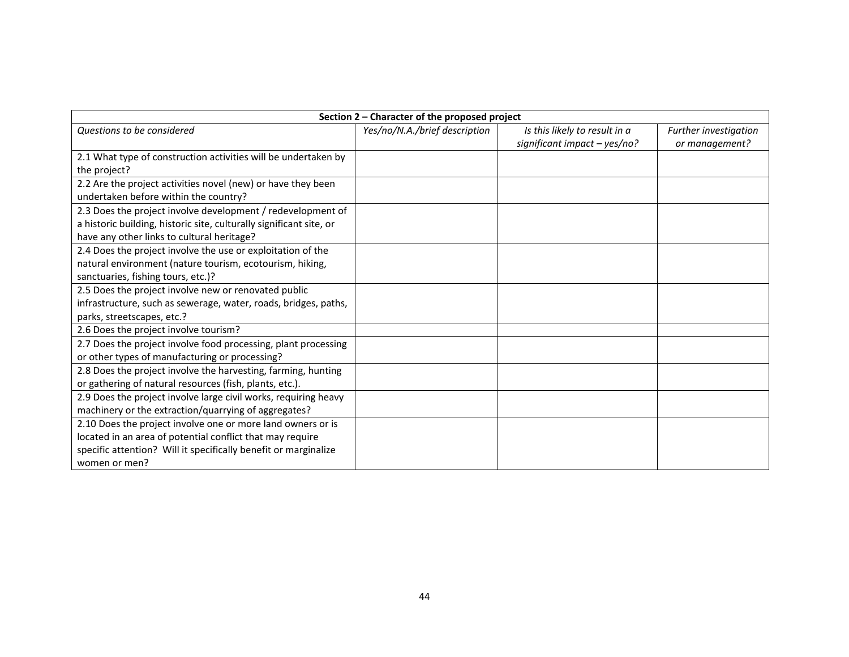| Section 2 - Character of the proposed project                       |                               |                               |                       |  |  |
|---------------------------------------------------------------------|-------------------------------|-------------------------------|-----------------------|--|--|
| Questions to be considered                                          | Yes/no/N.A./brief description | Is this likely to result in a | Further investigation |  |  |
|                                                                     |                               | significant impact - yes/no?  | or management?        |  |  |
| 2.1 What type of construction activities will be undertaken by      |                               |                               |                       |  |  |
| the project?                                                        |                               |                               |                       |  |  |
| 2.2 Are the project activities novel (new) or have they been        |                               |                               |                       |  |  |
| undertaken before within the country?                               |                               |                               |                       |  |  |
| 2.3 Does the project involve development / redevelopment of         |                               |                               |                       |  |  |
| a historic building, historic site, culturally significant site, or |                               |                               |                       |  |  |
| have any other links to cultural heritage?                          |                               |                               |                       |  |  |
| 2.4 Does the project involve the use or exploitation of the         |                               |                               |                       |  |  |
| natural environment (nature tourism, ecotourism, hiking,            |                               |                               |                       |  |  |
| sanctuaries, fishing tours, etc.)?                                  |                               |                               |                       |  |  |
| 2.5 Does the project involve new or renovated public                |                               |                               |                       |  |  |
| infrastructure, such as sewerage, water, roads, bridges, paths,     |                               |                               |                       |  |  |
| parks, streetscapes, etc.?                                          |                               |                               |                       |  |  |
| 2.6 Does the project involve tourism?                               |                               |                               |                       |  |  |
| 2.7 Does the project involve food processing, plant processing      |                               |                               |                       |  |  |
| or other types of manufacturing or processing?                      |                               |                               |                       |  |  |
| 2.8 Does the project involve the harvesting, farming, hunting       |                               |                               |                       |  |  |
| or gathering of natural resources (fish, plants, etc.).             |                               |                               |                       |  |  |
| 2.9 Does the project involve large civil works, requiring heavy     |                               |                               |                       |  |  |
| machinery or the extraction/quarrying of aggregates?                |                               |                               |                       |  |  |
| 2.10 Does the project involve one or more land owners or is         |                               |                               |                       |  |  |
| located in an area of potential conflict that may require           |                               |                               |                       |  |  |
| specific attention? Will it specifically benefit or marginalize     |                               |                               |                       |  |  |
| women or men?                                                       |                               |                               |                       |  |  |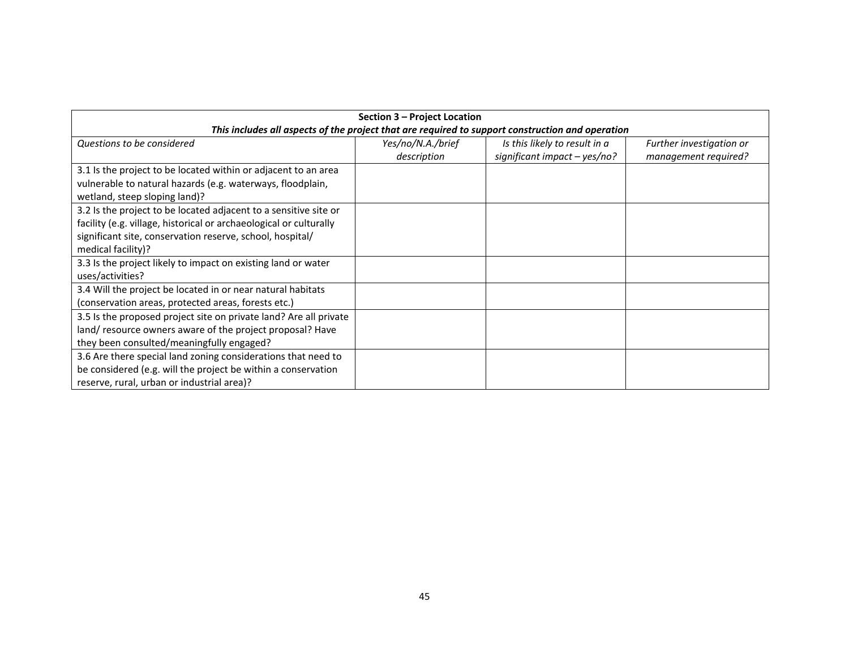| Section 3 – Project Location                                                                     |                   |                                |                          |  |  |  |
|--------------------------------------------------------------------------------------------------|-------------------|--------------------------------|--------------------------|--|--|--|
| This includes all aspects of the project that are required to support construction and operation |                   |                                |                          |  |  |  |
| Questions to be considered                                                                       | Yes/no/N.A./brief | Is this likely to result in a  | Further investigation or |  |  |  |
|                                                                                                  | description       | significant impact $-$ yes/no? | management required?     |  |  |  |
| 3.1 Is the project to be located within or adjacent to an area                                   |                   |                                |                          |  |  |  |
| vulnerable to natural hazards (e.g. waterways, floodplain,                                       |                   |                                |                          |  |  |  |
| wetland, steep sloping land)?                                                                    |                   |                                |                          |  |  |  |
| 3.2 Is the project to be located adjacent to a sensitive site or                                 |                   |                                |                          |  |  |  |
| facility (e.g. village, historical or archaeological or culturally                               |                   |                                |                          |  |  |  |
| significant site, conservation reserve, school, hospital/                                        |                   |                                |                          |  |  |  |
| medical facility)?                                                                               |                   |                                |                          |  |  |  |
| 3.3 Is the project likely to impact on existing land or water                                    |                   |                                |                          |  |  |  |
| uses/activities?                                                                                 |                   |                                |                          |  |  |  |
| 3.4 Will the project be located in or near natural habitats                                      |                   |                                |                          |  |  |  |
| (conservation areas, protected areas, forests etc.)                                              |                   |                                |                          |  |  |  |
| 3.5 Is the proposed project site on private land? Are all private                                |                   |                                |                          |  |  |  |
| land/resource owners aware of the project proposal? Have                                         |                   |                                |                          |  |  |  |
| they been consulted/meaningfully engaged?                                                        |                   |                                |                          |  |  |  |
| 3.6 Are there special land zoning considerations that need to                                    |                   |                                |                          |  |  |  |
| be considered (e.g. will the project be within a conservation                                    |                   |                                |                          |  |  |  |
| reserve, rural, urban or industrial area)?                                                       |                   |                                |                          |  |  |  |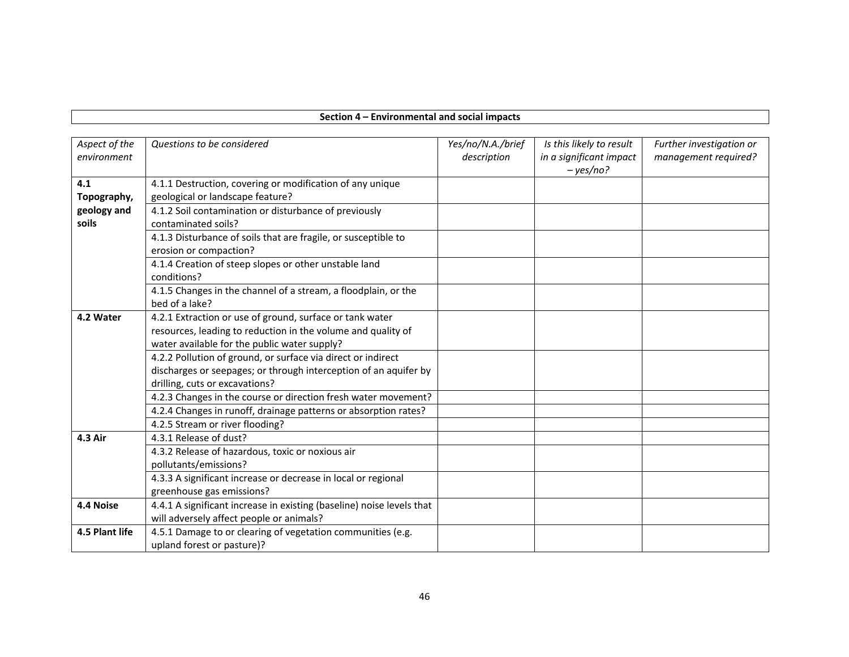## **Section 4 – Environmental and social impacts**

| Aspect of the<br>environment | Questions to be considered                                                                                                                                               | Yes/no/N.A./brief<br>description | Is this likely to result<br>in a significant impact<br>$- yes/no?$ | Further investigation or<br>management required? |
|------------------------------|--------------------------------------------------------------------------------------------------------------------------------------------------------------------------|----------------------------------|--------------------------------------------------------------------|--------------------------------------------------|
| 4.1<br>Topography,           | 4.1.1 Destruction, covering or modification of any unique<br>geological or landscape feature?                                                                            |                                  |                                                                    |                                                  |
| geology and<br>soils         | 4.1.2 Soil contamination or disturbance of previously<br>contaminated soils?                                                                                             |                                  |                                                                    |                                                  |
|                              | 4.1.3 Disturbance of soils that are fragile, or susceptible to<br>erosion or compaction?                                                                                 |                                  |                                                                    |                                                  |
|                              | 4.1.4 Creation of steep slopes or other unstable land<br>conditions?                                                                                                     |                                  |                                                                    |                                                  |
|                              | 4.1.5 Changes in the channel of a stream, a floodplain, or the<br>bed of a lake?                                                                                         |                                  |                                                                    |                                                  |
| 4.2 Water                    | 4.2.1 Extraction or use of ground, surface or tank water<br>resources, leading to reduction in the volume and quality of<br>water available for the public water supply? |                                  |                                                                    |                                                  |
|                              | 4.2.2 Pollution of ground, or surface via direct or indirect<br>discharges or seepages; or through interception of an aquifer by<br>drilling, cuts or excavations?       |                                  |                                                                    |                                                  |
|                              | 4.2.3 Changes in the course or direction fresh water movement?                                                                                                           |                                  |                                                                    |                                                  |
|                              | 4.2.4 Changes in runoff, drainage patterns or absorption rates?                                                                                                          |                                  |                                                                    |                                                  |
|                              | 4.2.5 Stream or river flooding?                                                                                                                                          |                                  |                                                                    |                                                  |
| 4.3 Air                      | 4.3.1 Release of dust?                                                                                                                                                   |                                  |                                                                    |                                                  |
|                              | 4.3.2 Release of hazardous, toxic or noxious air                                                                                                                         |                                  |                                                                    |                                                  |
|                              | pollutants/emissions?<br>4.3.3 A significant increase or decrease in local or regional                                                                                   |                                  |                                                                    |                                                  |
|                              | greenhouse gas emissions?                                                                                                                                                |                                  |                                                                    |                                                  |
| 4.4 Noise                    | 4.4.1 A significant increase in existing (baseline) noise levels that                                                                                                    |                                  |                                                                    |                                                  |
|                              | will adversely affect people or animals?                                                                                                                                 |                                  |                                                                    |                                                  |
| 4.5 Plant life               | 4.5.1 Damage to or clearing of vegetation communities (e.g.                                                                                                              |                                  |                                                                    |                                                  |
|                              | upland forest or pasture)?                                                                                                                                               |                                  |                                                                    |                                                  |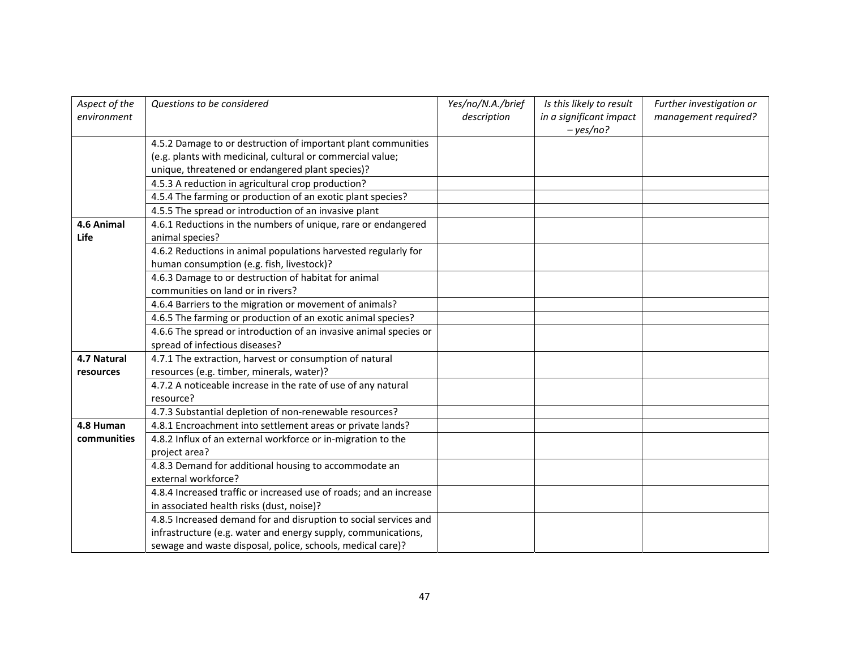| Aspect of the | Questions to be considered                                         | Yes/no/N.A./brief | Is this likely to result | Further investigation or |
|---------------|--------------------------------------------------------------------|-------------------|--------------------------|--------------------------|
| environment   |                                                                    | description       | in a significant impact  | management required?     |
|               |                                                                    |                   | $- yes/no?$              |                          |
|               | 4.5.2 Damage to or destruction of important plant communities      |                   |                          |                          |
|               | (e.g. plants with medicinal, cultural or commercial value;         |                   |                          |                          |
|               | unique, threatened or endangered plant species)?                   |                   |                          |                          |
|               | 4.5.3 A reduction in agricultural crop production?                 |                   |                          |                          |
|               | 4.5.4 The farming or production of an exotic plant species?        |                   |                          |                          |
|               | 4.5.5 The spread or introduction of an invasive plant              |                   |                          |                          |
| 4.6 Animal    | 4.6.1 Reductions in the numbers of unique, rare or endangered      |                   |                          |                          |
| Life          | animal species?                                                    |                   |                          |                          |
|               | 4.6.2 Reductions in animal populations harvested regularly for     |                   |                          |                          |
|               | human consumption (e.g. fish, livestock)?                          |                   |                          |                          |
|               | 4.6.3 Damage to or destruction of habitat for animal               |                   |                          |                          |
|               | communities on land or in rivers?                                  |                   |                          |                          |
|               | 4.6.4 Barriers to the migration or movement of animals?            |                   |                          |                          |
|               | 4.6.5 The farming or production of an exotic animal species?       |                   |                          |                          |
|               | 4.6.6 The spread or introduction of an invasive animal species or  |                   |                          |                          |
|               | spread of infectious diseases?                                     |                   |                          |                          |
| 4.7 Natural   | 4.7.1 The extraction, harvest or consumption of natural            |                   |                          |                          |
| resources     | resources (e.g. timber, minerals, water)?                          |                   |                          |                          |
|               | 4.7.2 A noticeable increase in the rate of use of any natural      |                   |                          |                          |
|               | resource?                                                          |                   |                          |                          |
|               | 4.7.3 Substantial depletion of non-renewable resources?            |                   |                          |                          |
| 4.8 Human     | 4.8.1 Encroachment into settlement areas or private lands?         |                   |                          |                          |
| communities   | 4.8.2 Influx of an external workforce or in-migration to the       |                   |                          |                          |
|               | project area?                                                      |                   |                          |                          |
|               | 4.8.3 Demand for additional housing to accommodate an              |                   |                          |                          |
|               | external workforce?                                                |                   |                          |                          |
|               | 4.8.4 Increased traffic or increased use of roads; and an increase |                   |                          |                          |
|               | in associated health risks (dust, noise)?                          |                   |                          |                          |
|               | 4.8.5 Increased demand for and disruption to social services and   |                   |                          |                          |
|               | infrastructure (e.g. water and energy supply, communications,      |                   |                          |                          |
|               | sewage and waste disposal, police, schools, medical care)?         |                   |                          |                          |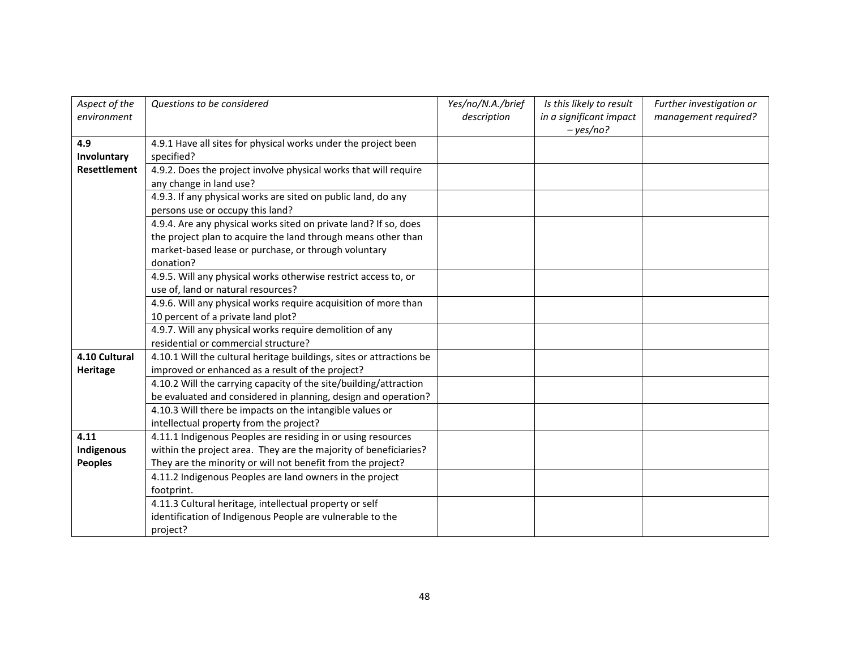| Aspect of the       | Questions to be considered                                           | Yes/no/N.A./brief | Is this likely to result | Further investigation or |
|---------------------|----------------------------------------------------------------------|-------------------|--------------------------|--------------------------|
| environment         |                                                                      | description       | in a significant impact  | management required?     |
|                     |                                                                      |                   | $- yes/no?$              |                          |
| 4.9                 | 4.9.1 Have all sites for physical works under the project been       |                   |                          |                          |
| Involuntary         | specified?                                                           |                   |                          |                          |
| <b>Resettlement</b> | 4.9.2. Does the project involve physical works that will require     |                   |                          |                          |
|                     | any change in land use?                                              |                   |                          |                          |
|                     | 4.9.3. If any physical works are sited on public land, do any        |                   |                          |                          |
|                     | persons use or occupy this land?                                     |                   |                          |                          |
|                     | 4.9.4. Are any physical works sited on private land? If so, does     |                   |                          |                          |
|                     | the project plan to acquire the land through means other than        |                   |                          |                          |
|                     | market-based lease or purchase, or through voluntary                 |                   |                          |                          |
|                     | donation?                                                            |                   |                          |                          |
|                     | 4.9.5. Will any physical works otherwise restrict access to, or      |                   |                          |                          |
|                     | use of, land or natural resources?                                   |                   |                          |                          |
|                     | 4.9.6. Will any physical works require acquisition of more than      |                   |                          |                          |
|                     | 10 percent of a private land plot?                                   |                   |                          |                          |
|                     | 4.9.7. Will any physical works require demolition of any             |                   |                          |                          |
|                     | residential or commercial structure?                                 |                   |                          |                          |
| 4.10 Cultural       | 4.10.1 Will the cultural heritage buildings, sites or attractions be |                   |                          |                          |
| Heritage            | improved or enhanced as a result of the project?                     |                   |                          |                          |
|                     | 4.10.2 Will the carrying capacity of the site/building/attraction    |                   |                          |                          |
|                     | be evaluated and considered in planning, design and operation?       |                   |                          |                          |
|                     | 4.10.3 Will there be impacts on the intangible values or             |                   |                          |                          |
|                     | intellectual property from the project?                              |                   |                          |                          |
| 4.11                | 4.11.1 Indigenous Peoples are residing in or using resources         |                   |                          |                          |
| Indigenous          | within the project area. They are the majority of beneficiaries?     |                   |                          |                          |
| <b>Peoples</b>      | They are the minority or will not benefit from the project?          |                   |                          |                          |
|                     | 4.11.2 Indigenous Peoples are land owners in the project             |                   |                          |                          |
|                     | footprint.                                                           |                   |                          |                          |
|                     | 4.11.3 Cultural heritage, intellectual property or self              |                   |                          |                          |
|                     | identification of Indigenous People are vulnerable to the            |                   |                          |                          |
|                     | project?                                                             |                   |                          |                          |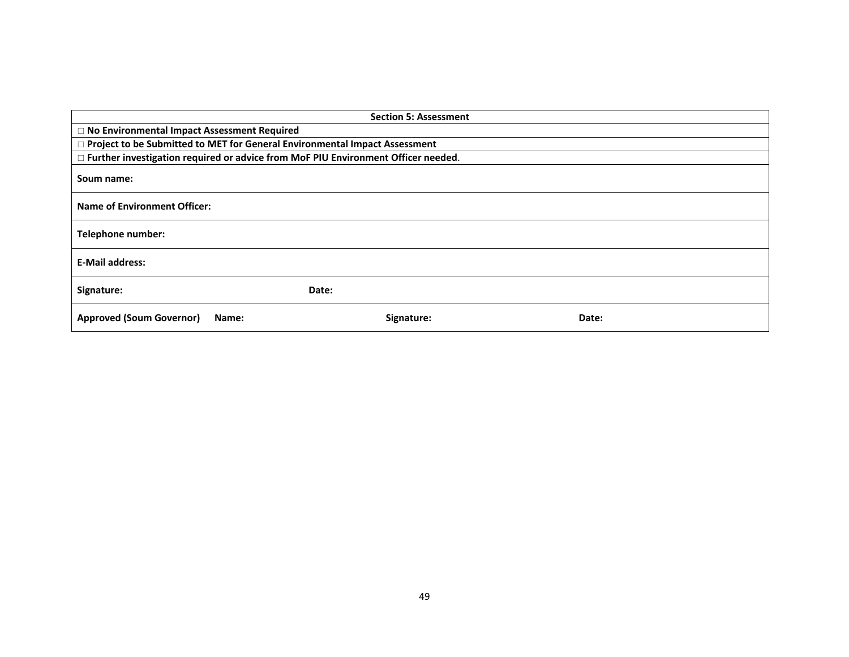|                                                                                     | <b>Section 5: Assessment</b> |       |  |
|-------------------------------------------------------------------------------------|------------------------------|-------|--|
| □ No Environmental Impact Assessment Required                                       |                              |       |  |
| □ Project to be Submitted to MET for General Environmental Impact Assessment        |                              |       |  |
| □ Further investigation required or advice from MoF PIU Environment Officer needed. |                              |       |  |
| Soum name:                                                                          |                              |       |  |
| <b>Name of Environment Officer:</b>                                                 |                              |       |  |
| <b>Telephone number:</b>                                                            |                              |       |  |
| <b>E-Mail address:</b>                                                              |                              |       |  |
| Signature:                                                                          | Date:                        |       |  |
| <b>Approved (Soum Governor)</b><br>Name:                                            | Signature:                   | Date: |  |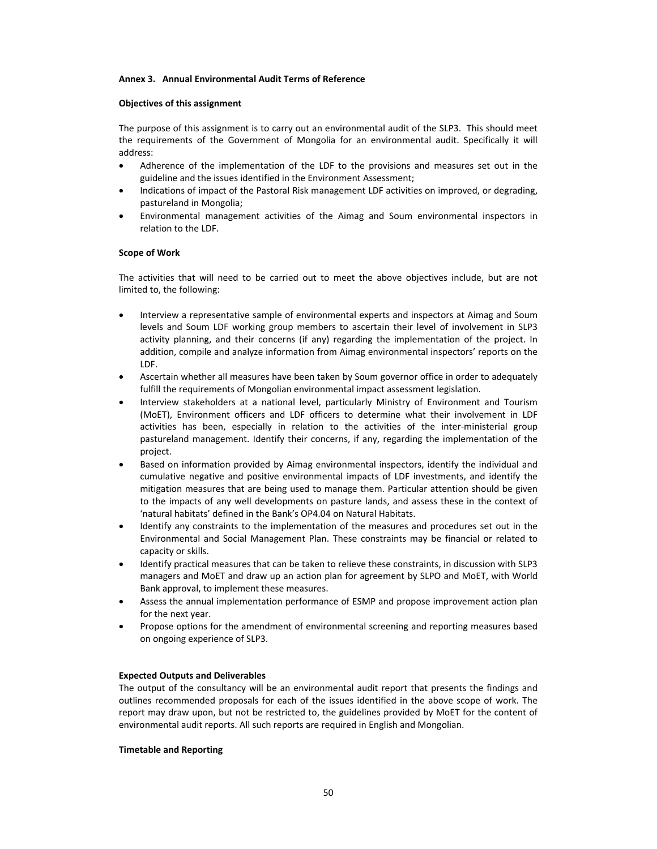#### **Annex 3. Annual Environmental Audit Terms of Reference**

#### **Objectives of this assignment**

The purpose of this assignment is to carry out an environmental audit of the SLP3. This should meet the requirements of the Government of Mongolia for an environmental audit. Specifically it will address:

- Adherence of the implementation of the LDF to the provisions and measures set out in the guideline and the issues identified in the Environment Assessment;
- Indications of impact of the Pastoral Risk management LDF activities on improved, or degrading, pastureland in Mongolia;
- Environmental management activities of the Aimag and Soum environmental inspectors in relation to the LDF.

#### **Scope of Work**

The activities that will need to be carried out to meet the above objectives include, but are not limited to, the following:

- Interview a representative sample of environmental experts and inspectors at Aimag and Soum levels and Soum LDF working group members to ascertain their level of involvement in SLP3 activity planning, and their concerns (if any) regarding the implementation of the project. In addition, compile and analyze information from Aimag environmental inspectors' reports on the LDF.
- Ascertain whether all measures have been taken by Soum governor office in order to adequately fulfill the requirements of Mongolian environmental impact assessment legislation.
- Interview stakeholders at a national level, particularly Ministry of Environment and Tourism (MoET), Environment officers and LDF officers to determine what their involvement in LDF activities has been, especially in relation to the activities of the inter-ministerial group pastureland management. Identify their concerns, if any, regarding the implementation of the project.
- Based on information provided by Aimag environmental inspectors, identify the individual and cumulative negative and positive environmental impacts of LDF investments, and identify the mitigation measures that are being used to manage them. Particular attention should be given to the impacts of any well developments on pasture lands, and assess these in the context of 'natural habitats' defined in the Bank's OP4.04 on Natural Habitats.
- Identify any constraints to the implementation of the measures and procedures set out in the Environmental and Social Management Plan. These constraints may be financial or related to capacity or skills.
- Identify practical measures that can be taken to relieve these constraints, in discussion with SLP3 managers and MoET and draw up an action plan for agreement by SLPO and MoET, with World Bank approval, to implement these measures.
- Assess the annual implementation performance of ESMP and propose improvement action plan for the next year.
- Propose options for the amendment of environmental screening and reporting measures based on ongoing experience of SLP3.

#### **Expected Outputs and Deliverables**

The output of the consultancy will be an environmental audit report that presents the findings and outlines recommended proposals for each of the issues identified in the above scope of work. The report may draw upon, but not be restricted to, the guidelines provided by MoET for the content of environmental audit reports. All such reports are required in English and Mongolian.

#### **Timetable and Reporting**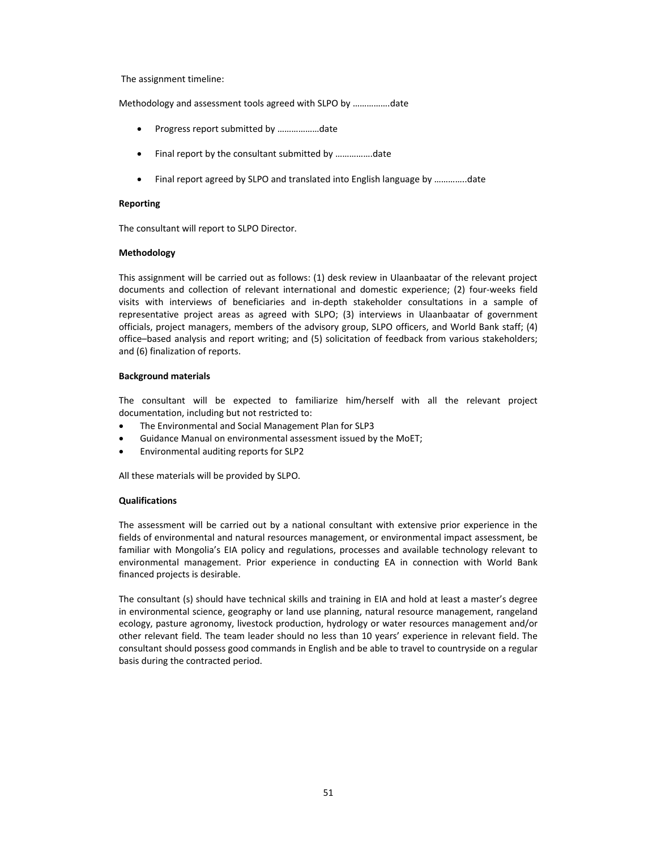The assignment timeline:

Methodology and assessment tools agreed with SLPO by …………….date

- Progress report submitted by ………………date
- Final report by the consultant submitted by …………….date
- Final report agreed by SLPO and translated into English language by …………..date

#### **Reporting**

The consultant will report to SLPO Director.

#### **Methodology**

This assignment will be carried out as follows: (1) desk review in Ulaanbaatar of the relevant project documents and collection of relevant international and domestic experience; (2) four-weeks field visits with interviews of beneficiaries and in‐depth stakeholder consultations in a sample of representative project areas as agreed with SLPO; (3) interviews in Ulaanbaatar of government officials, project managers, members of the advisory group, SLPO officers, and World Bank staff; (4) office–based analysis and report writing; and (5) solicitation of feedback from various stakeholders; and (6) finalization of reports.

#### **Background materials**

The consultant will be expected to familiarize him/herself with all the relevant project documentation, including but not restricted to:

- The Environmental and Social Management Plan for SLP3
- Guidance Manual on environmental assessment issued by the MoET;
- Environmental auditing reports for SLP2

All these materials will be provided by SLPO.

#### **Qualifications**

The assessment will be carried out by a national consultant with extensive prior experience in the fields of environmental and natural resources management, or environmental impact assessment, be familiar with Mongolia's EIA policy and regulations, processes and available technology relevant to environmental management. Prior experience in conducting EA in connection with World Bank financed projects is desirable.

The consultant (s) should have technical skills and training in EIA and hold at least a master's degree in environmental science, geography or land use planning, natural resource management, rangeland ecology, pasture agronomy, livestock production, hydrology or water resources management and/or other relevant field. The team leader should no less than 10 years' experience in relevant field. The consultant should possess good commands in English and be able to travel to countryside on a regular basis during the contracted period.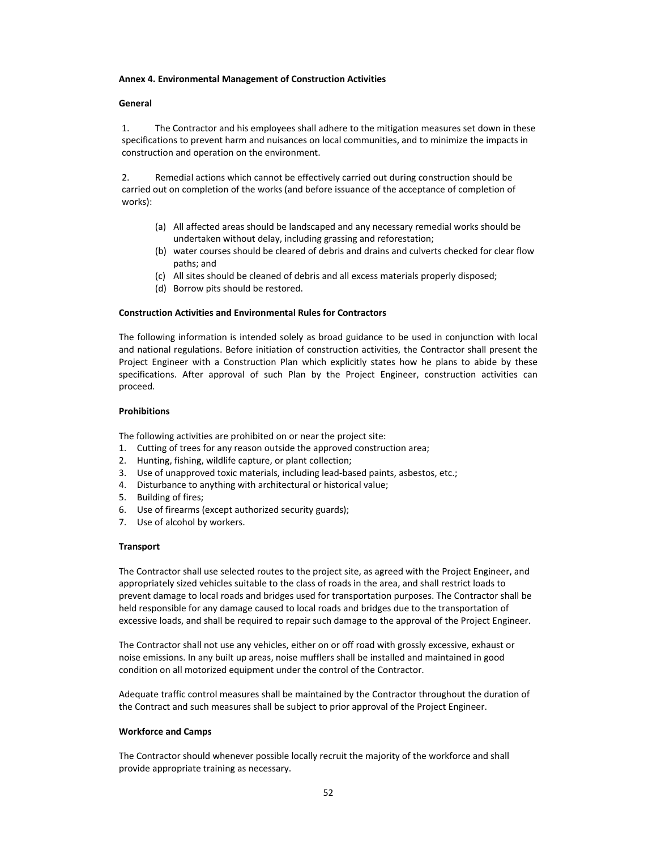#### **Annex 4. Environmental Management of Construction Activities**

### **General**

1. The Contractor and his employees shall adhere to the mitigation measures set down in these specifications to prevent harm and nuisances on local communities, and to minimize the impacts in construction and operation on the environment.

2. Remedial actions which cannot be effectively carried out during construction should be carried out on completion of the works (and before issuance of the acceptance of completion of works):

- (a) All affected areas should be landscaped and any necessary remedial works should be undertaken without delay, including grassing and reforestation;
- (b) water courses should be cleared of debris and drains and culverts checked for clear flow paths; and
- (c) All sites should be cleaned of debris and all excess materials properly disposed;
- (d) Borrow pits should be restored.

#### **Construction Activities and Environmental Rules for Contractors**

The following information is intended solely as broad guidance to be used in conjunction with local and national regulations. Before initiation of construction activities, the Contractor shall present the Project Engineer with a Construction Plan which explicitly states how he plans to abide by these specifications. After approval of such Plan by the Project Engineer, construction activities can proceed.

#### **Prohibitions**

The following activities are prohibited on or near the project site:

- 1. Cutting of trees for any reason outside the approved construction area;
- 2. Hunting, fishing, wildlife capture, or plant collection;
- 3. Use of unapproved toxic materials, including lead-based paints, asbestos, etc.;
- 4. Disturbance to anything with architectural or historical value;
- 5. Building of fires;
- 6. Use of firearms (except authorized security guards);
- 7. Use of alcohol by workers.

#### **Transport**

The Contractor shall use selected routes to the project site, as agreed with the Project Engineer, and appropriately sized vehicles suitable to the class of roads in the area, and shall restrict loads to prevent damage to local roads and bridges used for transportation purposes. The Contractor shall be held responsible for any damage caused to local roads and bridges due to the transportation of excessive loads, and shall be required to repair such damage to the approval of the Project Engineer.

The Contractor shall not use any vehicles, either on or off road with grossly excessive, exhaust or noise emissions. In any built up areas, noise mufflers shall be installed and maintained in good condition on all motorized equipment under the control of the Contractor.

Adequate traffic control measures shall be maintained by the Contractor throughout the duration of the Contract and such measures shall be subject to prior approval of the Project Engineer.

#### **Workforce and Camps**

The Contractor should whenever possible locally recruit the majority of the workforce and shall provide appropriate training as necessary.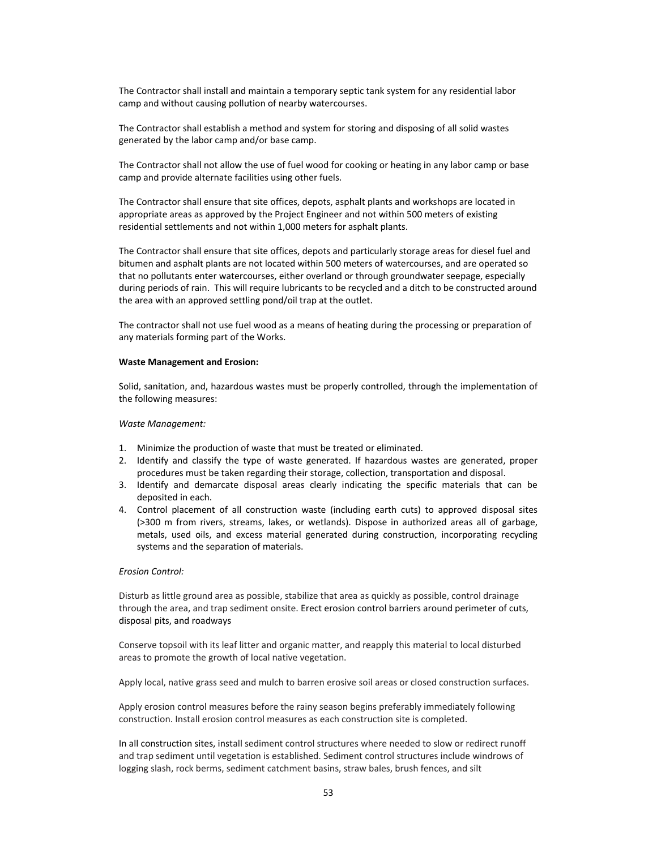The Contractor shall install and maintain a temporary septic tank system for any residential labor camp and without causing pollution of nearby watercourses.

The Contractor shall establish a method and system for storing and disposing of all solid wastes generated by the labor camp and/or base camp.

The Contractor shall not allow the use of fuel wood for cooking or heating in any labor camp or base camp and provide alternate facilities using other fuels.

The Contractor shall ensure that site offices, depots, asphalt plants and workshops are located in appropriate areas as approved by the Project Engineer and not within 500 meters of existing residential settlements and not within 1,000 meters for asphalt plants.

The Contractor shall ensure that site offices, depots and particularly storage areas for diesel fuel and bitumen and asphalt plants are not located within 500 meters of watercourses, and are operated so that no pollutants enter watercourses, either overland or through groundwater seepage, especially during periods of rain. This will require lubricants to be recycled and a ditch to be constructed around the area with an approved settling pond/oil trap at the outlet.

The contractor shall not use fuel wood as a means of heating during the processing or preparation of any materials forming part of the Works.

#### **Waste Management and Erosion:**

Solid, sanitation, and, hazardous wastes must be properly controlled, through the implementation of the following measures:

#### *Waste Management:*

- 1. Minimize the production of waste that must be treated or eliminated.
- 2. Identify and classify the type of waste generated. If hazardous wastes are generated, proper procedures must be taken regarding their storage, collection, transportation and disposal.
- 3. Identify and demarcate disposal areas clearly indicating the specific materials that can be deposited in each.
- 4. Control placement of all construction waste (including earth cuts) to approved disposal sites (>300 m from rivers, streams, lakes, or wetlands). Dispose in authorized areas all of garbage, metals, used oils, and excess material generated during construction, incorporating recycling systems and the separation of materials.

#### *Erosion Control:*

Disturb as little ground area as possible, stabilize that area as quickly as possible, control drainage through the area, and trap sediment onsite. Erect erosion control barriers around perimeter of cuts, disposal pits, and roadways

Conserve topsoil with its leaf litter and organic matter, and reapply this material to local disturbed areas to promote the growth of local native vegetation.

Apply local, native grass seed and mulch to barren erosive soil areas or closed construction surfaces.

Apply erosion control measures before the rainy season begins preferably immediately following construction. Install erosion control measures as each construction site is completed.

In all construction sites, install sediment control structures where needed to slow or redirect runoff and trap sediment until vegetation is established. Sediment control structures include windrows of logging slash, rock berms, sediment catchment basins, straw bales, brush fences, and silt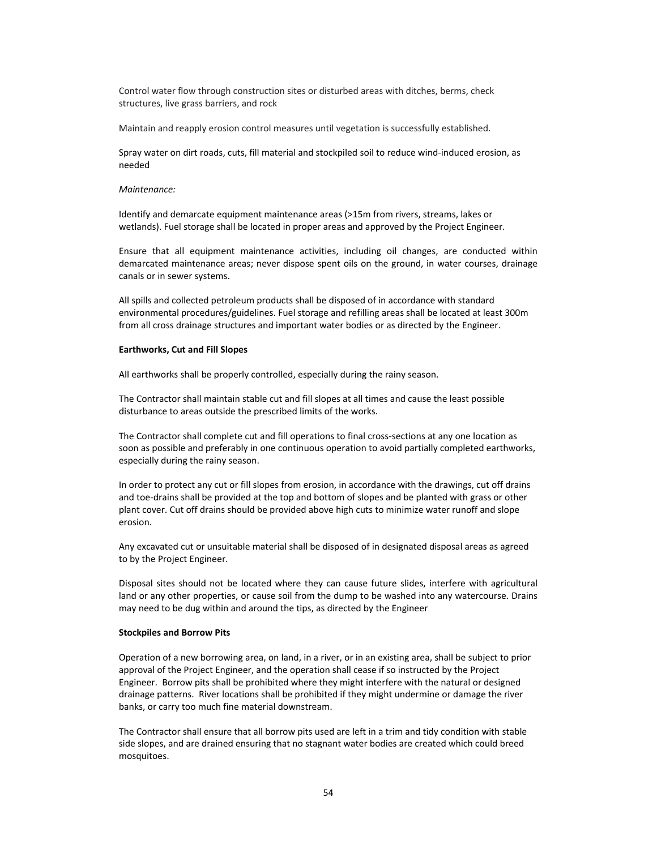Control water flow through construction sites or disturbed areas with ditches, berms, check structures, live grass barriers, and rock

Maintain and reapply erosion control measures until vegetation is successfully established.

Spray water on dirt roads, cuts, fill material and stockpiled soil to reduce wind‐induced erosion, as needed

#### *Maintenance:*

Identify and demarcate equipment maintenance areas (>15m from rivers, streams, lakes or wetlands). Fuel storage shall be located in proper areas and approved by the Project Engineer.

Ensure that all equipment maintenance activities, including oil changes, are conducted within demarcated maintenance areas; never dispose spent oils on the ground, in water courses, drainage canals or in sewer systems.

All spills and collected petroleum products shall be disposed of in accordance with standard environmental procedures/guidelines. Fuel storage and refilling areas shall be located at least 300m from all cross drainage structures and important water bodies or as directed by the Engineer.

#### **Earthworks, Cut and Fill Slopes**

All earthworks shall be properly controlled, especially during the rainy season.

The Contractor shall maintain stable cut and fill slopes at all times and cause the least possible disturbance to areas outside the prescribed limits of the works.

The Contractor shall complete cut and fill operations to final cross-sections at any one location as soon as possible and preferably in one continuous operation to avoid partially completed earthworks, especially during the rainy season.

In order to protect any cut or fill slopes from erosion, in accordance with the drawings, cut off drains and toe-drains shall be provided at the top and bottom of slopes and be planted with grass or other plant cover. Cut off drains should be provided above high cuts to minimize water runoff and slope erosion.

Any excavated cut or unsuitable material shall be disposed of in designated disposal areas as agreed to by the Project Engineer.

Disposal sites should not be located where they can cause future slides, interfere with agricultural land or any other properties, or cause soil from the dump to be washed into any watercourse. Drains may need to be dug within and around the tips, as directed by the Engineer

#### **Stockpiles and Borrow Pits**

Operation of a new borrowing area, on land, in a river, or in an existing area, shall be subject to prior approval of the Project Engineer, and the operation shall cease if so instructed by the Project Engineer. Borrow pits shall be prohibited where they might interfere with the natural or designed drainage patterns. River locations shall be prohibited if they might undermine or damage the river banks, or carry too much fine material downstream.

The Contractor shall ensure that all borrow pits used are left in a trim and tidy condition with stable side slopes, and are drained ensuring that no stagnant water bodies are created which could breed mosquitoes.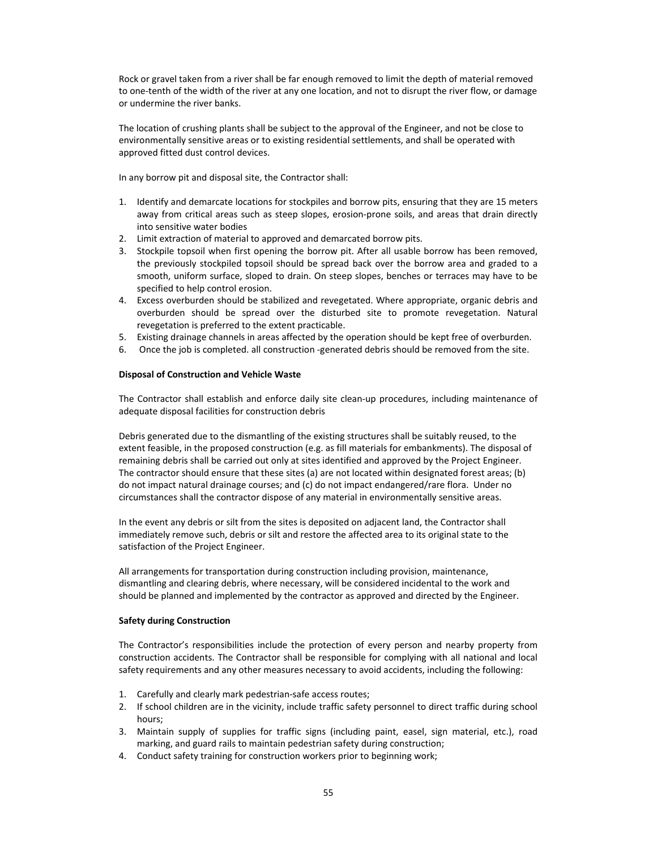Rock or gravel taken from a river shall be far enough removed to limit the depth of material removed to one-tenth of the width of the river at any one location, and not to disrupt the river flow, or damage or undermine the river banks.

The location of crushing plants shall be subject to the approval of the Engineer, and not be close to environmentally sensitive areas or to existing residential settlements, and shall be operated with approved fitted dust control devices.

In any borrow pit and disposal site, the Contractor shall:

- 1. Identify and demarcate locations for stockpiles and borrow pits, ensuring that they are 15 meters away from critical areas such as steep slopes, erosion-prone soils, and areas that drain directly into sensitive water bodies
- 2. Limit extraction of material to approved and demarcated borrow pits.
- 3. Stockpile topsoil when first opening the borrow pit. After all usable borrow has been removed, the previously stockpiled topsoil should be spread back over the borrow area and graded to a smooth, uniform surface, sloped to drain. On steep slopes, benches or terraces may have to be specified to help control erosion.
- 4. Excess overburden should be stabilized and revegetated. Where appropriate, organic debris and overburden should be spread over the disturbed site to promote revegetation. Natural revegetation is preferred to the extent practicable.
- 5. Existing drainage channels in areas affected by the operation should be kept free of overburden.
- 6. Once the job is completed. all construction ‐generated debris should be removed from the site.

## **Disposal of Construction and Vehicle Waste**

The Contractor shall establish and enforce daily site clean‐up procedures, including maintenance of adequate disposal facilities for construction debris

Debris generated due to the dismantling of the existing structures shall be suitably reused, to the extent feasible, in the proposed construction (e.g. as fill materials for embankments). The disposal of remaining debris shall be carried out only at sites identified and approved by the Project Engineer. The contractor should ensure that these sites (a) are not located within designated forest areas; (b) do not impact natural drainage courses; and (c) do not impact endangered/rare flora. Under no circumstances shall the contractor dispose of any material in environmentally sensitive areas.

In the event any debris or silt from the sites is deposited on adjacent land, the Contractor shall immediately remove such, debris or silt and restore the affected area to its original state to the satisfaction of the Project Engineer.

All arrangements for transportation during construction including provision, maintenance, dismantling and clearing debris, where necessary, will be considered incidental to the work and should be planned and implemented by the contractor as approved and directed by the Engineer.

#### **Safety during Construction**

The Contractor's responsibilities include the protection of every person and nearby property from construction accidents. The Contractor shall be responsible for complying with all national and local safety requirements and any other measures necessary to avoid accidents, including the following:

- 1. Carefully and clearly mark pedestrian‐safe access routes;
- 2. If school children are in the vicinity, include traffic safety personnel to direct traffic during school hours;
- 3. Maintain supply of supplies for traffic signs (including paint, easel, sign material, etc.), road marking, and guard rails to maintain pedestrian safety during construction;
- 4. Conduct safety training for construction workers prior to beginning work;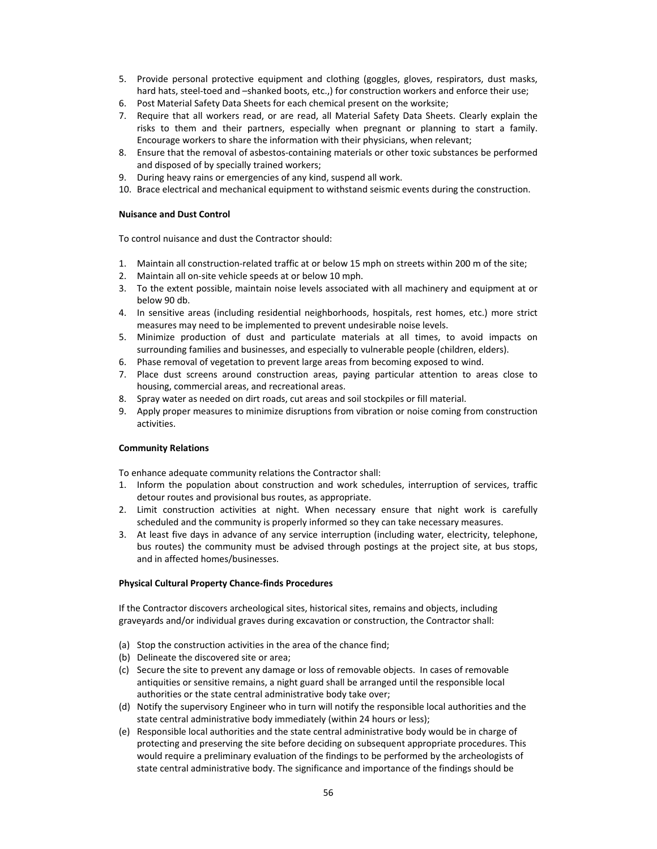- 5. Provide personal protective equipment and clothing (goggles, gloves, respirators, dust masks, hard hats, steel-toed and –shanked boots, etc.,) for construction workers and enforce their use;
- 6. Post Material Safety Data Sheets for each chemical present on the worksite;
- 7. Require that all workers read, or are read, all Material Safety Data Sheets. Clearly explain the risks to them and their partners, especially when pregnant or planning to start a family. Encourage workers to share the information with their physicians, when relevant;
- 8. Ensure that the removal of asbestos-containing materials or other toxic substances be performed and disposed of by specially trained workers;
- 9. During heavy rains or emergencies of any kind, suspend all work.
- 10. Brace electrical and mechanical equipment to withstand seismic events during the construction.

#### **Nuisance and Dust Control**

To control nuisance and dust the Contractor should:

- 1. Maintain all construction‐related traffic at or below 15 mph on streets within 200 m of the site;
- 2. Maintain all on‐site vehicle speeds at or below 10 mph.
- 3. To the extent possible, maintain noise levels associated with all machinery and equipment at or below 90 db.
- 4. In sensitive areas (including residential neighborhoods, hospitals, rest homes, etc.) more strict measures may need to be implemented to prevent undesirable noise levels.
- 5. Minimize production of dust and particulate materials at all times, to avoid impacts on surrounding families and businesses, and especially to vulnerable people (children, elders).
- 6. Phase removal of vegetation to prevent large areas from becoming exposed to wind.
- 7. Place dust screens around construction areas, paying particular attention to areas close to housing, commercial areas, and recreational areas.
- 8. Spray water as needed on dirt roads, cut areas and soil stockpiles or fill material.
- 9. Apply proper measures to minimize disruptions from vibration or noise coming from construction activities.

#### **Community Relations**

To enhance adequate community relations the Contractor shall:

- 1. Inform the population about construction and work schedules, interruption of services, traffic detour routes and provisional bus routes, as appropriate.
- 2. Limit construction activities at night. When necessary ensure that night work is carefully scheduled and the community is properly informed so they can take necessary measures.
- 3. At least five days in advance of any service interruption (including water, electricity, telephone, bus routes) the community must be advised through postings at the project site, at bus stops, and in affected homes/businesses.

#### **Physical Cultural Property Chance‐finds Procedures**

If the Contractor discovers archeological sites, historical sites, remains and objects, including graveyards and/or individual graves during excavation or construction, the Contractor shall:

- (a) Stop the construction activities in the area of the chance find;
- (b) Delineate the discovered site or area;
- (c) Secure the site to prevent any damage or loss of removable objects. In cases of removable antiquities or sensitive remains, a night guard shall be arranged until the responsible local authorities or the state central administrative body take over;
- (d) Notify the supervisory Engineer who in turn will notify the responsible local authorities and the state central administrative body immediately (within 24 hours or less);
- (e) Responsible local authorities and the state central administrative body would be in charge of protecting and preserving the site before deciding on subsequent appropriate procedures. This would require a preliminary evaluation of the findings to be performed by the archeologists of state central administrative body. The significance and importance of the findings should be